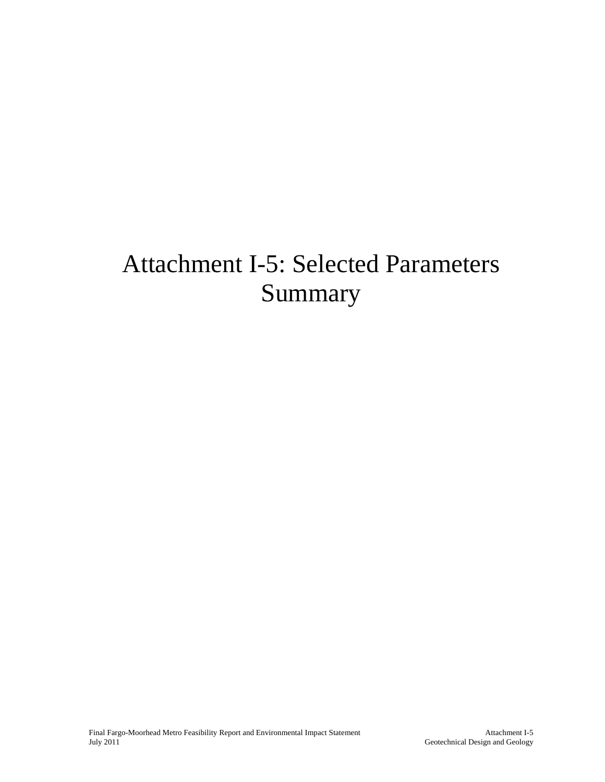# Attachment I-5: Selected Parameters Summary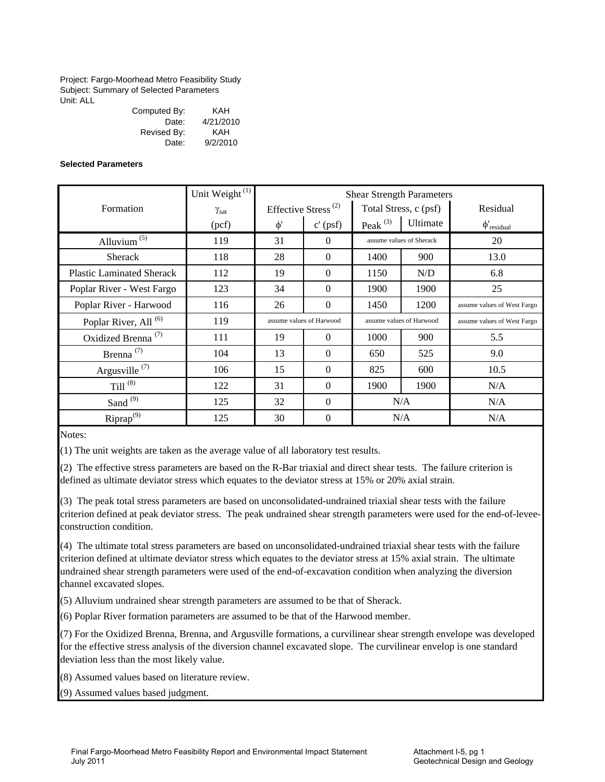Project: Fargo-Moorhead Metro Feasibility Study Subject: Summary of Selected Parameters Unit: ALL

| Computed By: | KAH       |
|--------------|-----------|
| Date:        | 4/21/2010 |
| Revised By:  | KAH       |
| Date:        | 9/2/2010  |

#### **Selected Parameters**

|                                  | Unit Weight <sup>(1)</sup> |          |                                 |            | <b>Shear Strength Parameters</b> |                             |
|----------------------------------|----------------------------|----------|---------------------------------|------------|----------------------------------|-----------------------------|
| Formation                        | $\gamma_{\rm sat}$         |          | Effective Stress <sup>(2)</sup> |            | Total Stress, c (psf)            | Residual                    |
|                                  | (pcf)                      | $\phi$ ' | $c'$ (psf)                      | Peak $(3)$ | Ultimate                         | $\phi'$ residual            |
| Alluvium $(5)$                   | 119                        | 31       | $\Omega$                        |            | assume values of Sherack         | 20                          |
| <b>Sherack</b>                   | 118                        | 28       | $\Omega$                        | 1400       | 900                              | 13.0                        |
| <b>Plastic Laminated Sherack</b> | 112                        | 19       | $\Omega$                        | 1150       | N/D                              | 6.8                         |
| Poplar River - West Fargo        | 123                        | 34       | $\Omega$                        | 1900       | 1900                             | 25                          |
| Poplar River - Harwood           | 116                        | 26       | $\mathbf{0}$                    | 1450       | 1200                             | assume values of West Fargo |
| Poplar River, All <sup>(6)</sup> | 119                        |          | assume values of Harwood        |            | assume values of Harwood         | assume values of West Fargo |
| Oxidized Brenna <sup>(7)</sup>   | 111                        | 19       | $\Omega$                        | 1000       | 900                              | 5.5                         |
| Brenna <sup>(7)</sup>            | 104                        | 13       | $\Omega$                        | 650        | 525                              | 9.0                         |
| Argusville <sup>(7)</sup>        | 106                        | 15       | $\mathbf{0}$                    | 825        | 600                              | 10.5                        |
| Till $^{(8)}$                    | 122                        | 31       | $\Omega$                        | 1900       | 1900                             | N/A                         |
| Sand $(9)$                       | 125                        | 32       | $\Omega$                        |            | N/A                              | N/A                         |
| $Riprap^{(9)}$                   | 125                        | 30       | $\Omega$                        |            | N/A                              | N/A                         |

Notes:

(1) The unit weights are taken as the average value of all laboratory test results.

(2) The effective stress parameters are based on the R-Bar triaxial and direct shear tests. The failure criterion is defined as ultimate deviator stress which equates to the deviator stress at 15% or 20% axial strain.

(3) The peak total stress parameters are based on unconsolidated-undrained triaxial shear tests with the failure criterion defined at peak deviator stress. The peak undrained shear strength parameters were used for the end-of-leveeconstruction condition.

(4) The ultimate total stress parameters are based on unconsolidated-undrained triaxial shear tests with the failure criterion defined at ultimate deviator stress which equates to the deviator stress at 15% axial strain. The ultimate undrained shear strength parameters were used of the end-of-excavation condition when analyzing the diversion channel excavated slopes.

(5) Alluvium undrained shear strength parameters are assumed to be that of Sherack.

(6) Poplar River formation parameters are assumed to be that of the Harwood member.

(7) For the Oxidized Brenna, Brenna, and Argusville formations, a curvilinear shear strength envelope was developed for the effective stress analysis of the diversion channel excavated slope. The curvilinear envelop is one standard deviation less than the most likely value.

(8) Assumed values based on literature review.

(9) Assumed values based judgment.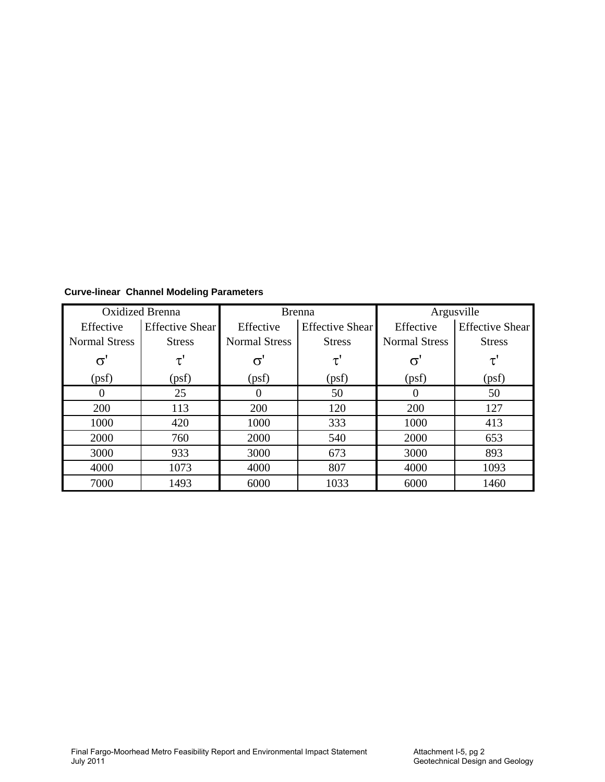|                      | <b>Oxidized Brenna</b> |                      | <b>Brenna</b>          |                      | Argusville             |
|----------------------|------------------------|----------------------|------------------------|----------------------|------------------------|
| Effective            | <b>Effective Shear</b> | Effective            | <b>Effective Shear</b> | Effective            | <b>Effective Shear</b> |
| <b>Normal Stress</b> | <b>Stress</b>          | <b>Normal Stress</b> | <b>Stress</b>          | <b>Normal Stress</b> | <b>Stress</b>          |
| σ                    |                        |                      |                        | σ                    |                        |
| (psf)                | (psf)                  | (psf)                | (psf)                  | (psf)                | (psf)                  |
| $\theta$             | 25                     |                      | 50                     | $\theta$             | 50                     |
| 200                  | 113                    | 200                  | 120                    | 200                  | 127                    |
| 1000                 | 420                    | 1000                 | 333                    | 1000                 | 413                    |
| 2000                 | 760                    | 2000                 | 540                    | 2000                 | 653                    |
| 3000                 | 933                    | 3000                 | 673                    | 3000                 | 893                    |
| 4000                 | 1073                   | 4000                 | 807                    | 4000                 | 1093                   |
| 7000                 | 1493                   | 6000                 | 1033                   | 6000                 | 1460                   |

**Curve-linear Channel Modeling Parameters**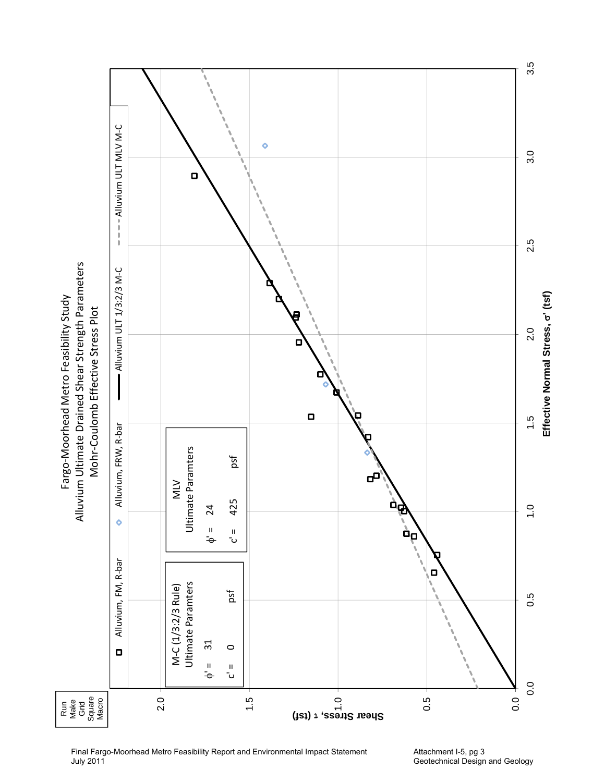

Final Fargo-Moorhead Metro Feasibility Report and Environmental Impact Statement July 2011

Attachment I-5, pg 3 Geotechnical Design and Geology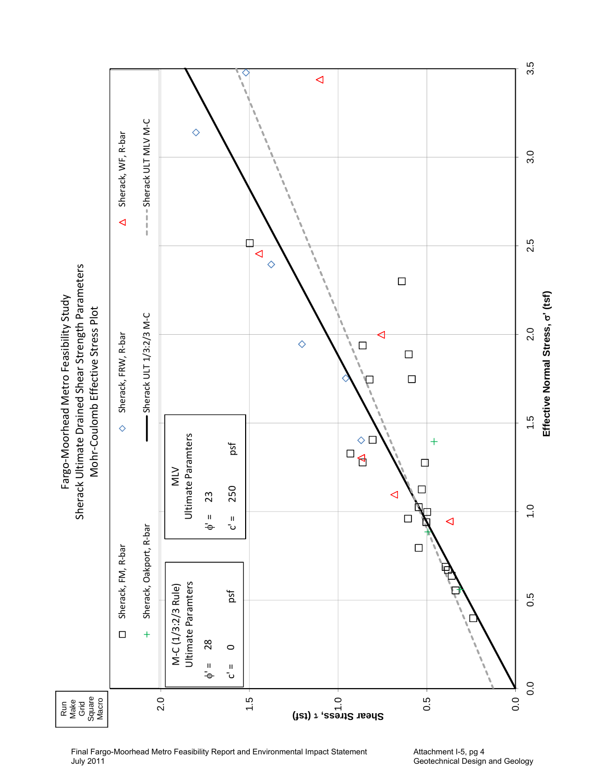

Final Fargo-Moorhead Metro Feasibility Report and Environmental Impact Statement July 2011

Attachment I-5, pg 4 Geotechnical Design and Geology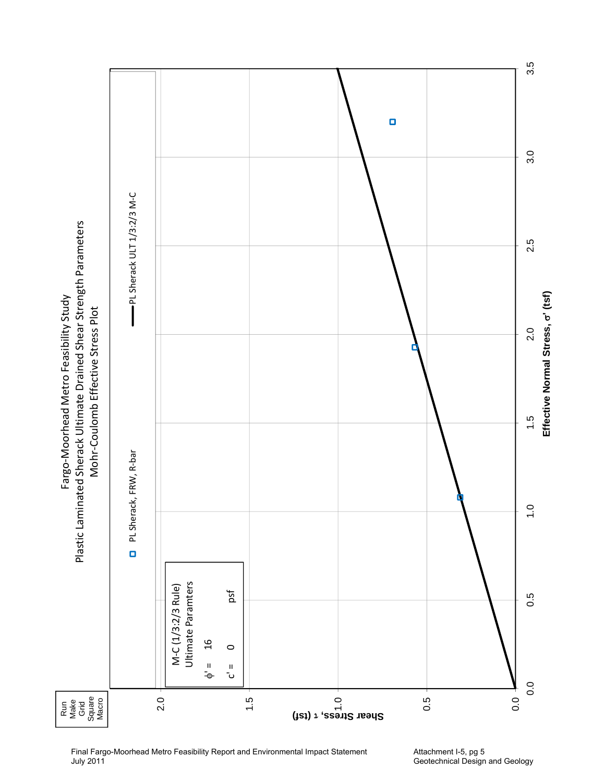

Attachment I-5, pg 5 Geotechnical Design and Geology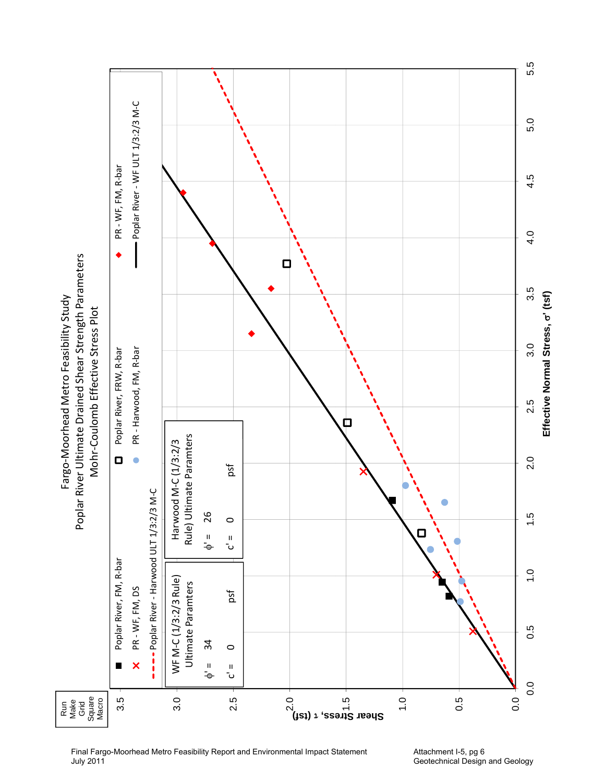

Final Fargo-Moorhead Metro Feasibility Report and Environmental Impact Statement July 2011

Attachment I-5, pg 6 Geotechnical Design and Geology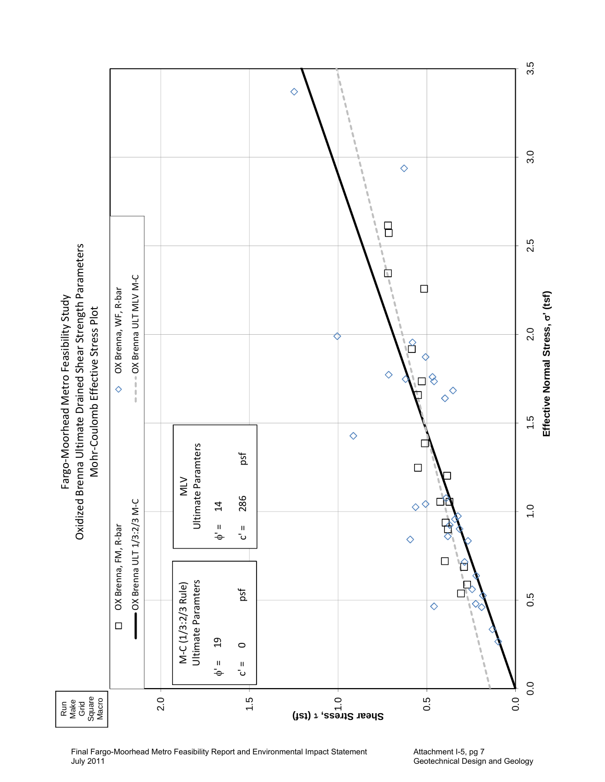

Final Fargo-Moorhead Metro Feasibility Report and Environmental Impact Statement July 2011

Attachment I-5, pg 7 Geotechnical Design and Geology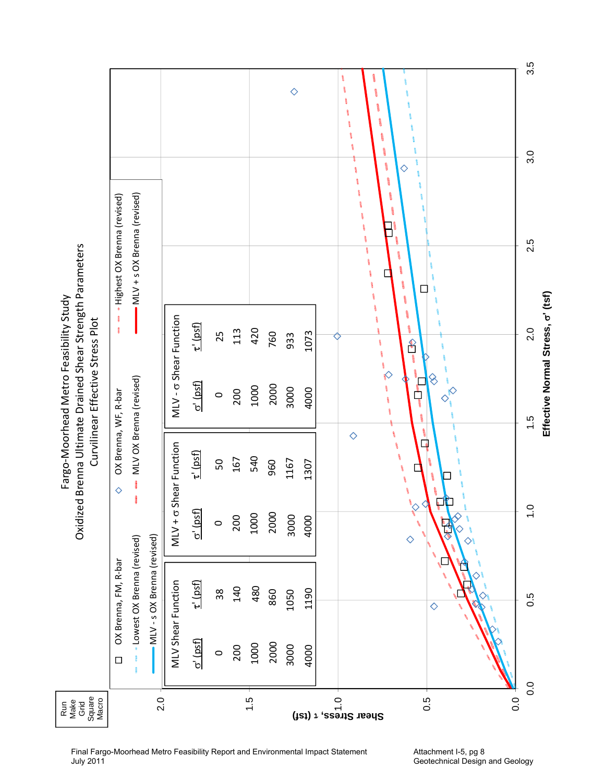|                                                                             |                              |                              |                               |                                  |                 |         |     |      |      | $\Diamond$ |      | ļ<br>١<br>å<br>$\hat{\mathbf{g}}$<br>İ<br>ę<br>ţ<br>t<br>ţ<br>♦<br>å<br>ţ<br>١<br>ļ<br>- | 3.5<br>3.0                                         |
|-----------------------------------------------------------------------------|------------------------------|------------------------------|-------------------------------|----------------------------------|-----------------|---------|-----|------|------|------------|------|------------------------------------------------------------------------------------------|----------------------------------------------------|
|                                                                             | «Highest OX Brenna (revised) | MLV + s OX Brenna (revised)  |                               |                                  |                 |         |     |      |      |            |      | -<br>8<br>8                                                                              | 2.5                                                |
| Oxidized Brenna Ultimate Drained Shear Strength Parameters                  | $\frac{1}{2}$<br>Ĩ.          |                              |                               |                                  | $\tau'$ (psf)   | 25      | 113 | 420  | 760  | 933        | 1073 | ţ<br>Î<br>f                                                                              | 2.0                                                |
| Fargo-Moorhead Metro Feasibility Study<br>Curvilinear Effective Stress Plot | OX Brenna, WF, R-bar         | MLV OX Brenna (revised)      |                               | MLV- <sub>o</sub> Shear Function | $\sigma'$ (psf) | $\circ$ | 200 | 1000 | 2000 | 3000       | 4000 | 9<br>$\Diamond$<br><b>B</b><br>ŋ<br>8<br>t)                                              | Effective Normal Stress, o' (tsf)<br>$\frac{5}{1}$ |
|                                                                             | $\Diamond$                   | j                            |                               | MLV + o Shear Function           | $\tau'$ (psf)   | 50      | 167 | 540  | 960  | 1167       | 1307 | $\Diamond$<br>$\overline{\mathbf{a}}$<br>١                                               |                                                    |
|                                                                             |                              |                              |                               |                                  | $\sigma'$ (psf) | $\circ$ | 200 | 1000 | 2000 | 3000       | 4000 | $\Diamond$                                                                               | $\frac{1}{2}$                                      |
|                                                                             | OX Brenna, FM, R-bar         | - Lowest OX Brenna (revised) | - MLV - s OX Brenna (revised) | <b>MLV Shear Function</b>        | $\tau'$ (psf)   | $38\,$  | 140 | 480  | 860  | 1050       | 1190 | ♦                                                                                        | 0.5                                                |
|                                                                             | $\Box$                       |                              |                               |                                  | $\sigma'$ (psf) | $\circ$ | 200 | 1000 | 2000 | 3000       | 4000 |                                                                                          | 0.0                                                |
| Square<br>Macro<br>Run<br>Make<br>Grid                                      |                              |                              | 2.0                           |                                  |                 |         |     | 1.5  |      |            |      | (ist) $\tau$ , esait aread $\tilde{C}$<br>0.5<br>0.0                                     |                                                    |

Final Fargo-Moorhead Metro Feasibility Report and Environmental Impact Statement July 2011

Attachment I-5, pg 8 Geotechnical Design and Geology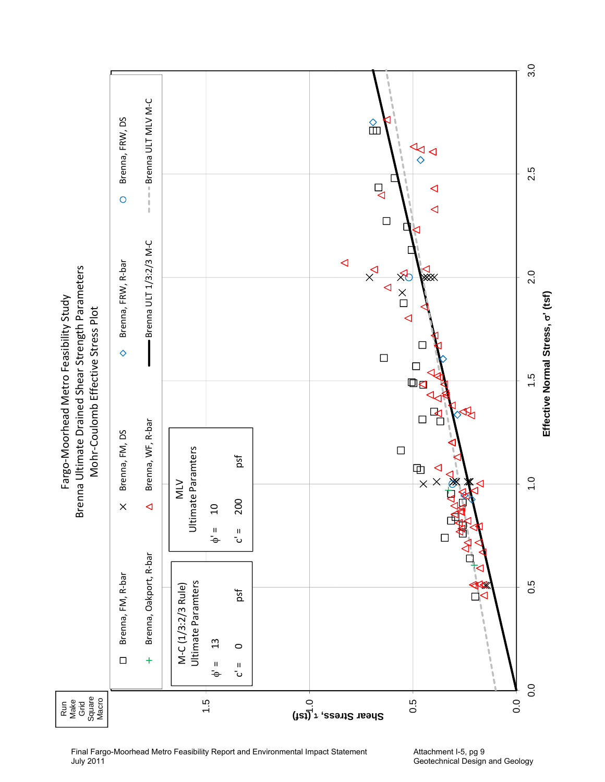

Final Fargo-Moorhead Metro Feasibility Report and Environmental Impact Statement July 2011

Attachment I-5, pg 9 Geotechnical Design and Geology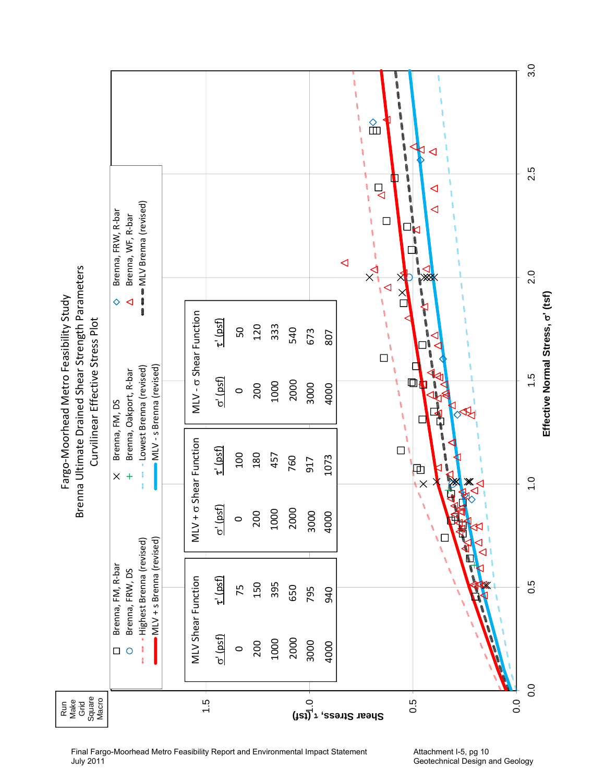

Final Fargo-Moorhead Metro Feasibility Report and Environmental Impact Statement July 2011

Attachment I-5, pg 10 Geotechnical Design and Geology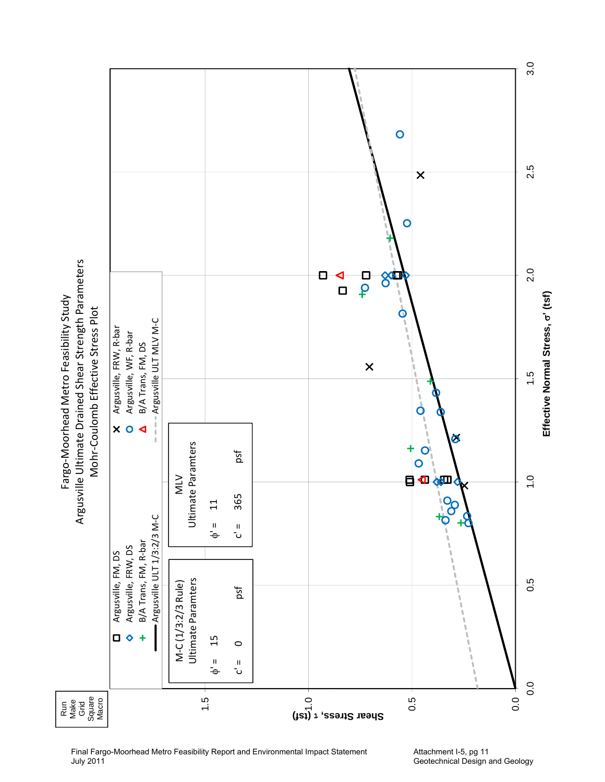

Final Fargo-Moorhead Metro Feasibility Report and Environmental Impact Statement July 2011

Attachment I-5, pg 11 Geotechnical Design and Geology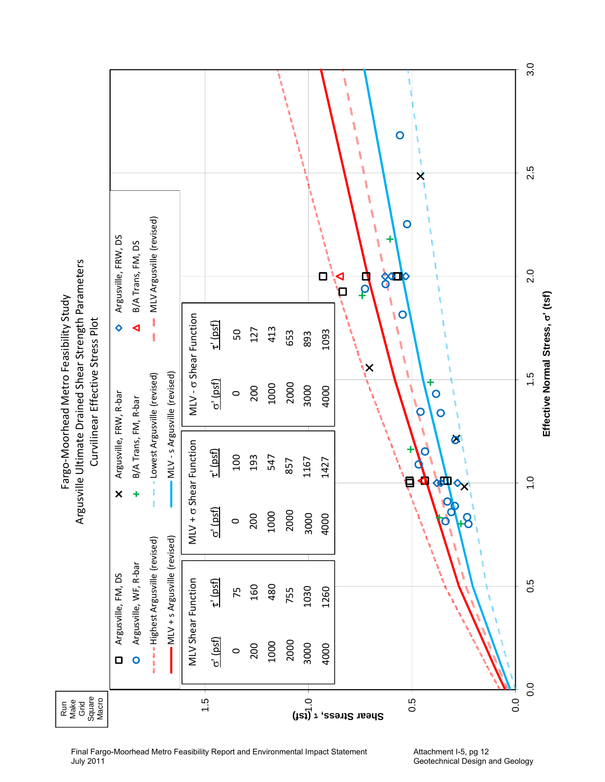|                                                                                                 |                         |                       |                               |                              |                                  |                 |         |     | V    |      |      |      | j<br>8<br>$\overline{O}$                                | 3.0                               |
|-------------------------------------------------------------------------------------------------|-------------------------|-----------------------|-------------------------------|------------------------------|----------------------------------|-----------------|---------|-----|------|------|------|------|---------------------------------------------------------|-----------------------------------|
|                                                                                                 |                         |                       |                               |                              |                                  |                 |         |     |      |      |      |      | ļ<br>X<br>1                                             | 2.5                               |
|                                                                                                 | Argusville, FRW, DS     | B/A Trans, FM, DS     | MLV Argusville (revised)      |                              |                                  |                 |         |     |      |      |      | О    | 1<br>$\mathbf 0$<br>esso)<br>۰<br><b>SALL</b><br>р<br>9 | 2.0                               |
| Argusville Ultimate Drained Shear Strength Parameters<br>Fargo-Moorhead Metro Feasibility Study | $\ddot{\mathbf{\circ}}$ | ◀                     |                               |                              | MLV- <sub>o</sub> Shear Function | $\tau'$ (psf)   | 50      | 127 | 413  | 653  | 893  | 1093 | $\circ$<br><b>B</b><br>١<br>ن<br>ماه<br>ماه<br>١        | Effective Normal Stress, o' (tsf) |
| Curvilinear Effective Stress Plot                                                               |                         |                       | - Lowest Argusville (revised) | MLV-s Argusville (revised)   |                                  | $\sigma'$ (psf) | $\circ$ | 200 | 1000 | 2000 | 3000 | 4000 | ١X<br>O<br>P<br>O                                       | 1.5                               |
|                                                                                                 | Argusville, FRW, R-bar  | B/A Trans, FM, R-bar  |                               |                              | MLV + o Shear Function           | $\tau'$ (psf)   | 100     | 193 | 547  | 857  | 1167 | 1427 | Ø<br>O<br>`ę<br>4<br>体<br>$\mathbf{Q}_{\mathbf{X}^*}$   | $\frac{0}{1}$                     |
|                                                                                                 | $\pmb{\times}$          | ٠                     |                               |                              |                                  | $\sigma'$ (psf) | $\circ$ | 200 | 1000 | 2000 | 3000 | 4000 | $\mathbf O$<br>$\boldsymbol{\beta}$<br>أسمعهم           |                                   |
|                                                                                                 | Argusville, FM, DS      | Argusville, WF, R-bar | «Highest Argusville (revised) | MLV + s Argusville (revised) | MLV Shear Function               | $\tau'$ (psf)   | 75      | 160 | 480  | 755  | 1030 | 1260 |                                                         | 0.5                               |
|                                                                                                 | $\Box$                  | $\bullet$             |                               |                              |                                  | $\sigma'$ (psf) | $\circ$ | 200 | 1000 | 2000 | 3000 | 4000 |                                                         | $\frac{0}{0}$                     |
| Grid<br>Square<br>Macro<br>Run<br>Make                                                          |                         |                       |                               |                              |                                  | 1.5             |         |     |      |      |      |      | (ist) $\tau$ , esent aread $\tilde{c}$<br>0.5<br>0.0    |                                   |

Final Fargo-Moorhead Metro Feasibility Report and Environmental Impact Statement July 2011

Attachment I-5, pg 12 Geotechnical Design and Geology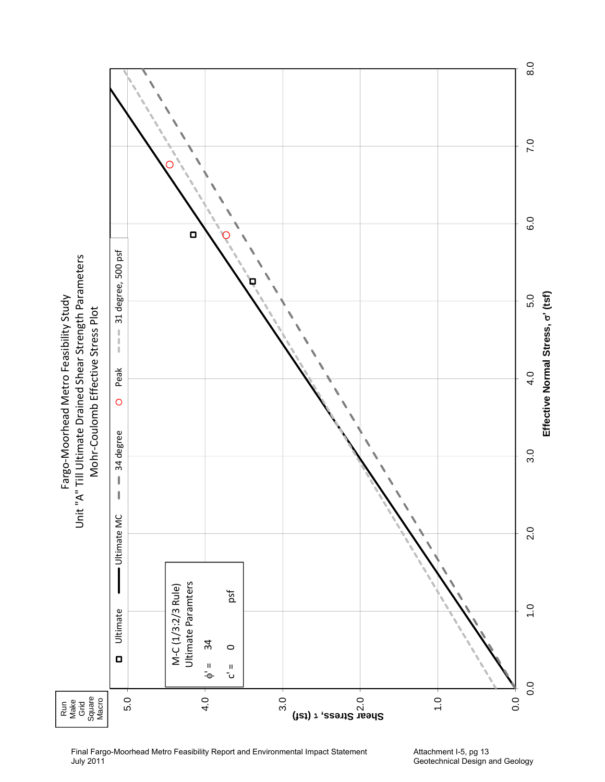

Final Fargo-Moorhead Metro Feasibility Report and Environmental Impact Statement July 2011

Attachment I-5, pg 13 Geotechnical Design and Geology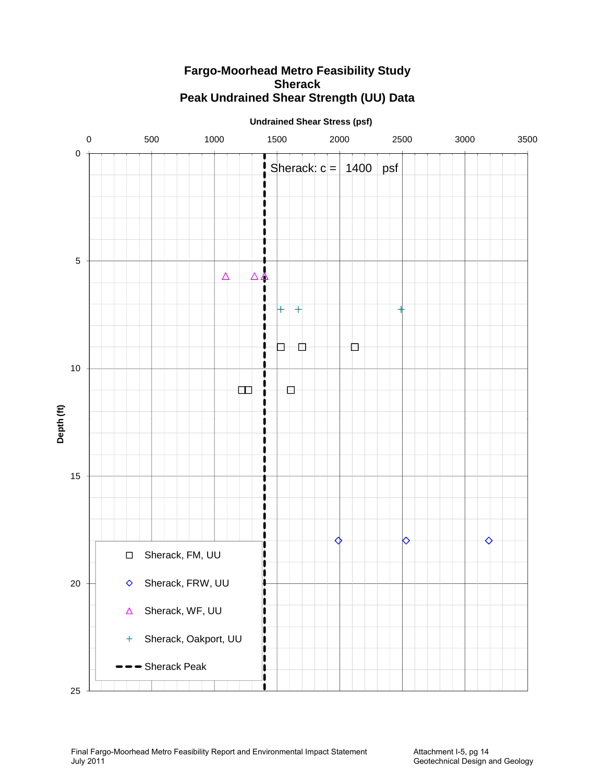#### **Undrained Shear Stress (psf)** 0 500 1000 1500 2000 2500 3000 3500 0 Sherack:  $c = | 1400 | psf$ 1 1 1 1 n 1 1 1 5 1  $\triangle$ Λ 4 1 1 1  $\overline{+}$  $+$ 1 1 1 1 D.  $\Box$  $\Box$  $\mathbf{I}$ I 10 U 田  $\Box$ 1 **(ft)** 1 **Depth**  1 1 1  $\mathbf{I}$  $\mathbf{\mathbf{I}}$ 15 ı 1  $\mathbf \iota$ 1 1 1 ♦  $\bullet$ ♦ 1 Sherack, FM, UU  $\mathbf{I}$  $\Box$  $\vert \mathbf{l} \vert$ 20 Sherack, FRW, UU I  $\Diamond$  $\mathbf I$  $\mathbf{i}$ Sherack, WF, UU  $\Delta$ I j Sherack, Oakport, UU  $+$  $\mathbf{\mathsf{I}}$ I İ - Sherack Peak  $\mathbf{i}$ II 1 25

# **Fargo-Moorhead Metro Feasibility Study Sherack Peak Undrained Shear Strength (UU) Data**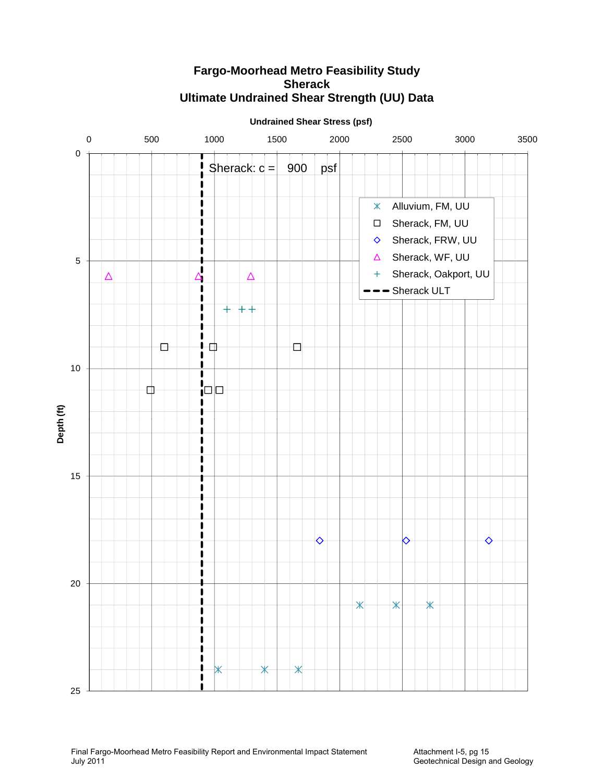

# **Fargo-Moorhead Metro Feasibility Study Sherack Ultimate Undrained Shear Strength (UU) Data**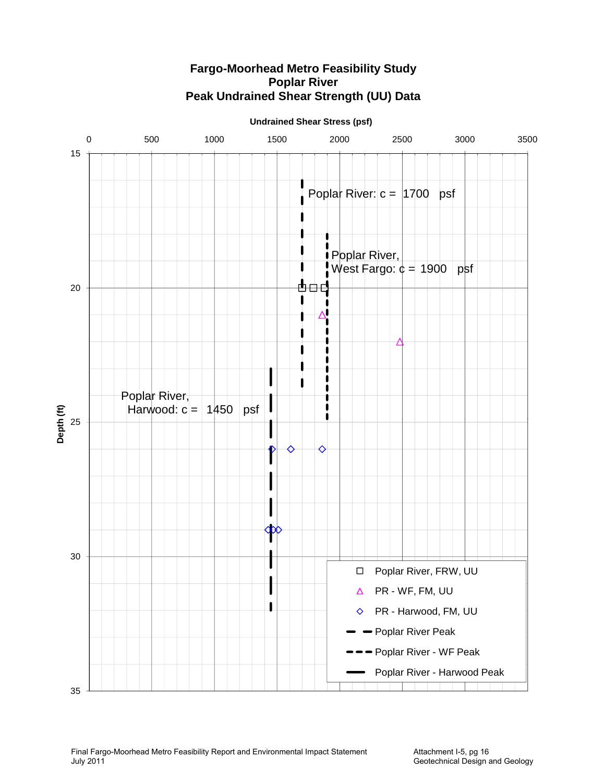

# **Fargo-Moorhead Metro Feasibility Study Poplar River Peak Undrained Shear Strength (UU) Data**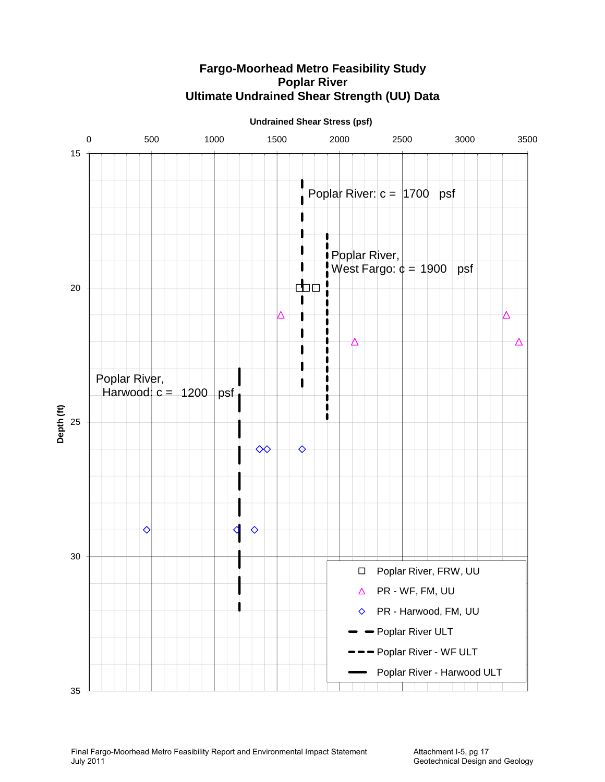

# **Fargo-Moorhead Metro Feasibility Study Poplar River Ultimate Undrained Shear Strength (UU) Data**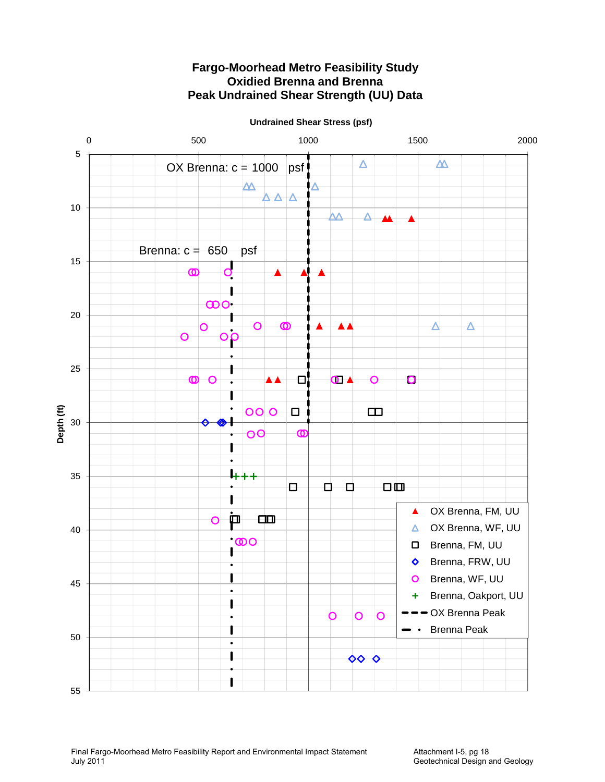

# **Fargo-Moorhead Metro Feasibility Study Oxidied Brenna and Brenna Peak Undrained Shear Strength (UU) Data**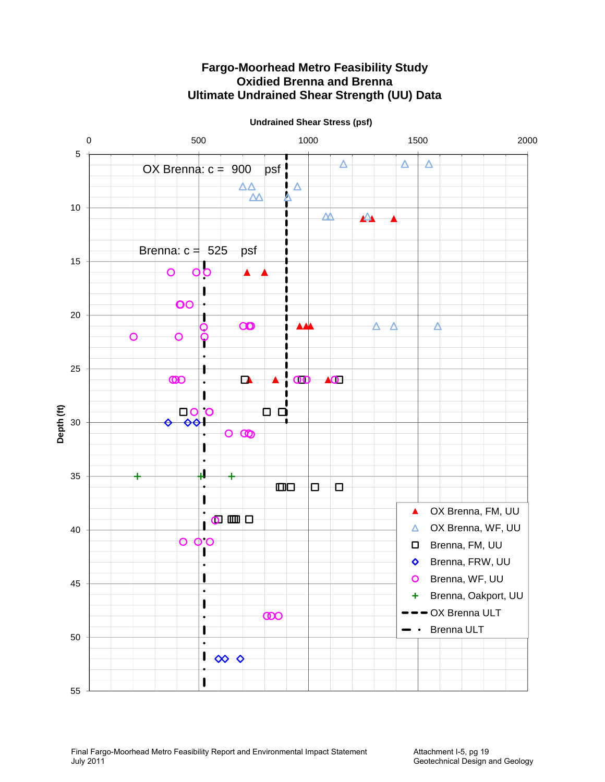

# **Fargo-Moorhead Metro Feasibility Study Oxidied Brenna and Brenna Ultimate Undrained Shear Strength (UU) Data**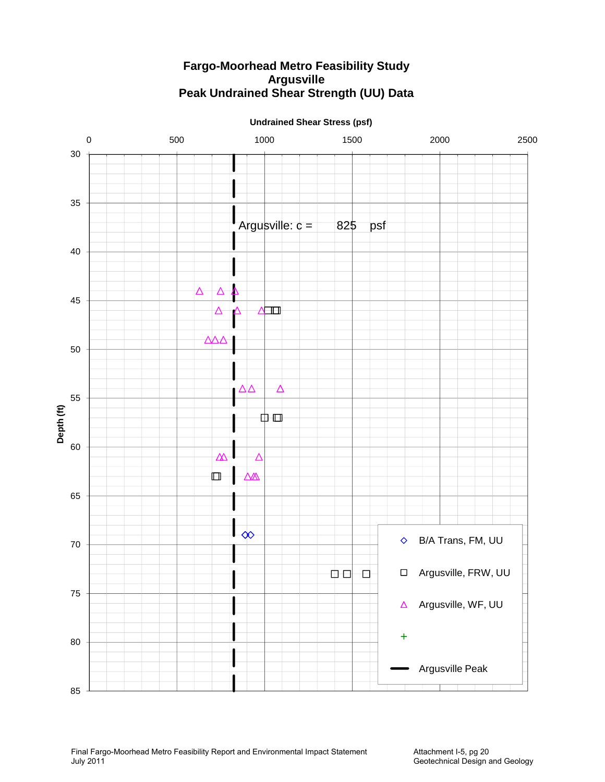# **Fargo-Moorhead Metro Feasibility Study Argusville Peak Undrained Shear Strength (UU) Data**

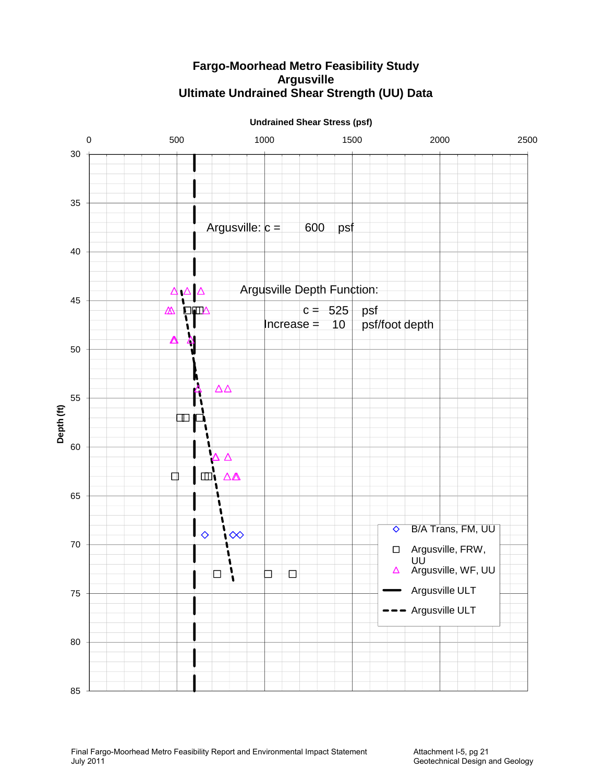# **Fargo-Moorhead Metro Feasibility Study Argusville Ultimate Undrained Shear Strength (UU) Data**



**Undrained Shear Stress (psf)**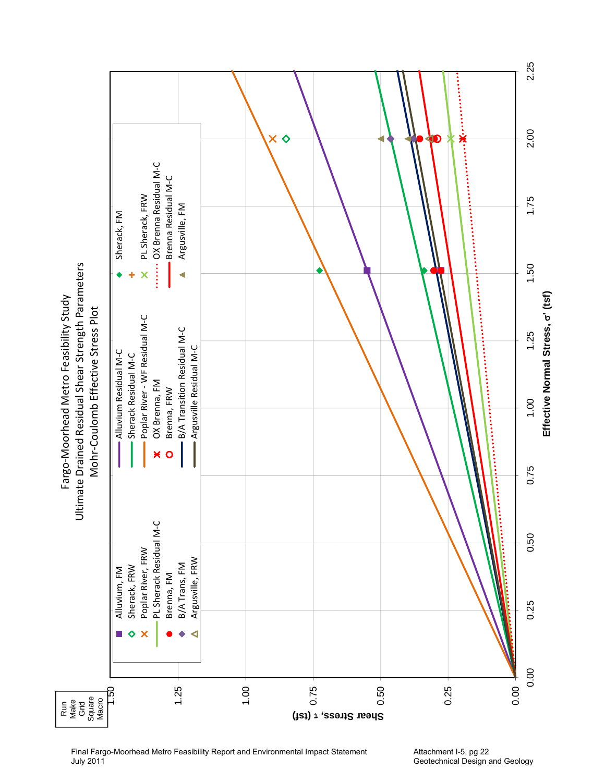

Attachment I-5, pg 22 Geotechnical Design and Geology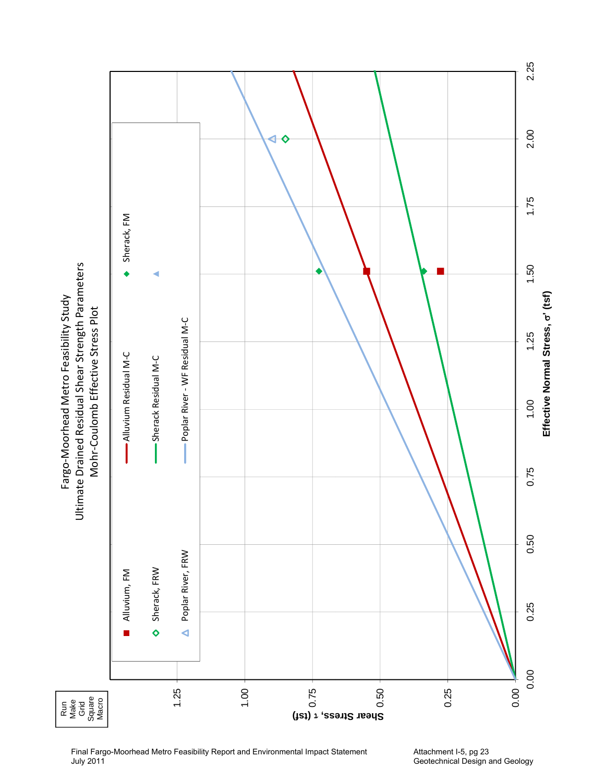

Final Fargo-Moorhead Metro Feasibility Report and Environmental Impact Statement July 2011

Attachment I-5, pg 23 Geotechnical Design and Geology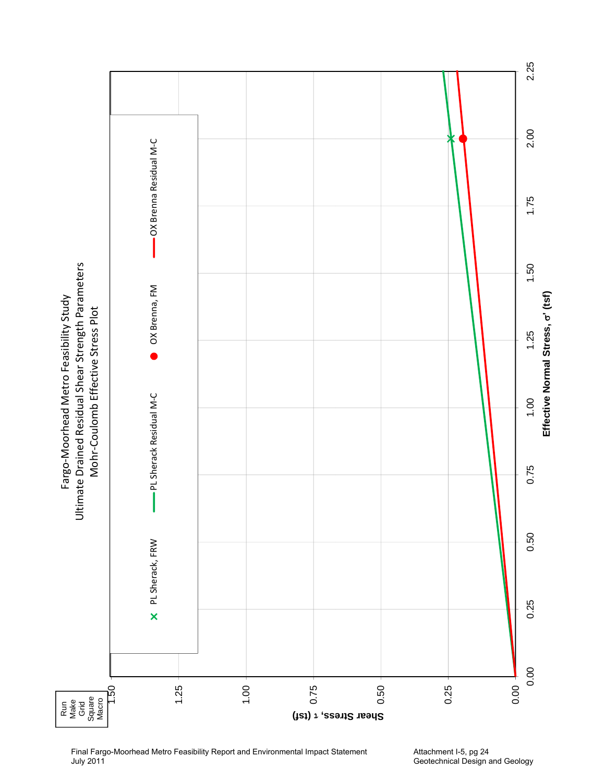

Final Fargo-Moorhead Metro Feasibility Report and Environmental Impact Statement July 2011

Attachment I-5, pg 24 Geotechnical Design and Geology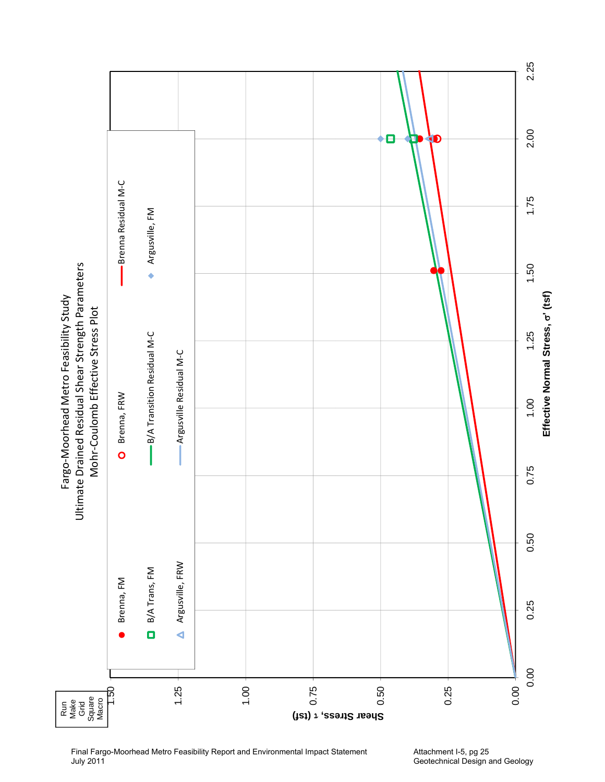

Final Fargo-Moorhead Metro Feasibility Report and Environmental Impact Statement July 2011

Attachment I-5, pg 25 Geotechnical Design and Geology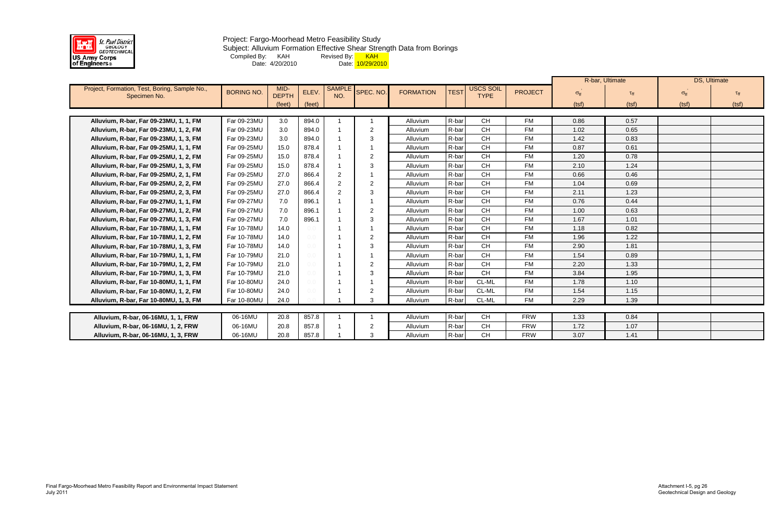

### Project: Fargo-Moorhead Metro Feasibility Study Subject: Alluvium Formation Effective Shear Strength Data from Borings Compiled By: KAH Revised By: <mark> KAH</mark> Date: 4/20/2010 Date: <mark>10/29/2010</mark>

|                                               |                   |              |         |                |                |                  |             |             |                | R-bar, Ultimate   |                 | <b>DS, Ultimate</b>  |       |
|-----------------------------------------------|-------------------|--------------|---------|----------------|----------------|------------------|-------------|-------------|----------------|-------------------|-----------------|----------------------|-------|
| Project, Formation, Test, Boring, Sample No., | <b>BORING NO.</b> | MID-         | ELEV.   | <b>SAMPL</b>   | SPEC. NO.      | <b>FORMATION</b> | <b>TEST</b> | USCS SOIL   | <b>PROJECT</b> | $\sigma_{\rm ff}$ | $\tau_{\rm ff}$ | $\sigma_{\text{ff}}$ |       |
| Specimen No.                                  |                   | <b>DEPTH</b> |         | NO.            |                |                  |             | <b>TYPE</b> |                |                   |                 |                      |       |
|                                               |                   | (feet)       | (feet)  |                |                |                  |             |             |                | (tsf)             | (tsf)           | (tsf)                | (tsf) |
| Alluvium, R-bar, Far 09-23MU, 1, 1, FM        | Far 09-23MU       | 3.0          | 894.0   |                |                | Alluvium         | R-bar       | <b>CH</b>   | <b>FM</b>      | 0.86              | 0.57            |                      |       |
| Alluvium, R-bar, Far 09-23MU, 1, 2, FM        | Far 09-23MU       | 3.0          | 894.0   |                | $\overline{2}$ | Alluvium         | R-bar       | <b>CH</b>   | <b>FM</b>      | 1.02              | 0.65            |                      |       |
|                                               | Far 09-23MU       | 3.0          | 894.0   |                | 3              | Alluvium         | R-bar       | <b>CH</b>   | <b>FM</b>      | 1.42              | 0.83            |                      |       |
| Alluvium, R-bar, Far 09-23MU, 1, 3, FM        |                   |              |         |                |                |                  | R-bar       |             |                |                   |                 |                      |       |
| Alluvium, R-bar, Far 09-25MU, 1, 1, FM        | Far 09-25MU       | 15.0         | 878.4   |                |                | Alluvium         |             | <b>CH</b>   | <b>FM</b>      | 0.87              | 0.61            |                      |       |
| Alluvium, R-bar, Far 09-25MU, 1, 2, FM        | Far 09-25MU       | 15.0         | 878.4   |                | $\overline{2}$ | Alluvium         | R-bar       | <b>CH</b>   | <b>FM</b>      | 1.20              | 0.78            |                      |       |
| Alluvium, R-bar, Far 09-25MU, 1, 3, FM        | Far 09-25MU       | 15.0         | 878.4   |                | 3              | Alluvium         | R-bar       | <b>CH</b>   | <b>FM</b>      | 2.10              | 1.24            |                      |       |
| Alluvium, R-bar, Far 09-25MU, 2, 1, FM        | Far 09-25MU       | 27.0         | 866.4   | 2              |                | Alluvium         | R-bar       | <b>CH</b>   | <b>FM</b>      | 0.66              | 0.46            |                      |       |
| Alluvium, R-bar, Far 09-25MU, 2, 2, FM        | Far 09-25MU       | 27.0         | 866.4   | $\overline{2}$ | $\overline{2}$ | Alluvium         | R-bar       | <b>CH</b>   | <b>FM</b>      | 1.04              | 0.69            |                      |       |
| Alluvium, R-bar, Far 09-25MU, 2, 3, FM        | Far 09-25MU       | 27.0         | 866.4   | 2              | -3             | Alluvium         | R-bar       | CH          | <b>FM</b>      | 2.11              | 1.23            |                      |       |
| Alluvium, R-bar, Far 09-27MU, 1, 1, FM        | Far 09-27MU       | 7.0          | 896.1   |                |                | Alluvium         | R-bar       | CH          | <b>FM</b>      | 0.76              | 0.44            |                      |       |
| Alluvium, R-bar, Far 09-27MU, 1, 2, FM        | Far 09-27MU       | 7.0          | 896.1   |                | $\overline{2}$ | Alluvium         | R-bar       | <b>CH</b>   | <b>FM</b>      | 1.00              | 0.63            |                      |       |
| Alluvium, R-bar, Far 09-27MU, 1, 3, FM        | Far 09-27MU       | 7.0          | 896.1   |                | 3              | Alluvium         | R-bar       | <b>CH</b>   | <b>FM</b>      | 1.67              | 1.01            |                      |       |
| Alluvium, R-bar, Far 10-78MU, 1, 1, FM        | Far 10-78MU       | 14.0         | 0.0     |                |                | Alluvium         | R-bar       | <b>CH</b>   | <b>FM</b>      | 1.18              | 0.82            |                      |       |
| Alluvium, R-bar, Far 10-78MU, 1, 2, FM        | Far 10-78MU       | 14.0         | 0.0     |                | $\overline{2}$ | Alluvium         | R-bar       | CH          | <b>FM</b>      | 1.96              | 1.22            |                      |       |
| Alluvium, R-bar, Far 10-78MU, 1, 3, FM        | Far 10-78MU       | 14.0         | 0.0     |                | 3              | Alluvium         | R-bar       | <b>CH</b>   | <b>FM</b>      | 2.90              | 1.81            |                      |       |
| Alluvium, R-bar, Far 10-79MU, 1, 1, FM        | Far 10-79MU       | 21.0         | $0.0 -$ |                |                | Alluvium         | R-bar       | <b>CH</b>   | <b>FM</b>      | 1.54              | 0.89            |                      |       |
| Alluvium, R-bar, Far 10-79MU, 1, 2, FM        | Far 10-79MU       | 21.0         | $0.0 -$ |                | 2              | Alluvium         | R-bar       | <b>CH</b>   | <b>FM</b>      | 2.20              | 1.33            |                      |       |
| Alluvium, R-bar, Far 10-79MU, 1, 3, FM        | Far 10-79MU       | 21.0         | $0.0 -$ |                | 3              | Alluvium         | R-bar       | CH          | <b>FM</b>      | 3.84              | 1.95            |                      |       |
| Alluvium, R-bar, Far 10-80MU, 1, 1, FM        | Far 10-80MU       | 24.0         | 0.0     |                |                | Alluvium         | R-bar       | CL-ML       | <b>FM</b>      | 1.78              | 1.10            |                      |       |
| Alluvium, R-bar, Far 10-80MU, 1, 2, FM        | Far 10-80MU       | 24.0         | $0.0 -$ |                | $\overline{2}$ | Alluvium         | R-bar       | CL-ML       | <b>FM</b>      | 1.54              | 1.15            |                      |       |
| Alluvium, R-bar, Far 10-80MU, 1, 3, FM        | Far 10-80MU       | 24.0         |         |                | 3              | Alluvium         | R-bar       | CL-ML       | <b>FM</b>      | 2.29              | 1.39            |                      |       |
|                                               |                   |              |         |                |                |                  |             |             |                |                   |                 |                      |       |
| Alluvium, R-bar, 06-16MU, 1, 1, FRW           | 06-16MU           | 20.8         | 857.8   |                |                | Alluvium         | R-bar       | CH          | <b>FRW</b>     | 1.33              | 0.84            |                      |       |
| Alluvium, R-bar, 06-16MU, 1, 2, FRW           | 06-16MU           | 20.8         | 857.8   |                | $\overline{2}$ | Alluvium         | R-bar       | <b>CH</b>   | <b>FRW</b>     | 1.72              | 1.07            |                      |       |
| Alluvium, R-bar, 06-16MU, 1, 3, FRW           | 06-16MU           | 20.8         | 857.8   |                | 3              | Alluvium         | R-bar       | <b>CH</b>   | <b>FRW</b>     | 3.07              | 1.41            |                      |       |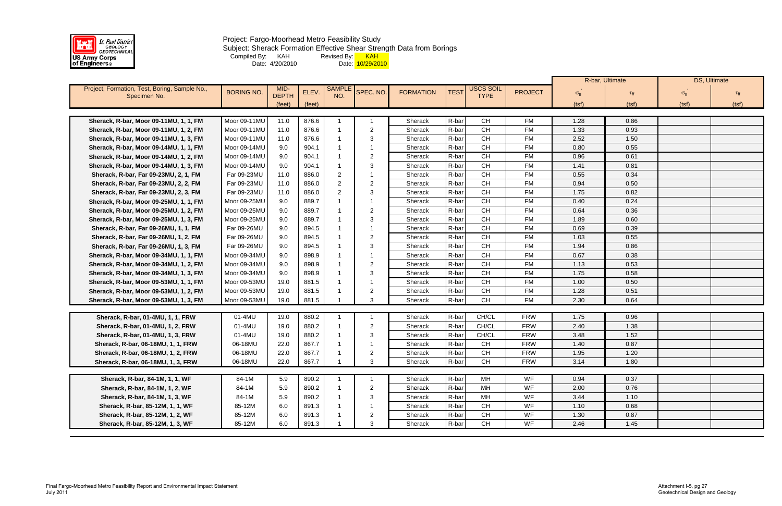

#### Project: Fargo-Moorhead Metro Feasibility Study Subject: Sherack Formation Effective Shear Strength Data from Borings Compiled By: KAH Revised By: <mark> KAH</mark> Date: 4/20/2010 Date: <mark>10/29/2010</mark>

|                                               |                   |              |        |              |                |                  |             |             |                |                      | R-bar, Ultimate    |                      | DS, Ultimate |
|-----------------------------------------------|-------------------|--------------|--------|--------------|----------------|------------------|-------------|-------------|----------------|----------------------|--------------------|----------------------|--------------|
| Project, Formation, Test, Boring, Sample No., | <b>BORING NO.</b> | MID-         | ELEV.  | <b>SAMPL</b> | SPEC. NO.      | <b>FORMATION</b> | <b>TEST</b> | USCS SOIL   | <b>PROJECT</b> | $\sigma_{\text{ff}}$ | $\tau_{\text{ff}}$ | $\sigma_{\text{ff}}$ |              |
| Specimen No.                                  |                   | <b>DEPTH</b> |        | NO.          |                |                  |             | <b>TYPE</b> |                |                      |                    |                      |              |
|                                               |                   | (feet)       | (feet) |              |                |                  |             |             |                | (tsf)                | (tsf)              | (tsf)                | (tsf)        |
| Sherack, R-bar, Moor 09-11MU, 1, 1, FM        | Moor 09-11MU      | 11.0         | 876.6  |              |                | Sherack          | R-bar       | <b>CH</b>   | <b>FM</b>      | 1.28                 | 0.86               |                      |              |
| Sherack, R-bar, Moor 09-11MU, 1, 2, FM        | Moor 09-11MU      | 11.0         | 876.6  |              | $\overline{2}$ | Sherack          | R-bar       | <b>CH</b>   | <b>FM</b>      | 1.33                 | 0.93               |                      |              |
| Sherack, R-bar, Moor 09-11MU, 1, 3, FM        | Moor 09-11MU      | 11.0         | 876.6  |              | 3              | Sherack          | R-bar       | CH          | <b>FM</b>      | 2.52                 | 1.50               |                      |              |
| Sherack, R-bar, Moor 09-14MU, 1, 1, FM        | Moor 09-14MU      | 9.0          | 904.1  |              |                | Sherack          | R-bar       | <b>CH</b>   | <b>FM</b>      | 0.80                 | 0.55               |                      |              |
| Sherack, R-bar, Moor 09-14MU, 1, 2, FM        | Moor 09-14MU      | 9.0          | 904.1  |              | 2              | Sherack          | R-bar       | <b>CH</b>   | <b>FM</b>      | 0.96                 | 0.61               |                      |              |
| Sherack, R-bar, Moor 09-14MU, 1, 3, FM        | Moor 09-14MU      | 9.0          | 904.1  |              | 3              | Sherack          | R-bar       | CH          | <b>FM</b>      | 1.41                 | 0.81               |                      |              |
| Sherack, R-bar, Far 09-23MU, 2, 1, FM         | Far 09-23MU       | 11.0         | 886.0  | 2            |                | Sherack          | R-bar       | <b>CH</b>   | <b>FM</b>      | 0.55                 | 0.34               |                      |              |
| Sherack, R-bar, Far 09-23MU, 2, 2, FM         | Far 09-23MU       | 11.0         | 886.0  | 2            | 2              | Sherack          | R-bar       | <b>CH</b>   | <b>FM</b>      | 0.94                 | 0.50               |                      |              |
| Sherack, R-bar, Far 09-23MU, 2, 3, FM         | Far 09-23MU       | 11.0         | 886.0  | 2            | 3              | Sherack          | R-bar       | CH          | <b>FM</b>      | 1.75                 | 0.82               |                      |              |
| Sherack, R-bar, Moor 09-25MU, 1, 1, FM        | Moor 09-25MU      | 9.0          | 889.7  |              |                | Sherack          | R-bar       | <b>CH</b>   | <b>FM</b>      | 0.40                 | 0.24               |                      |              |
| Sherack, R-bar, Moor 09-25MU, 1, 2, FM        | Moor 09-25MU      | 9.0          | 889.7  |              | 2              | Sherack          | R-bar       | <b>CH</b>   | <b>FM</b>      | 0.64                 | 0.36               |                      |              |
| Sherack, R-bar, Moor 09-25MU, 1, 3, FM        | Moor 09-25MU      | 9.0          | 889.7  |              | 3              | Sherack          | R-bar       | <b>CH</b>   | <b>FM</b>      | 1.89                 | 0.60               |                      |              |
| Sherack, R-bar, Far 09-26MU, 1, 1, FM         | Far 09-26MU       | 9.0          | 894.5  |              |                | Sherack          | R-bar       | <b>CH</b>   | <b>FM</b>      | 0.69                 | 0.39               |                      |              |
| Sherack, R-bar, Far 09-26MU, 1, 2, FM         | Far 09-26MU       | 9.0          | 894.5  |              | 2              | Sherack          | R-bar       | <b>CH</b>   | <b>FM</b>      | 1.03                 | 0.55               |                      |              |
| Sherack, R-bar, Far 09-26MU, 1, 3, FM         | Far 09-26MU       | 9.0          | 894.5  |              | 3              | Sherack          | R-bar       | CH          | <b>FM</b>      | 1.94                 | 0.86               |                      |              |
| Sherack, R-bar, Moor 09-34MU, 1, 1, FM        | Moor 09-34MU      | 9.0          | 898.9  |              |                | Sherack          | R-bar       | <b>CH</b>   | <b>FM</b>      | 0.67                 | 0.38               |                      |              |
| Sherack, R-bar, Moor 09-34MU, 1, 2, FM        | Moor 09-34MU      | 9.0          | 898.9  |              | 2              | Sherack          | R-bar       | <b>CH</b>   | <b>FM</b>      | 1.13                 | 0.53               |                      |              |
| Sherack, R-bar, Moor 09-34MU, 1, 3, FM        | Moor 09-34MU      | 9.0          | 898.9  |              | 3              | Sherack          | R-bar       | CH          | <b>FM</b>      | 1.75                 | 0.58               |                      |              |
| Sherack, R-bar, Moor 09-53MU, 1, 1, FM        | Moor 09-53MU      | 19.0         | 881.5  |              |                | Sherack          | R-bar       | <b>CH</b>   | <b>FM</b>      | 1.00                 | 0.50               |                      |              |
| Sherack, R-bar, Moor 09-53MU, 1, 2, FM        | Moor 09-53MU      | 19.0         | 881.5  |              | 2              | Sherack          | R-bar       | <b>CH</b>   | <b>FM</b>      | 1.28                 | 0.51               |                      |              |
| Sherack, R-bar, Moor 09-53MU, 1, 3, FM        | Moor 09-53MU      | 19.0         | 881.5  |              | 3              | Sherack          | R-bar       | <b>CH</b>   | <b>FM</b>      | 2.30                 | 0.64               |                      |              |
|                                               |                   |              |        |              |                |                  |             |             |                |                      |                    |                      |              |
| Sherack, R-bar, 01-4MU, 1, 1, FRW             | 01-4MU            | 19.0         | 880.2  |              |                | Sherack          | R-bar       | CH/CL       | <b>FRW</b>     | 1.75                 | 0.96               |                      |              |
| Sherack, R-bar, 01-4MU, 1, 2, FRW             | 01-4MU            | 19.0         | 880.2  |              | 2              | Sherack          | R-bar       | CH/CL       | <b>FRW</b>     | 2.40                 | 1.38               |                      |              |
| Sherack, R-bar, 01-4MU, 1, 3, FRW             | 01-4MU            | 19.0         | 880.2  |              | 3              | Sherack          | R-bar       | CH/CL       | <b>FRW</b>     | 3.48                 | 1.52               |                      |              |
| Sherack, R-bar, 06-18MU, 1, 1, FRW            | 06-18MU           | 22.0         | 867.7  |              |                | Sherack          | R-bar       | <b>CH</b>   | <b>FRW</b>     | 1.40                 | 0.87               |                      |              |
| Sherack, R-bar, 06-18MU, 1, 2, FRW            | 06-18MU           | 22.0         | 867.7  |              | 2              | Sherack          | R-bar       | <b>CH</b>   | <b>FRW</b>     | 1.95                 | 1.20               |                      |              |
| Sherack, R-bar, 06-18MU, 1, 3, FRW            | 06-18MU           | 22.0         | 867.7  | - 1 -        | ر ب            | Sherack          | R-bar       | CH          | <b>FRW</b>     | 3.14                 | 1.80               |                      |              |
|                                               |                   |              |        |              |                |                  |             |             |                |                      |                    |                      |              |
| Sherack, R-bar, 84-1M, 1, 1, WF               | 84-1M             | 5.9          | 890.2  |              |                | Sherack          | R-bar       | МH          | WF             | 0.94                 | 0.37               |                      |              |
| Sherack, R-bar, 84-1M, 1, 2, WF               | 84-1M             | 5.9          | 890.2  |              | $\overline{2}$ | Sherack          | R-bar       | MH          | WF             | 2.00                 | 0.76               |                      |              |
| Sherack, R-bar, 84-1M, 1, 3, WF               | 84-1M             | 5.9          | 890.2  |              | 3              | Sherack          | R-bar       | MH          | WF             | 3.44                 | 1.10               |                      |              |
| Sherack, R-bar, 85-12M, 1, 1, WF              | 85-12M            | 6.0          | 891.3  |              |                | Sherack          | R-bar       | CH          | WF             | 1.10                 | 0.68               |                      |              |
| Sherack, R-bar, 85-12M, 1, 2, WF              | 85-12M            | 6.0          | 891.3  |              | $\overline{2}$ | Sherack          | R-bar       | CH          | WF             | 1.30                 | 0.87               |                      |              |
| Sherack, R-bar, 85-12M, 1, 3, WF              | 85-12M            | 6.0          | 891.3  |              | 3              | Sherack          | R-bar       | CH          | WF             | 2.46                 | 1.45               |                      |              |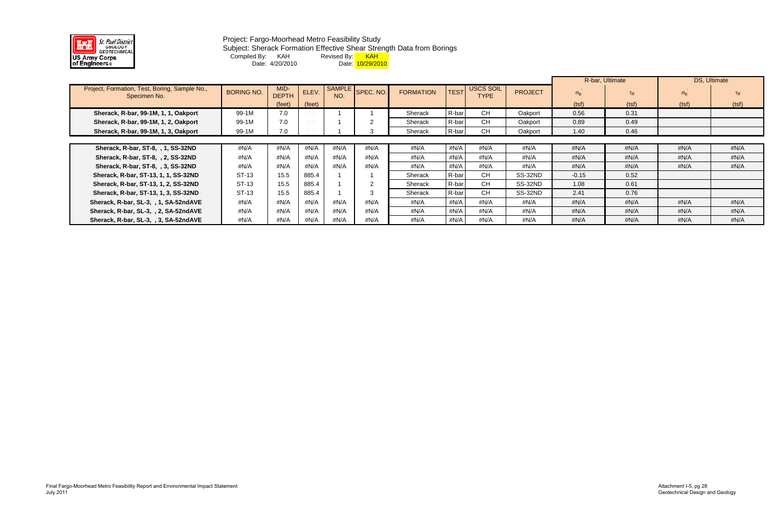

#### Project: Fargo-Moorhead Metro Feasibility Study Subject: Sherack Formation Effective Shear Strength Data from Borings Compiled By: KAH Revised By: <mark> KAH</mark> Date: 4/20/2010 Date: <mark>10/29/2010</mark>

|                                                               |                   |                      |        |                      |                |                  |             |                                 |                |                   | R-bar, Ultimate | DS, Ultimate         |                 |
|---------------------------------------------------------------|-------------------|----------------------|--------|----------------------|----------------|------------------|-------------|---------------------------------|----------------|-------------------|-----------------|----------------------|-----------------|
| Project, Formation, Test, Boring, Sample No.,<br>Specimen No. | <b>BORING NO.</b> | MID-<br><b>DEPTH</b> | ELEV.  | <b>SAMPLE</b><br>NO. | SPEC. NO.      | <b>FORMATION</b> | <b>TEST</b> | <b>USCS SOIL</b><br><b>TYPE</b> | <b>PROJECT</b> | $\sigma_{\rm ff}$ | $\tau_{\rm ff}$ | $\sigma_{\text{ff}}$ | $\tau_{\rm ff}$ |
|                                                               |                   | (feet)               | (feet) |                      |                |                  |             |                                 |                | (tsf)             | (tsf)           | (tsf)                | (tsf)           |
| Sherack, R-bar, 99-1M, 1, 1, Oakport                          | 99-1M             | 7.0                  |        |                      |                | Sherack          | R-bar       | <b>CH</b>                       | Oakport        | 0.56              | 0.31            |                      |                 |
| Sherack, R-bar, 99-1M, 1, 2, Oakport                          | 99-1M             | 7.0                  |        |                      |                | Sherack          | R-bar       | <b>CH</b>                       | Oakport        | 0.89              | 0.49            |                      |                 |
| Sherack, R-bar, 99-1M, 1, 3, Oakport                          | 99-1M             | 7.0                  |        |                      |                | Sherack          | R-bar       | <b>CH</b>                       | Oakport        | 1.40              | 0.46            |                      |                 |
|                                                               |                   |                      |        |                      |                |                  |             |                                 |                |                   |                 |                      |                 |
| Sherack, R-bar, ST-8, , 1, SS-32ND                            | #N/A              | #N/A                 | #N/A   | #N/A                 | #N/A           | #N/A             | #N/A        | #N/A                            | #N/A           | #N/A              | # $N/A$         | $\#N/A$              | #N/A            |
| Sherack, R-bar, ST-8, , 2, SS-32ND                            | #N/A              | #N/A                 | #N/A   | #N/A                 | #N/A           | #N/A             | #N/A        | #N/A                            | #N/A           | #N/A              | # $N/A$         | # $N/A$              | #N/A            |
| Sherack, R-bar, ST-8, , 3, SS-32ND                            | #N/A              | #N/A                 | #N/A   | $\#N/A$              | #N/A           | #N/A             | #N/A        | #N/A                            | #N/A           | #N/A              | # $N/A$         | #N/A                 | #N/A            |
| Sherack, R-bar, ST-13, 1, 1, SS-32ND                          | ST-13             | 15.5                 | 885.4  |                      |                | Sherack          | R-bar       | <b>CH</b>                       | SS-32ND        | $-0.15$           | 0.52            |                      |                 |
| Sherack, R-bar, ST-13, 1, 2, SS-32ND                          | ST-13             | 15.5                 | 885.4  |                      | $\overline{2}$ | Sherack          | R-bar       | CH.                             | SS-32ND        | 1.08              | 0.61            |                      |                 |
| Sherack, R-bar, ST-13, 1, 3, SS-32ND                          | ST-13             | 15.5                 | 885.4  |                      |                | Sherack          | R-bar       | <b>CH</b>                       | SS-32ND        | 2.41              | 0.76            |                      |                 |
| Sherack, R-bar, SL-3, , 1, SA-52ndAVE                         | #N/A              | #N/A                 | #N/A   | #N/A                 | #N/A           | #N/A             | #N/A        | #N/A                            | #N/A           | #N/A              | #N/A            | #N/A                 | #N/A            |
| Sherack, R-bar, SL-3, , 2, SA-52ndAVE                         | #N/A              | #N/A                 | #N/A   | $\#N/A$              | #N/A           | #N/A             | #N/A        | #N/A                            | #N/A           | #N/A              | # $N/A$         | # $N/A$              | #N/A            |
| Sherack, R-bar, SL-3, , 3, SA-52ndAVE                         | #N/A              | #N/A                 | #N/A   | $\#N/A$              | #N/A           | #N/A             | #N/A        | $\#N/A$                         | #N/A           | #N/A              | # $N/A$         | # $N/A$              | #N/A            |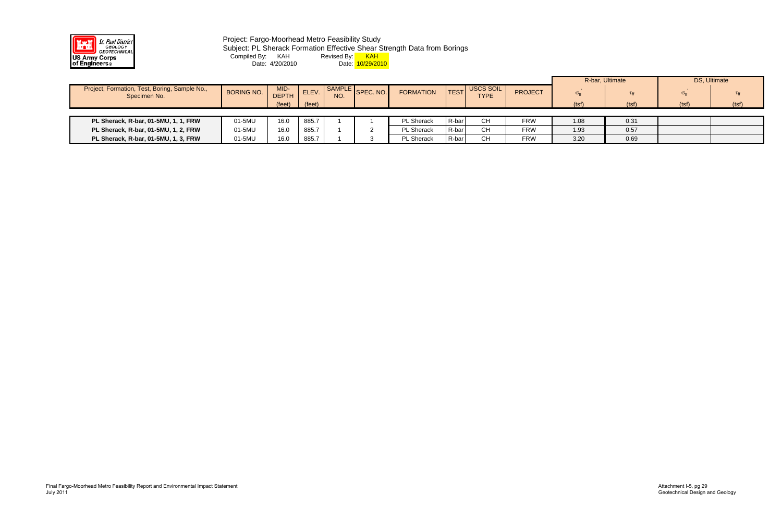

Project: Fargo-Moorhead Metro Feasibility Study Subject: PL Sherack Formation Effective Shear Strength Data from Borings Compiled By: KAH Revised By: <mark> KAH</mark> Date: 4/20/2010 Date: <mark>10/29/2010</mark>

|                                                               |                   |                      |        |     |                  |                   |             |                                 |                | R-bar, Ultimate   |       | DS, Ultimate         |                 |
|---------------------------------------------------------------|-------------------|----------------------|--------|-----|------------------|-------------------|-------------|---------------------------------|----------------|-------------------|-------|----------------------|-----------------|
| Project, Formation, Test, Boring, Sample No.,<br>Specimen No. | <b>BORING NO.</b> | MID-<br><b>DEPTH</b> | ELEV.  | NO. | SAMPLE SPEC. NO. | <b>FORMATION</b>  | <b>TEST</b> | <b>USCS SOIL</b><br><b>TYPE</b> | <b>PROJECT</b> | $\sigma_{\rm ff}$ |       | $\sigma_{\text{ff}}$ | $\tau_{\rm ff}$ |
|                                                               |                   | $(\text{feet})$      | (feet) |     |                  |                   |             |                                 |                | (tsf)             | (tsf) | (tsf)                | (tsf)           |
|                                                               |                   |                      |        |     |                  |                   |             |                                 |                |                   |       |                      |                 |
| PL Sherack, R-bar, 01-5MU, 1, 1, FRW                          | 01-5MU            | 16.0                 | 885.7  |     |                  | PL Sherack        | R-bar       | CН                              | <b>FRW</b>     | 1.08              | 0.31  |                      |                 |
| PL Sherack, R-bar, 01-5MU, 1, 2, FRW                          | 01-5MU            | 16.0                 | 885.7  |     |                  | <b>PL Sherack</b> | R-bar       | <b>CH</b>                       | <b>FRW</b>     | 1.93              | 0.57  |                      |                 |
| PL Sherack, R-bar, 01-5MU, 1, 3, FRW                          | 01-5MU            | 16.0                 | 885.7  |     |                  | <b>PL Sherack</b> | R-bar       | <b>CH</b>                       | <b>FRW</b>     | 3.20              | 0.69  |                      |                 |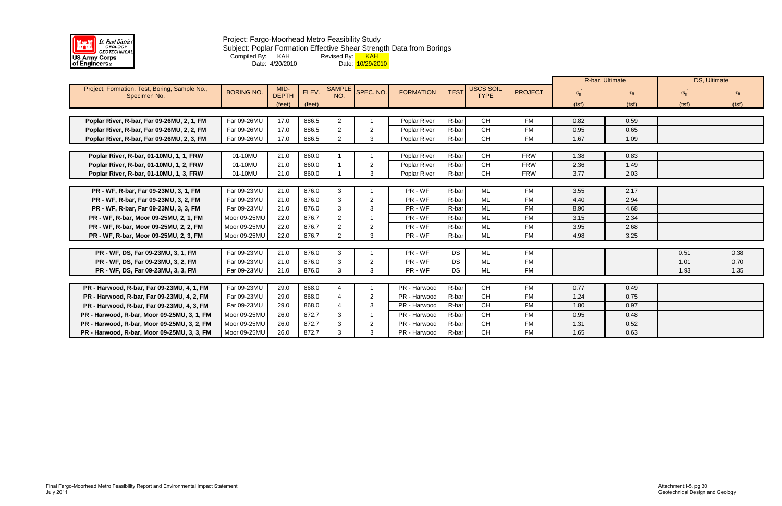

### Project: Fargo-Moorhead Metro Feasibility Study Subject: Poplar Formation Effective Shear Strength Data from Borings Compiled By: KAH Revised By: <mark> KAH</mark> Date: 4/20/2010 Date: <mark>10/29/2010</mark>

|                                               |                   |              |        |                |                |                  |             |                  |                |                      | R-bar, Ultimate |                      | DS, Ultimate    |
|-----------------------------------------------|-------------------|--------------|--------|----------------|----------------|------------------|-------------|------------------|----------------|----------------------|-----------------|----------------------|-----------------|
| Project, Formation, Test, Boring, Sample No., | <b>BORING NO.</b> | MID-         | ELEV.  | <b>SAMPLE</b>  | SPEC. NO.      | <b>FORMATION</b> | <b>TEST</b> | <b>USCS SOIL</b> | <b>PROJECT</b> | $\sigma_{\text{ff}}$ | $\tau_{\rm ff}$ | $\sigma_{\text{ff}}$ | $\tau_{\rm ff}$ |
| Specimen No.                                  |                   | <b>DEPTH</b> |        | NO.            |                |                  |             | <b>TYPE</b>      |                |                      |                 |                      |                 |
|                                               |                   | (feet)       | (feet) |                |                |                  |             |                  |                | (tsf)                | (tsf)           | (tsf)                | (tsf)           |
|                                               |                   |              |        |                |                |                  |             |                  |                |                      |                 |                      |                 |
| Poplar River, R-bar, Far 09-26MU, 2, 1, FM    | Far 09-26MU       | 17.0         | 886.5  | $\overline{2}$ |                | Poplar River     | R-bar       | <b>CH</b>        | <b>FM</b>      | 0.82                 | 0.59            |                      |                 |
| Poplar River, R-bar, Far 09-26MU, 2, 2, FM    | Far 09-26MU       | 17.0         | 886.5  | 2              | $\overline{2}$ | Poplar River     | R-bar       | <b>CH</b>        | <b>FM</b>      | 0.95                 | 0.65            |                      |                 |
| Poplar River, R-bar, Far 09-26MU, 2, 3, FM    | Far 09-26MU       | 17.0         | 886.5  | 2              | 3              | Poplar River     | R-bar       | <b>CH</b>        | <b>FM</b>      | 1.67                 | 1.09            |                      |                 |
|                                               |                   |              |        |                |                |                  |             |                  |                |                      |                 |                      |                 |
| Poplar River, R-bar, 01-10MU, 1, 1, FRW       | 01-10MU           | 21.0         | 860.0  |                |                | Poplar River     | R-bar       | <b>CH</b>        | <b>FRW</b>     | 1.38                 | 0.83            |                      |                 |
| Poplar River, R-bar, 01-10MU, 1, 2, FRW       | 01-10MU           | 21.0         | 860.0  |                | $\overline{2}$ | Poplar River     | R-bar       | <b>CH</b>        | <b>FRW</b>     | 2.36                 | 1.49            |                      |                 |
| Poplar River, R-bar, 01-10MU, 1, 3, FRW       | 01-10MU           | 21.0         | 860.0  |                | 3              | Poplar River     | R-bar       | <b>CH</b>        | <b>FRW</b>     | 3.77                 | 2.03            |                      |                 |
|                                               |                   |              |        |                |                |                  |             |                  |                |                      |                 |                      |                 |
| PR - WF, R-bar, Far 09-23MU, 3, 1, FM         | Far 09-23MU       | 21.0         | 876.0  | 3              |                | PR - WF          | R-bar       | ML               | <b>FM</b>      | 3.55                 | 2.17            |                      |                 |
| PR - WF, R-bar, Far 09-23MU, 3, 2, FM         | Far 09-23MU       | 21.0         | 876.0  | 3              | 2              | PR - WF          | R-bar       | ML               | <b>FM</b>      | 4.40                 | 2.94            |                      |                 |
| PR - WF, R-bar, Far 09-23MU, 3, 3, FM         | Far 09-23MU       | 21.0         | 876.0  | 3              | -3             | PR - WF          | R-bar       | ML               | <b>FM</b>      | 8.90                 | 4.68            |                      |                 |
| PR - WF, R-bar, Moor 09-25MU, 2, 1, FM        | Moor 09-25MU      | 22.0         | 876.7  | 2              |                | PR - WF          | R-bar       | <b>ML</b>        | <b>FM</b>      | 3.15                 | 2.34            |                      |                 |
| PR - WF, R-bar, Moor 09-25MU, 2, 2, FM        | Moor 09-25MU      | 22.0         | 876.7  | 2              | -2             | PR - WF          | R-bar       | <b>ML</b>        | <b>FM</b>      | 3.95                 | 2.68            |                      |                 |
| PR - WF, R-bar, Moor 09-25MU, 2, 3, FM        | Moor 09-25MU      | 22.0         | 876.7  | $\mathcal{P}$  | 3              | PR - WF          | R-bar       | <b>ML</b>        | <b>FM</b>      | 4.98                 | 3.25            |                      |                 |
|                                               |                   |              |        |                |                |                  |             |                  |                |                      |                 |                      |                 |
| PR - WF, DS, Far 09-23MU, 3, 1, FM            | Far 09-23MU       | 21.0         | 876.0  | 3              |                | PR - WF          | <b>DS</b>   | ML               | <b>FM</b>      |                      |                 | 0.51                 | 0.38            |
| PR - WF, DS, Far 09-23MU, 3, 2, FM            | Far 09-23MU       | 21.0         | 876.0  | 3              | -2             | PR - WF          | <b>DS</b>   | ML               | <b>FM</b>      |                      |                 | 1.01                 | 0.70            |
| PR - WF, DS, Far 09-23MU, 3, 3, FM            | Far 09-23MU       | 21.0         | 876.0  | 3              | 3              | PR - WF          | <b>DS</b>   | ML               | <b>FM</b>      |                      |                 | 1.93                 | 1.35            |
|                                               |                   |              |        |                |                |                  |             |                  |                |                      |                 |                      |                 |
| PR - Harwood, R-bar, Far 09-23MU, 4, 1, FM    | Far 09-23MU       | 29.0         | 868.0  | 4              |                | PR - Harwood     | R-bar       | <b>CH</b>        | <b>FM</b>      | 0.77                 | 0.49            |                      |                 |
| PR - Harwood, R-bar, Far 09-23MU, 4, 2, FM    | Far 09-23MU       | 29.0         | 868.0  |                | 2              | PR - Harwood     | R-bar       | CH               | <b>FM</b>      | 1.24                 | 0.75            |                      |                 |
| PR - Harwood, R-bar, Far 09-23MU, 4, 3, FM    | Far 09-23MU       | 29.0         | 868.0  |                | 3              | PR - Harwood     | R-bar       | <b>CH</b>        | <b>FM</b>      | 1.80                 | 0.97            |                      |                 |
| PR - Harwood, R-bar, Moor 09-25MU, 3, 1, FM   | Moor 09-25MU      | 26.0         | 872.7  | 3              |                | PR - Harwood     | R-bar       | CH               | <b>FM</b>      | 0.95                 | 0.48            |                      |                 |
| PR - Harwood, R-bar, Moor 09-25MU, 3, 2, FM   | Moor 09-25MU      | 26.0         | 872.7  | 3              | $\overline{2}$ | PR - Harwood     | R-bar       | CH               | <b>FM</b>      | 1.31                 | 0.52            |                      |                 |
| PR - Harwood, R-bar, Moor 09-25MU, 3, 3, FM   | Moor 09-25MU      | 26.0         | 872.7  | 3              | 3              | PR - Harwood     | R-bar       | <b>CH</b>        | <b>FM</b>      | 1.65                 | 0.63            |                      |                 |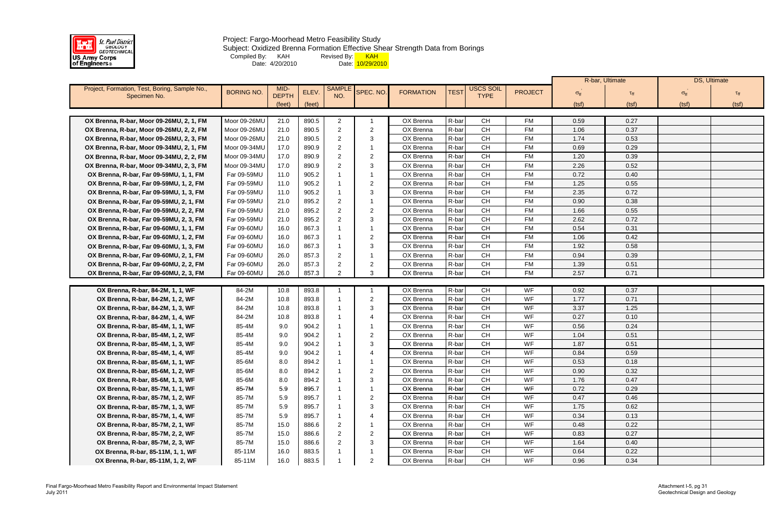

#### Project: Fargo-Moorhead Metro Feasibility Study Subject: Oxidized Brenna Formation Effective Shear Strength Data from Borings Compiled By: KAH Revised By: <mark> KAH</mark> Date: 4/20/2010 Date: <mark>10/29/2010</mark>

|                                                                        |                              |              |                |                     |                     |                        |                |                        |                        |                   | R-bar, Ultimate | DS, Ultimate         |       |
|------------------------------------------------------------------------|------------------------------|--------------|----------------|---------------------|---------------------|------------------------|----------------|------------------------|------------------------|-------------------|-----------------|----------------------|-------|
| Project, Formation, Test, Boring, Sample No.,                          | <b>BORING NO.</b>            | MID-         | ELEV.          | <b>SAMPL</b>        | SPEC. NO.           | <b>FORMATION</b>       | <b>TEST</b>    | USCS SOIL              | <b>PROJECT</b>         |                   | $\tau_{\rm ff}$ |                      |       |
| Specimen No.                                                           |                              | <b>DEPTH</b> |                | NO.                 |                     |                        |                | <b>TYPE</b>            |                        | $\sigma_{\rm ff}$ |                 | $\sigma_{\text{ff}}$ |       |
|                                                                        |                              | (feet)       | (feet)         |                     |                     |                        |                |                        |                        | (tsf)             | (tsf)           | (tsf)                | (tsf) |
|                                                                        |                              |              |                |                     |                     |                        |                |                        |                        |                   |                 |                      |       |
| OX Brenna, R-bar, Moor 09-26MU, 2, 1, FM                               | Moor 09-26MU<br>Moor 09-26MU | 21.0<br>21.0 | 890.5<br>890.5 | 2<br>$\overline{2}$ | $\overline{2}$      | OX Brenna<br>OX Brenna | R-bar<br>R-bar | <b>CH</b><br><b>CH</b> | <b>FM</b><br><b>FM</b> | 0.59<br>1.06      | 0.27<br>0.37    |                      |       |
| OX Brenna, R-bar, Moor 09-26MU, 2, 2, FM                               | Moor 09-26MU                 | 21.0         | 890.5          | 2                   | 3                   | OX Brenna              | R-bar          | <b>CH</b>              | <b>FM</b>              | 1.74              | 0.53            |                      |       |
| OX Brenna, R-bar, Moor 09-26MU, 2, 3, FM                               |                              |              |                |                     |                     |                        |                | <b>CH</b>              | <b>FM</b>              |                   |                 |                      |       |
| OX Brenna, R-bar, Moor 09-34MU, 2, 1, FM                               | Moor 09-34MU                 | 17.0         | 890.9          | 2                   |                     | OX Brenna              | R-bar          | <b>CH</b>              | <b>FM</b>              | 0.69              | 0.29            |                      |       |
| OX Brenna, R-bar, Moor 09-34MU, 2, 2, FM                               | Moor 09-34MU                 | 17.0         | 890.9          | $\mathcal{P}$       | $\overline{2}$      | OX Brenna              | R-bar<br>R-bar | CH                     | <b>FM</b>              | 1.20              | 0.39            |                      |       |
| OX Brenna, R-bar, Moor 09-34MU, 2, 3, FM                               | Moor 09-34MU                 | 17.0         | 890.9          |                     | 3                   | OX Brenna              |                | <b>CH</b>              |                        | 2.26              | 0.52            |                      |       |
| OX Brenna, R-bar, Far 09-59MU, 1, 1, FM                                | Far 09-59MU                  | 11.0         | 905.2          |                     |                     | OX Brenna              | R-bar          |                        | <b>FM</b>              | 0.72              | 0.40            |                      |       |
| OX Brenna, R-bar, Far 09-59MU, 1, 2, FM                                | Far 09-59MU                  | 11.0         | 905.2          |                     | $\overline{2}$      | OX Brenna              | R-bar          | <b>CH</b>              | <b>FM</b><br><b>FM</b> | 1.25              | 0.55            |                      |       |
| OX Brenna, R-bar, Far 09-59MU, 1, 3, FM                                | Far 09-59MU                  | 11.0         | 905.2          |                     | 3                   | OX Brenna              | R-bar          | <b>CH</b>              |                        | 2.35              | 0.72            |                      |       |
| OX Brenna, R-bar, Far 09-59MU, 2, 1, FM                                | Far 09-59MU                  | 21.0         | 895.2          |                     |                     | OX Brenna              | R-bar          | <b>CH</b>              | <b>FM</b>              | 0.90              | 0.38            |                      |       |
| OX Brenna, R-bar, Far 09-59MU, 2, 2, FM                                | Far 09-59MU                  | 21.0         | 895.2          | 2                   | $\overline{2}$      | OX Brenna              | R-bar          | <b>CH</b>              | <b>FM</b>              | 1.66              | 0.55            |                      |       |
| OX Brenna, R-bar, Far 09-59MU, 2, 3, FM                                | Far 09-59MU                  | 21.0         | 895.2          | $\mathcal{P}$       | 3                   | OX Brenna              | R-bar          | <b>CH</b>              | <b>FM</b>              | 2.62              | 0.72            |                      |       |
| OX Brenna, R-bar, Far 09-60MU, 1, 1, FM                                | Far 09-60MU                  | 16.0         | 867.3          |                     |                     | OX Brenna              | R-bar          | <b>CH</b>              | <b>FM</b>              | 0.54              | 0.31            |                      |       |
| OX Brenna, R-bar, Far 09-60MU, 1, 2, FM                                | Far 09-60MU                  | 16.0         | 867.3          |                     | $\overline{2}$      | OX Brenna              | R-bar          | <b>CH</b>              | <b>FM</b>              | 1.06              | 0.42            |                      |       |
| OX Brenna, R-bar, Far 09-60MU, 1, 3, FM                                | Far 09-60MU                  | 16.0         | 867.3          |                     | 3                   | OX Brenna              | R-bar          | <b>CH</b>              | <b>FM</b>              | 1.92              | 0.58            |                      |       |
| OX Brenna, R-bar, Far 09-60MU, 2, 1, FM                                | Far 09-60MU                  | 26.0         | 857.3          |                     |                     | OX Brenna              | R-bar          | <b>CH</b>              | <b>FM</b>              | 0.94              | 0.39            |                      |       |
| OX Brenna, R-bar, Far 09-60MU, 2, 2, FM                                | Far 09-60MU                  | 26.0         | 857.3          | 2                   | $\overline{2}$      | OX Brenna              | R-bar          | <b>CH</b>              | <b>FM</b>              | 1.39              | 0.51            |                      |       |
| OX Brenna, R-bar, Far 09-60MU, 2, 3, FM                                | Far 09-60MU                  | 26.0         | 857.3          |                     | 3                   | OX Brenna              | R-bar          | <b>CH</b>              | <b>FM</b>              | 2.57              | 0.71            |                      |       |
|                                                                        | 84-2M                        |              |                |                     |                     | OX Brenna              | R-bar          | <b>CH</b>              | WF                     | 0.92              | 0.37            |                      |       |
| OX Brenna, R-bar, 84-2M, 1, 1, WF                                      | 84-2M                        | 10.8<br>10.8 | 893.8<br>893.8 |                     | $\overline{2}$      | OX Brenna              | R-bar          | CH                     | WF                     | 1.77              | 0.71            |                      |       |
| OX Brenna, R-bar, 84-2M, 1, 2, WF                                      | 84-2M                        | 10.8         | 893.8          |                     | 3                   | OX Brenna              | R-bar          | CH                     | WF                     | 3.37              | 1.25            |                      |       |
| OX Brenna, R-bar, 84-2M, 1, 3, WF                                      |                              |              |                |                     | ⊿                   |                        |                | <b>CH</b>              | WF                     |                   |                 |                      |       |
| OX Brenna, R-bar, 84-2M, 1, 4, WF                                      | 84-2M<br>85-4M               | 10.8         | 893.8          |                     |                     | OX Brenna<br>OX Brenna | R-bar<br>R-bar | <b>CH</b>              | WF                     | 0.27<br>0.56      | 0.10<br>0.24    |                      |       |
| OX Brenna, R-bar, 85-4M, 1, 1, WF                                      |                              | 9.0          | 904.2          |                     |                     |                        | R-bar          | <b>CH</b>              | WF                     |                   |                 |                      |       |
| OX Brenna, R-bar, 85-4M, 1, 2, WF                                      | 85-4M                        | 9.0<br>9.0   | 904.2          |                     | $\overline{c}$<br>3 | OX Brenna<br>OX Brenna | R-bar          | <b>CH</b>              | WF                     | 1.04              | 0.51            |                      |       |
| OX Brenna, R-bar, 85-4M, 1, 3, WF                                      | 85-4M<br>85-4M               | 9.0          | 904.2<br>904.2 |                     |                     | OX Brenna              | R-bar          | CH                     | WF                     | 1.87<br>0.84      | 0.51<br>0.59    |                      |       |
| OX Brenna, R-bar, 85-4M, 1, 4, WF<br>OX Brenna, R-bar, 85-6M, 1, 1, WF | 85-6M                        | 8.0          | 894.2          |                     |                     | OX Brenna              | R-bar          | CH                     | WF                     |                   | 0.18            |                      |       |
|                                                                        | 85-6M                        | 8.0          | 894.2          |                     | $\overline{2}$      | OX Brenna              | R-bar          | <b>CH</b>              | WF                     | 0.53<br>0.90      | 0.32            |                      |       |
| OX Brenna, R-bar, 85-6M, 1, 2, WF<br>OX Brenna, R-bar, 85-6M, 1, 3, WF | 85-6M                        |              | 894.2          |                     | 3                   | OX Brenna              | R-bar          | CH                     | WF                     | 1.76              | 0.47            |                      |       |
|                                                                        | 85-7M                        | 8.0<br>5.9   | 895.7          |                     |                     | OX Brenna              | R-bar          | <b>CH</b>              | WF                     | 0.72              | 0.29            |                      |       |
| OX Brenna, R-bar, 85-7M, 1, 1, WF<br>OX Brenna, R-bar, 85-7M, 1, 2, WF | 85-7M                        |              | 895.7          |                     | 2                   | OX Brenna              | R-bar          | CH                     | WF                     | 0.47              |                 |                      |       |
| OX Brenna, R-bar, 85-7M, 1, 3, WF                                      | 85-7M                        | 5.9<br>5.9   | 895.7          |                     | 3                   | OX Brenna              | R-bar          | CH                     | WF                     | 1.75              | 0.46<br>0.62    |                      |       |
|                                                                        | 85-7M                        | 5.9          |                |                     |                     | OX Brenna              | R-bar          | CH                     | WF                     |                   |                 |                      |       |
| OX Brenna, R-bar, 85-7M, 1, 4, WF<br>OX Brenna, R-bar, 85-7M, 2, 1, WF | 85-7M                        | 15.0         | 895.7          | 2                   |                     | OX Brenna              | R-bar          | <b>CH</b>              | WF                     | 0.34<br>0.48      | 0.13<br>0.22    |                      |       |
| OX Brenna, R-bar, 85-7M, 2, 2, WF                                      | 85-7M                        | 15.0         | 886.6<br>886.6 | 2                   | $\overline{2}$      | OX Brenna              | R-bar          | <b>CH</b>              | WF                     | 0.83              | 0.27            |                      |       |
| OX Brenna, R-bar, 85-7M, 2, 3, WF                                      | 85-7M                        | 15.0         | 886.6          |                     | 3                   | OX Brenna              | R-bar          | <b>CH</b>              | WF                     | 1.64              | 0.40            |                      |       |
| OX Brenna, R-bar, 85-11M, 1, 1, WF                                     | 85-11M                       | 16.0         | 883.5          |                     |                     | OX Brenna              | R-bar          | <b>CH</b>              | WF                     | 0.64              | 0.22            |                      |       |
|                                                                        |                              |              |                |                     |                     |                        | R-bar          | CH                     | WF                     |                   |                 |                      |       |
| OX Brenna, R-bar, 85-11M, 1, 2, WF                                     | 85-11M                       | 16.0         | 883.5          |                     | $\overline{2}$      | OX Brenna              |                |                        |                        | 0.96              | 0.34            |                      |       |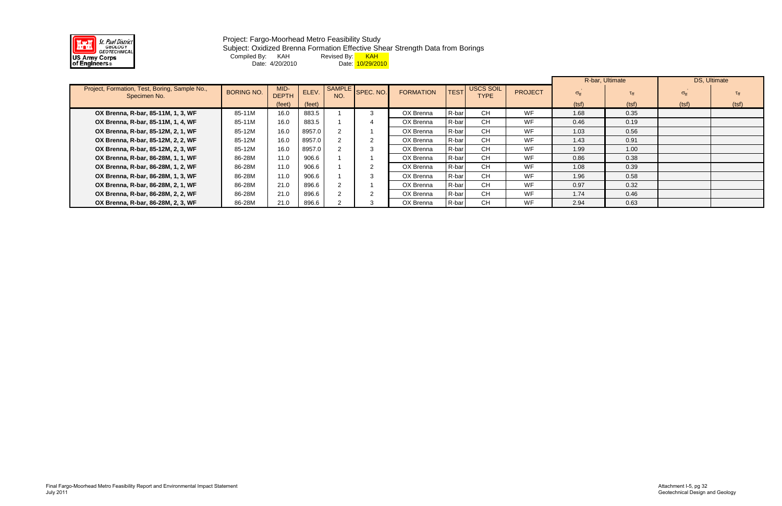

#### Project: Fargo-Moorhead Metro Feasibility Study Subject: Oxidized Brenna Formation Effective Shear Strength Data from Borings Compiled By: KAH Revised By: <mark> KAH</mark> Date: 4/20/2010 Date: <mark>10/29/2010</mark>

|                                                               |                   |                      |        |               |           |                  |             |                                 |                | R-bar, Ultimate   |                 | DS, Ultimate         |                 |
|---------------------------------------------------------------|-------------------|----------------------|--------|---------------|-----------|------------------|-------------|---------------------------------|----------------|-------------------|-----------------|----------------------|-----------------|
| Project, Formation, Test, Boring, Sample No.,<br>Specimen No. | <b>BORING NO.</b> | MID-<br><b>DEPTH</b> | ELEV.  | SAMPLE<br>NO. | SPEC. NO. | <b>FORMATION</b> | <b>TEST</b> | <b>USCS SOIL</b><br><b>TYPE</b> | <b>PROJECT</b> | $\sigma_{\rm ff}$ | $\tau_{\rm ff}$ | $\sigma_{\text{ff}}$ | $\tau_{\rm ff}$ |
|                                                               |                   | (feet)               | (feet) |               |           |                  |             |                                 |                | (tsf)             | (tsf)           | (tsf)                | (tsf)           |
| OX Brenna, R-bar, 85-11M, 1, 3, WF                            | 85-11M            | 16.0                 | 883.5  |               |           | OX Brenna        | R-bar       | <b>CH</b>                       | <b>WF</b>      | 1.68              | 0.35            |                      |                 |
| OX Brenna, R-bar, 85-11M, 1, 4, WF                            | 85-11M            | 16.0                 | 883.5  |               |           | OX Brenna        | R-bar       | <b>CH</b>                       | <b>WF</b>      | 0.46              | 0.19            |                      |                 |
| OX Brenna, R-bar, 85-12M, 2, 1, WF                            | 85-12M            | 16.0                 | 8957.0 |               |           | OX Brenna        | R-bar       | <b>CH</b>                       | <b>WF</b>      | 1.03              | 0.56            |                      |                 |
| OX Brenna, R-bar, 85-12M, 2, 2, WF                            | 85-12M            | 16.0                 | 8957.0 |               |           | OX Brenna        | R-bar       | <b>CH</b>                       | <b>WF</b>      | 1.43              | 0.91            |                      |                 |
| OX Brenna, R-bar, 85-12M, 2, 3, WF                            | 85-12M            | 16.0                 | 8957.0 |               |           | OX Brenna        | R-bar       | <b>CH</b>                       | WF             | 1.99              | 1.00            |                      |                 |
| OX Brenna, R-bar, 86-28M, 1, 1, WF                            | 86-28M            | 11.0                 | 906.6  |               |           | OX Brenna        | R-bar       | <b>CH</b>                       | <b>WF</b>      | 0.86              | 0.38            |                      |                 |
| OX Brenna, R-bar, 86-28M, 1, 2, WF                            | 86-28M            | 11.0                 | 906.6  |               |           | OX Brenna        | R-bar       | <b>CH</b>                       | <b>WF</b>      | 1.08              | 0.39            |                      |                 |
| OX Brenna, R-bar, 86-28M, 1, 3, WF                            | 86-28M            | 11.0                 | 906.6  |               |           | OX Brenna        | R-bar       | CH.                             | WF             | 1.96              | 0.58            |                      |                 |
| OX Brenna, R-bar, 86-28M, 2, 1, WF                            | 86-28M            | 21.0                 | 896.6  |               |           | OX Brenna        | R-bar       | <b>CH</b>                       | <b>WF</b>      | 0.97              | 0.32            |                      |                 |
| OX Brenna, R-bar, 86-28M, 2, 2, WF                            | 86-28M            | 21.0                 | 896.6  |               |           | OX Brenna        | R-bar       | <b>CH</b>                       | WF             | 1.74              | 0.46            |                      |                 |
| OX Brenna, R-bar, 86-28M, 2, 3, WF                            | 86-28M            | 21.0                 | 896.6  |               |           | OX Brenna        | R-bar       | <b>CH</b>                       | WF             | 2.94              | 0.63            |                      |                 |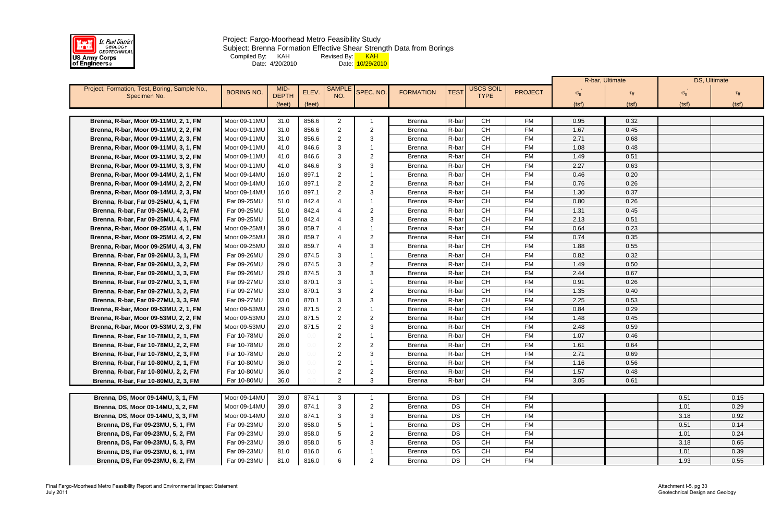

Project: Fargo-Moorhead Metro Feasibility Study Subject: Brenna Formation Effective Shear Strength Data from Borings Compiled By: KAH Revised By: <mark> KAH</mark> Date: 4/20/2010 Date: <mark>10/29/2010</mark>

|                                               |                   |              |         |                |                |                  |             |             |                |                   | R-bar, Ultimate | DS, Ultimate         |       |
|-----------------------------------------------|-------------------|--------------|---------|----------------|----------------|------------------|-------------|-------------|----------------|-------------------|-----------------|----------------------|-------|
| Project, Formation, Test, Boring, Sample No., | <b>BORING NO.</b> | MID-         | ELEV.   | <b>SAMPL</b>   | SPEC. NO.      | <b>FORMATION</b> | <b>TEST</b> | USCS SOIL   | <b>PROJECT</b> | $\sigma_{\rm ff}$ | $\tau_{\rm ff}$ | $\sigma_{\text{ff}}$ |       |
| Specimen No.                                  |                   | <b>DEPTH</b> |         | NO.            |                |                  |             | <b>TYPE</b> |                |                   |                 |                      |       |
|                                               |                   | (feet)       | (feet)  |                |                |                  |             |             |                | (tsf)             | (tsf)           | (tsf)                | (tsf) |
| Brenna, R-bar, Moor 09-11MU, 2, 1, FM         | Moor 09-11MU      | 31.0         | 856.6   | $\overline{2}$ |                | <b>Brenna</b>    | R-bar       | <b>CH</b>   | <b>FM</b>      | 0.95              | 0.32            |                      |       |
| Brenna, R-bar, Moor 09-11MU, 2, 2, FM         | Moor 09-11MU      | 31.0         | 856.6   | $\overline{2}$ | $\overline{2}$ | <b>Brenna</b>    | R-bar       | <b>CH</b>   | <b>FM</b>      | 1.67              | 0.45            |                      |       |
| Brenna, R-bar, Moor 09-11MU, 2, 3, FM         | Moor 09-11MU      | 31.0         | 856.6   | 2              | 3              | <b>Brenna</b>    | R-bar       | CH          | <b>FM</b>      | 2.71              | 0.68            |                      |       |
| Brenna, R-bar, Moor 09-11MU, 3, 1, FM         | Moor 09-11MU      | 41.0         | 846.6   | 3              |                | <b>Brenna</b>    | R-bar       | <b>CH</b>   | <b>FM</b>      | 1.08              | 0.48            |                      |       |
| Brenna, R-bar, Moor 09-11MU, 3, 2, FM         | Moor 09-11MU      | 41.0         | 846.6   | 3              | $\overline{2}$ | <b>Brenna</b>    | R-bar       | <b>CH</b>   | <b>FM</b>      | 1.49              | 0.51            |                      |       |
| Brenna, R-bar, Moor 09-11MU, 3, 3, FM         | Moor 09-11MU      | 41.0         | 846.6   | 3              | 3              | <b>Brenna</b>    | R-bar       | <b>CH</b>   | <b>FM</b>      | 2.27              | 0.63            |                      |       |
| Brenna, R-bar, Moor 09-14MU, 2, 1, FM         | Moor 09-14MU      | 16.0         | 897.1   | 2              |                | <b>Brenna</b>    | R-bar       | <b>CH</b>   | <b>FM</b>      | 0.46              | 0.20            |                      |       |
| Brenna, R-bar, Moor 09-14MU, 2, 2, FM         | Moor 09-14MU      | 16.0         | 897.1   | 2              | $\overline{2}$ | <b>Brenna</b>    | R-bar       | <b>CH</b>   | <b>FM</b>      | 0.76              | 0.26            |                      |       |
| Brenna, R-bar, Moor 09-14MU, 2, 3, FM         | Moor 09-14MU      | 16.0         | 897.1   | 2              | 3              | <b>Brenna</b>    | R-bar       | CH          | <b>FM</b>      | 1.30              | 0.37            |                      |       |
| Brenna, R-bar, Far 09-25MU, 4, 1, FM          | Far 09-25MU       | 51.0         | 842.4   |                |                | <b>Brenna</b>    | R-bar       | <b>CH</b>   | <b>FM</b>      | 0.80              | 0.26            |                      |       |
| Brenna, R-bar, Far 09-25MU, 4, 2, FM          | Far 09-25MU       | 51.0         | 842.4   |                | $\overline{2}$ | <b>Brenna</b>    | R-bar       | <b>CH</b>   | <b>FM</b>      | 1.31              | 0.45            |                      |       |
| Brenna, R-bar, Far 09-25MU, 4, 3, FM          | Far 09-25MU       | 51.0         | 842.4   |                | 3              | Brenna           | R-bar       | <b>CH</b>   | <b>FM</b>      | 2.13              | 0.51            |                      |       |
| Brenna, R-bar, Moor 09-25MU, 4, 1, FM         | Moor 09-25MU      | 39.0         | 859.7   |                |                | <b>Brenna</b>    | R-bar       | <b>CH</b>   | <b>FM</b>      | 0.64              | 0.23            |                      |       |
| Brenna, R-bar, Moor 09-25MU, 4, 2, FM         | Moor 09-25MU      | 39.0         | 859.7   |                | $\overline{2}$ | <b>Brenna</b>    | R-bar       | <b>CH</b>   | <b>FM</b>      | 0.74              | 0.35            |                      |       |
| Brenna, R-bar, Moor 09-25MU, 4, 3, FM         | Moor 09-25MU      | 39.0         | 859.7   |                | -3             | <b>Brenna</b>    | R-bar       | <b>CH</b>   | <b>FM</b>      | 1.88              | 0.55            |                      |       |
| Brenna, R-bar, Far 09-26MU, 3, 1, FM          | Far 09-26MU       | 29.0         | 874.5   | 3              |                | <b>Brenna</b>    | R-bar       | CH          | <b>FM</b>      | 0.82              | 0.32            |                      |       |
| Brenna, R-bar, Far 09-26MU, 3, 2, FM          | Far 09-26MU       | 29.0         | 874.5   | 3              | $\overline{2}$ | <b>Brenna</b>    | R-bar       | <b>CH</b>   | <b>FM</b>      | 1.49              | 0.50            |                      |       |
| Brenna, R-bar, Far 09-26MU, 3, 3, FM          | Far 09-26MU       | 29.0         | 874.5   | 3              | -3             | <b>Brenna</b>    | R-bar       | <b>CH</b>   | <b>FM</b>      | 2.44              | 0.67            |                      |       |
| Brenna, R-bar, Far 09-27MU, 3, 1, FM          | Far 09-27MU       | 33.0         | 870.1   | 3              |                | <b>Brenna</b>    | R-bar       | <b>CH</b>   | <b>FM</b>      | 0.91              | 0.26            |                      |       |
| Brenna, R-bar, Far 09-27MU, 3, 2, FM          | Far 09-27MU       | 33.0         | 870.1   | 3              | $\overline{2}$ | <b>Brenna</b>    | R-bar       | <b>CH</b>   | <b>FM</b>      | 1.35              | 0.40            |                      |       |
| Brenna, R-bar, Far 09-27MU, 3, 3, FM          | Far 09-27MU       | 33.0         | 870.1   | 3              | 3              | Brenna           | R-bar       | <b>CH</b>   | <b>FM</b>      | 2.25              | 0.53            |                      |       |
| Brenna, R-bar, Moor 09-53MU, 2, 1, FM         | Moor 09-53MU      | 29.0         | 871.5   | 2              |                | <b>Brenna</b>    | R-bar       | <b>CH</b>   | <b>FM</b>      | 0.84              | 0.29            |                      |       |
| Brenna, R-bar, Moor 09-53MU, 2, 2, FM         | Moor 09-53MU      | 29.0         | 871.5   | $\overline{2}$ | $\overline{2}$ | <b>Brenna</b>    | R-bar       | <b>CH</b>   | <b>FM</b>      | 1.48              | 0.45            |                      |       |
| Brenna, R-bar, Moor 09-53MU, 2, 3, FM         | Moor 09-53MU      | 29.0         | 871.5   | 2              | 3              | <b>Brenna</b>    | R-bar       | <b>CH</b>   | <b>FM</b>      | 2.48              | 0.59            |                      |       |
| Brenna, R-bar, Far 10-78MU, 2, 1, FM          | Far 10-78MU       | 26.0         | 0.0     | $\overline{2}$ |                | <b>Brenna</b>    | R-bar       | <b>CH</b>   | <b>FM</b>      | 1.07              | 0.46            |                      |       |
| Brenna, R-bar, Far 10-78MU, 2, 2, FM          | Far 10-78MU       | 26.0         | $0.0 -$ | 2              | -2             | <b>Brenna</b>    | R-bar       | <b>CH</b>   | <b>FM</b>      | 1.61              | 0.64            |                      |       |
| Brenna, R-bar, Far 10-78MU, 2, 3, FM          | Far 10-78MU       | 26.0         | $0.0 -$ | 2              | 3              | <b>Brenna</b>    | R-bar       | <b>CH</b>   | <b>FM</b>      | 2.71              | 0.69            |                      |       |
| Brenna, R-bar, Far 10-80MU, 2, 1, FM          | Far 10-80MU       | 36.0         |         | 2              |                | Brenna           | R-bar       | CH          | FM             | 1.16              | 0.56            |                      |       |
| Brenna, R-bar, Far 10-80MU, 2, 2, FM          | Far 10-80MU       | 36.0         | $0.0 -$ | 2              | $\overline{2}$ | <b>Brenna</b>    | R-bar       | <b>CH</b>   | <b>FM</b>      | 1.57              | 0.48            |                      |       |
| Brenna, R-bar, Far 10-80MU, 2, 3, FM          | Far 10-80MU       | 36.0         |         | 2              | 3              | <b>Brenna</b>    | R-bar       | <b>CH</b>   | <b>FM</b>      | 3.05              | 0.61            |                      |       |
|                                               |                   |              |         |                |                |                  |             |             |                |                   |                 |                      |       |
| Brenna, DS, Moor 09-14MU, 3, 1, FM            | Moor 09-14MU      | 39.0         | 874.1   | 3              |                | <b>Brenna</b>    | DS          | <b>CH</b>   | FM             |                   |                 | 0.51                 | 0.15  |
| Brenna, DS, Moor 09-14MU, 3, 2, FM            | Moor 09-14MU      | 39.0         | 874.1   | 3              | -2             | <b>Brenna</b>    | DS          | CH          | <b>FM</b>      |                   |                 | 1.01                 | 0.29  |
| Brenna, DS, Moor 09-14MU, 3, 3, FM            | Moor 09-14MU      | 39.0         | 874.1   | 3              | -3             | <b>Brenna</b>    | DS          | <b>CH</b>   | <b>FM</b>      |                   |                 | 3.18                 | 0.92  |
| Brenna, DS, Far 09-23MU, 5, 1, FM             | Far 09-23MU       | 39.0         | 858.0   |                |                | <b>Brenna</b>    | DS          | <b>CH</b>   | FM             |                   |                 | 0.51                 | 0.14  |
| Brenna, DS, Far 09-23MU, 5, 2, FM             | Far 09-23MU       | 39.0         | 858.0   |                | $\overline{2}$ | <b>Brenna</b>    | DS          | CH          | <b>FM</b>      |                   |                 | 1.01                 | 0.24  |
| Brenna, DS, Far 09-23MU, 5, 3, FM             | Far 09-23MU       | 39.0         | 858.0   |                | -3             | <b>Brenna</b>    | DS          | <b>CH</b>   | <b>FM</b>      |                   |                 | 3.18                 | 0.65  |
| Brenna, DS, Far 09-23MU, 6, 1, FM             | Far 09-23MU       | 81.0         | 816.0   | 6              |                | <b>Brenna</b>    | DS          | <b>CH</b>   | <b>FM</b>      |                   |                 | 1.01                 | 0.39  |
| Brenna, DS, Far 09-23MU, 6, 2, FM             | Far 09-23MU       | 81.0         | 816.0   |                | $\overline{2}$ | <b>Brenna</b>    | DS          | CH          | <b>FM</b>      |                   |                 | 1.93                 | 0.55  |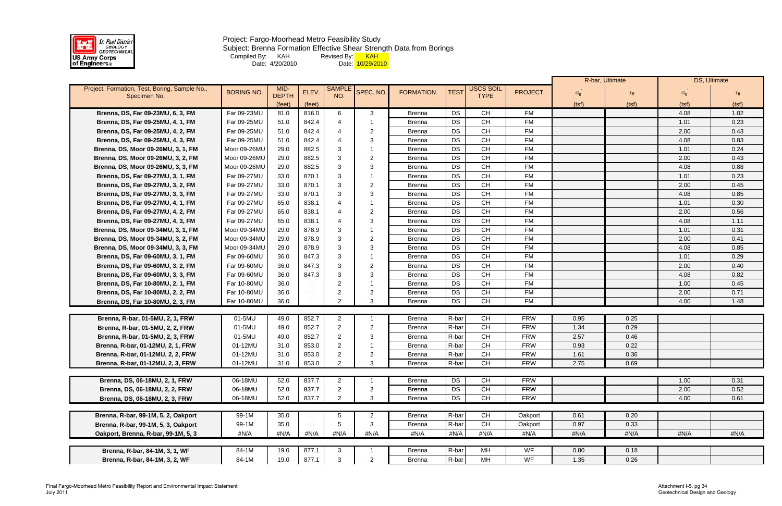

Subject: Brenna Formation Effective Shear Strength Data from Borings

Compiled By: KAH Revised By: <mark> KAH</mark>

Date: 4/20/2010 Date: <mark>10/29/2010</mark>

|                                               |                   |              |        |                |                |                  |             |             |                |                      | R-bar, Ultimate |                      | DS, Ultimate |
|-----------------------------------------------|-------------------|--------------|--------|----------------|----------------|------------------|-------------|-------------|----------------|----------------------|-----------------|----------------------|--------------|
| Project, Formation, Test, Boring, Sample No., | <b>BORING NO.</b> | MID-         | ELEV.  | <b>SAMPLE</b>  | SPEC. NO.      | <b>FORMATION</b> | <b>TEST</b> | USCS SOIL   | <b>PROJECT</b> | $\sigma_{\text{ff}}$ |                 | $\sigma_{\text{ff}}$ |              |
| Specimen No.                                  |                   | <b>DEPTH</b> |        | NO.            |                |                  |             | <b>TYPE</b> |                |                      |                 |                      |              |
|                                               |                   | (feet)       | (feet) |                |                |                  |             |             |                | (tsf)                | (tsf)           | (tsf)                | (tsf)        |
| Brenna, DS, Far 09-23MU, 6, 3, FM             | Far 09-23MU       | 81.0         | 816.0  | 6              | 3              | <b>Brenna</b>    | DS          | <b>CH</b>   | <b>FM</b>      |                      |                 | 4.08                 | 1.02         |
| Brenna, DS, Far 09-25MU, 4, 1, FM             | Far 09-25MU       | 51.0         | 842.4  |                |                | <b>Brenna</b>    | DS          | <b>CH</b>   | <b>FM</b>      |                      |                 | 1.01                 | 0.23         |
| Brenna, DS, Far 09-25MU, 4, 2, FM             | Far 09-25MU       | 51.0         | 842.4  |                | -2             | <b>Brenna</b>    | DS          | <b>CH</b>   | <b>FM</b>      |                      |                 | 2.00                 | 0.43         |
| Brenna, DS, Far 09-25MU, 4, 3, FM             | Far 09-25MU       | 51.0         | 842.4  |                | 3              | <b>Brenna</b>    | <b>DS</b>   | <b>CH</b>   | <b>FM</b>      |                      |                 | 4.08                 | 0.83         |
| Brenna, DS, Moor 09-26MU, 3, 1, FM            | Moor 09-26MU      | 29.0         | 882.5  | 3              |                | <b>Brenna</b>    | <b>DS</b>   | <b>CH</b>   | <b>FM</b>      |                      |                 | 1.01                 | 0.24         |
| Brenna, DS, Moor 09-26MU, 3, 2, FM            | Moor 09-26MU      | 29.0         | 882.5  | 3              | $\overline{2}$ | <b>Brenna</b>    | DS          | <b>CH</b>   | <b>FM</b>      |                      |                 | 2.00                 | 0.43         |
| Brenna, DS, Moor 09-26MU, 3, 3, FM            | Moor 09-26MU      | 29.0         | 882.5  | 3              | 3              | <b>Brenna</b>    | <b>DS</b>   | <b>CH</b>   | <b>FM</b>      |                      |                 | 4.08                 | 0.88         |
| Brenna, DS, Far 09-27MU, 3, 1, FM             | Far 09-27MU       | 33.0         | 870.1  | 3              |                | <b>Brenna</b>    | DS          | <b>CH</b>   | <b>FM</b>      |                      |                 | 1.01                 | 0.23         |
| Brenna, DS, Far 09-27MU, 3, 2, FM             | Far 09-27MU       | 33.0         | 870.1  | 3              | $\overline{2}$ | <b>Brenna</b>    | <b>DS</b>   | <b>CH</b>   | <b>FM</b>      |                      |                 | 2.00                 | 0.45         |
| Brenna, DS, Far 09-27MU, 3, 3, FM             | Far 09-27MU       | 33.0         | 870.1  | 3              | 3              | <b>Brenna</b>    | DS          | <b>CH</b>   | <b>FM</b>      |                      |                 | 4.08                 | 0.85         |
| Brenna, DS, Far 09-27MU, 4, 1, FM             | Far 09-27MU       | 65.0         | 838.1  |                |                | <b>Brenna</b>    | DS          | <b>CH</b>   | <b>FM</b>      |                      |                 | 1.01                 | 0.30         |
| Brenna, DS, Far 09-27MU, 4, 2, FM             | Far 09-27MU       | 65.0         | 838.1  |                | -2             | <b>Brenna</b>    | DS          | CH          | <b>FM</b>      |                      |                 | 2.00                 | 0.56         |
| Brenna, DS, Far 09-27MU, 4, 3, FM             | Far 09-27MU       | 65.0         | 838.1  |                | 3              | <b>Brenna</b>    | <b>DS</b>   | <b>CH</b>   | <b>FM</b>      |                      |                 | 4.08                 | 1.11         |
| Brenna, DS, Moor 09-34MU, 3, 1, FM            | Moor 09-34MU      | 29.0         | 878.9  | 3              |                | <b>Brenna</b>    | DS          | <b>CH</b>   | <b>FM</b>      |                      |                 | 1.01                 | 0.31         |
| Brenna, DS, Moor 09-34MU, 3, 2, FM            | Moor 09-34MU      | 29.0         | 878.9  | 3              | $\overline{2}$ | <b>Brenna</b>    | <b>DS</b>   | CH          | <b>FM</b>      |                      |                 | 2.00                 | 0.41         |
| Brenna, DS, Moor 09-34MU, 3, 3, FM            | Moor 09-34MU      | 29.0         | 878.9  | 3              | 3              | <b>Brenna</b>    | <b>DS</b>   | <b>CH</b>   | <b>FM</b>      |                      |                 | 4.08                 | 0.85         |
| Brenna, DS, Far 09-60MU, 3, 1, FM             | Far 09-60MU       | 36.0         | 847.3  | 3              |                | <b>Brenna</b>    | DS          | <b>CH</b>   | <b>FM</b>      |                      |                 | 1.01                 | 0.29         |
| Brenna, DS, Far 09-60MU, 3, 2, FM             | Far 09-60MU       | 36.0         | 847.3  | 3              | $\overline{2}$ | <b>Brenna</b>    | <b>DS</b>   | <b>CH</b>   | <b>FM</b>      |                      |                 | 2.00                 | 0.40         |
| Brenna, DS, Far 09-60MU, 3, 3, FM             | Far 09-60MU       | 36.0         | 847.3  | 3              | 3              | <b>Brenna</b>    | <b>DS</b>   | <b>CH</b>   | <b>FM</b>      |                      |                 | 4.08                 | 0.82         |
| Brenna, DS, Far 10-80MU, 2, 1, FM             | Far 10-80MU       | 36.0         | 0.0    | 2              |                | <b>Brenna</b>    | <b>DS</b>   | <b>CH</b>   | <b>FM</b>      |                      |                 | 1.00                 | 0.45         |
| Brenna, DS, Far 10-80MU, 2, 2, FM             | Far 10-80MU       | 36.0         | 0.0    | $\overline{2}$ | $\overline{2}$ | <b>Brenna</b>    | <b>DS</b>   | <b>CH</b>   | <b>FM</b>      |                      |                 | 2.00                 | 0.71         |
| Brenna, DS, Far 10-80MU, 2, 3, FM             | Far 10-80MU       | 36.0         |        | $\mathcal{P}$  | 3              | <b>Brenna</b>    | <b>DS</b>   | <b>CH</b>   | <b>FM</b>      |                      |                 | 4.00                 | 1.48         |
|                                               |                   |              |        |                |                |                  |             |             |                |                      |                 |                      |              |
| Brenna, R-bar, 01-5MU, 2, 1, FRW              | 01-5MU            | 49.0         | 852.7  | $\overline{2}$ |                | <b>Brenna</b>    | R-bar       | <b>CH</b>   | <b>FRW</b>     | 0.95                 | 0.25            |                      |              |
| Brenna, R-bar, 01-5MU, 2, 2, FRW              | 01-5MU            | 49.0         | 852.7  | $\overline{2}$ | $\overline{2}$ | <b>Brenna</b>    | R-bar       | <b>CH</b>   | <b>FRW</b>     | 1.34                 | 0.29            |                      |              |
| Brenna, R-bar, 01-5MU, 2, 3, FRW              | 01-5MU            | 49.0         | 852.7  | 2              | -3             | <b>Brenna</b>    | R-bar       | <b>CH</b>   | <b>FRW</b>     | 2.57                 | 0.46            |                      |              |
| Brenna, R-bar, 01-12MU, 2, 1, FRW             | 01-12MU           | 31.0         | 853.0  | 2              |                | <b>Brenna</b>    | R-bar       | <b>CH</b>   | <b>FRW</b>     | 0.93                 | 0.22            |                      |              |
| Brenna, R-bar, 01-12MU, 2, 2, FRW             | 01-12MU           | 31.0         | 853.0  |                | -2             | <b>Brenna</b>    | R-bar       | <b>CH</b>   | <b>FRW</b>     | 1.61                 | 0.36            |                      |              |
| Brenna, R-bar, 01-12MU, 2, 3, FRW             | 01-12MU           | 31.0         | 853.0  |                |                | <b>Brenna</b>    | R-bar       | <b>CH</b>   | <b>FRW</b>     | 2.75                 | 0.69            |                      |              |
|                                               |                   |              |        |                |                |                  |             |             |                |                      |                 |                      |              |
| Brenna, DS, 06-18MU, 2, 1, FRW                | 06-18MU           | 52.0         | 837.7  | $\overline{2}$ |                | <b>Brenna</b>    | DS          | <b>CH</b>   | <b>FRW</b>     |                      |                 | 1.00                 | 0.31         |
| Brenna, DS, 06-18MU, 2, 2, FRW                | 06-18MU           | 52.0         | 837.7  | $\overline{2}$ | $\overline{2}$ | <b>Brenna</b>    | <b>DS</b>   | <b>CH</b>   | <b>FRW</b>     |                      |                 | 2.00                 | 0.52         |
| Brenna, DS, 06-18MU, 2, 3, FRW                | 06-18MU           | 52.0         | 837.7  | $\overline{2}$ | 3              | <b>Brenna</b>    | DS          | <b>CH</b>   | <b>FRW</b>     |                      |                 | 4.00                 | 0.61         |
|                                               |                   |              |        |                |                |                  |             |             |                |                      |                 |                      |              |
| Brenna, R-bar, 99-1M, 5, 2, Oakport           | 99-1M             | 35.0         |        | 5              | 2              | <b>Brenna</b>    | R-bar       | <b>CH</b>   | Oakport        | 0.61                 | 0.20            |                      |              |
| Brenna, R-bar, 99-1M, 5, 3, Oakport           | 99-1M             | 35.0         | 0.0    | 5              | 3              | <b>Brenna</b>    | R-bar       | <b>CH</b>   | Oakport        | 0.97                 | 0.33            |                      |              |
| Oakport, Brenna, R-bar, 99-1M, 5, 3           | #N/A              | #N/A         | #N/A   | #N/A           | #N/A           | #N/A             | #N/A        | #N/A        | #N/A           | #N/A                 | #N/A            | #N/A                 | #N/A         |
|                                               |                   |              |        |                |                |                  |             |             |                |                      |                 |                      |              |
| Brenna, R-bar, 84-1M, 3, 1, WF                | 84-1M             | 19.0         | 877.1  | 3              |                | <b>Brenna</b>    | R-bar       | MH          | WF             | 0.80                 | 0.18            |                      |              |
| Brenna, R-bar, 84-1M, 3, 2, WF                | 84-1M             | 19.0         | 877.1  | 3              | $\overline{2}$ | <b>Brenna</b>    | R-bar       | MH          | WF             | 1.35                 | 0.26            |                      |              |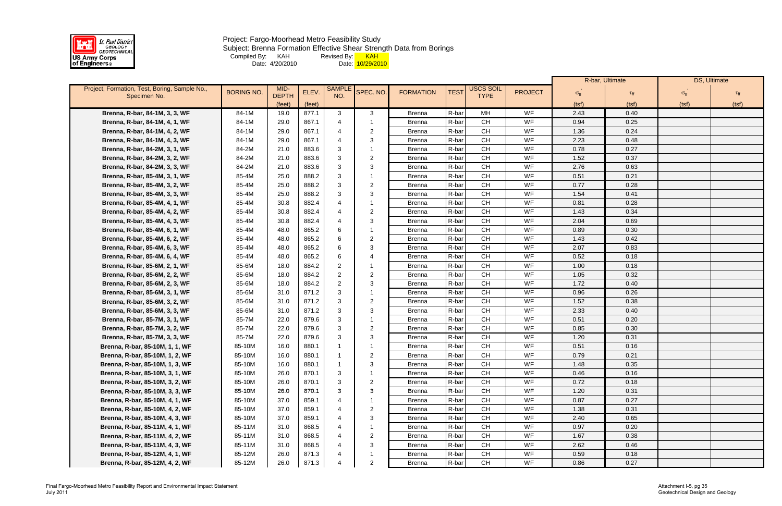

Subject: Brenna Formation Effective Shear Strength Data from Borings

Compiled By: KAH Revised By: <mark> KAH</mark>

Date: 4/20/2010 Date: <mark>10/29/2010</mark>

|                                                               |                   |                      |        |                      |                 |                  |             |                                          |                |                      | R-bar, Ultimate    |                      | DS, Ultimate |
|---------------------------------------------------------------|-------------------|----------------------|--------|----------------------|-----------------|------------------|-------------|------------------------------------------|----------------|----------------------|--------------------|----------------------|--------------|
| Project, Formation, Test, Boring, Sample No.,<br>Specimen No. | <b>BORING NO.</b> | MID-<br><b>DEPTH</b> | ELEV.  | <b>SAMPLE</b><br>NO. | <b>SPEC. NO</b> | <b>FORMATION</b> | <b>TEST</b> | <b>USCS SOIL</b><br><b>TYPE</b>          | <b>PROJECT</b> | $\sigma_{\text{ff}}$ | $\tau_{\text{ff}}$ | $\sigma_{\text{ff}}$ |              |
|                                                               |                   | (feet)               | (feet) |                      |                 |                  |             |                                          |                | (tsf)                | (tsf)              | (tsf)                | (tsf)        |
| Brenna, R-bar, 84-1M, 3, 3, WF                                | 84-1M             | 19.0                 | 877.1  | $\mathbf{3}$         | 3               | <b>Brenna</b>    | R-bar       | MH                                       | WF             | 2.43                 | 0.40               |                      |              |
| Brenna, R-bar, 84-1M, 4, 1, WF                                | 84-1M             | 29.0                 | 867.1  |                      |                 | <b>Brenna</b>    | R-bar       | CH                                       | WF             | 0.94                 | 0.25               |                      |              |
| Brenna, R-bar, 84-1M, 4, 2, WF                                | 84-1M             | 29.0                 | 867.1  |                      | $\overline{2}$  | <b>Brenna</b>    | R-bar       | <b>CH</b>                                | WF             | 1.36                 | 0.24               |                      |              |
| Brenna, R-bar, 84-1M, 4, 3, WF                                | 84-1M             | 29.0                 | 867.1  | $\overline{4}$       | 3               | <b>Brenna</b>    | R-bar       | <b>CH</b>                                | WF             | 2.23                 | 0.48               |                      |              |
| Brenna, R-bar, 84-2M, 3, 1, WF                                | 84-2M             | 21.0                 | 883.6  | 3                    |                 | <b>Brenna</b>    | R-bar       | CH                                       | WF             | 0.78                 | 0.27               |                      |              |
| Brenna, R-bar, 84-2M, 3, 2, WF                                | 84-2M             | 21.0                 | 883.6  | 3                    | $\overline{2}$  | <b>Brenna</b>    | R-bar       | <b>CH</b>                                | WF             | 1.52                 | 0.37               |                      |              |
| Brenna, R-bar, 84-2M, 3, 3, WF                                | 84-2M             | 21.0                 | 883.6  | 3                    | 3               | Brenna           | R-bar       | <b>CH</b>                                | WF             | 2.76                 | 0.63               |                      |              |
| Brenna, R-bar, 85-4M, 3, 1, WF                                | 85-4M             | 25.0                 | 888.2  | 3                    | -1              | <b>Brenna</b>    | R-bar       | CH                                       | WF             | 0.51                 | 0.21               |                      |              |
| Brenna, R-bar, 85-4M, 3, 2, WF                                | 85-4M             | 25.0                 | 888.2  | 3                    | $\overline{2}$  | <b>Brenna</b>    | R-bar       | CH                                       | WF             | 0.77                 | 0.28               |                      |              |
| Brenna, R-bar, 85-4M, 3, 3, WF                                | 85-4M             | 25.0                 | 888.2  | 3                    | 3               | <b>Brenna</b>    | R-bar       | <b>CH</b>                                | WF             | 1.54                 | 0.41               |                      |              |
| Brenna, R-bar, 85-4M, 4, 1, WF                                | 85-4M             | 30.8                 | 882.4  |                      |                 | <b>Brenna</b>    | R-bar       | $\mathsf{CH}% \left( \mathcal{M}\right)$ | WF             | 0.81                 | 0.28               |                      |              |
| Brenna, R-bar, 85-4M, 4, 2, WF                                | 85-4M             | 30.8                 | 882.4  | $\overline{4}$       | $\overline{2}$  | <b>Brenna</b>    | R-bar       | <b>CH</b>                                | WF             | 1.43                 | 0.34               |                      |              |
| Brenna, R-bar, 85-4M, 4, 3, WF                                | 85-4M             | 30.8                 | 882.4  |                      | 3               | <b>Brenna</b>    | R-bar       | <b>CH</b>                                | WF             | 2.04                 | 0.69               |                      |              |
| Brenna, R-bar, 85-4M, 6, 1, WF                                | 85-4M             | 48.0                 | 865.2  | 6                    |                 | <b>Brenna</b>    | R-bar       | $\mathsf{CH}% \left( \mathcal{M}\right)$ | WF             | 0.89                 | 0.30               |                      |              |
| Brenna, R-bar, 85-4M, 6, 2, WF                                | 85-4M             | 48.0                 | 865.2  | 6                    | $\overline{2}$  | <b>Brenna</b>    | R-bar       | <b>CH</b>                                | WF             | 1.43                 | 0.42               |                      |              |
| Brenna, R-bar, 85-4M, 6, 3, WF                                | 85-4M             | 48.0                 | 865.2  | 6                    | 3               | <b>Brenna</b>    | R-bar       | <b>CH</b>                                | WF             | 2.07                 | 0.83               |                      |              |
| Brenna, R-bar, 85-4M, 6, 4, WF                                | 85-4M             | 48.0                 | 865.2  | 6                    | 4               | Brenna           | R-bar       | <b>CH</b>                                | WF             | 0.52                 | 0.18               |                      |              |
| Brenna, R-bar, 85-6M, 2, 1, WF                                | 85-6M             | 18.0                 | 884.2  | 2                    |                 | <b>Brenna</b>    | R-bar       | CH                                       | WF             | 1.00                 | 0.18               |                      |              |
| Brenna, R-bar, 85-6M, 2, 2, WF                                | 85-6M             | 18.0                 | 884.2  | 2                    | $\overline{2}$  | <b>Brenna</b>    | R-bar       | CH                                       | WF             | 1.05                 | 0.32               |                      |              |
| Brenna, R-bar, 85-6M, 2, 3, WF                                | 85-6M             | 18.0                 | 884.2  | 2                    | 3               | <b>Brenna</b>    | R-bar       | <b>CH</b>                                | WF             | 1.72                 | 0.40               |                      |              |
| Brenna, R-bar, 85-6M, 3, 1, WF                                | 85-6M             | 31.0                 | 871.2  | 3                    |                 | <b>Brenna</b>    | R-bar       | <b>CH</b>                                | WF             | 0.96                 | 0.26               |                      |              |
| Brenna, R-bar, 85-6M, 3, 2, WF                                | 85-6M             | 31.0                 | 871.2  | 3                    | 2               | <b>Brenna</b>    | R-bar       | CH                                       | WF             | 1.52                 | 0.38               |                      |              |
| Brenna, R-bar, 85-6M, 3, 3, WF                                | 85-6M             | 31.0                 | 871.2  | 3                    | 3               | <b>Brenna</b>    | R-bar       | <b>CH</b>                                | WF             | 2.33                 | 0.40               |                      |              |
| Brenna, R-bar, 85-7M, 3, 1, WF                                | 85-7M             | 22.0                 | 879.6  | 3                    |                 | <b>Brenna</b>    | R-bar       | <b>CH</b>                                | WF             | 0.51                 | 0.20               |                      |              |
| Brenna, R-bar, 85-7M, 3, 2, WF                                | 85-7M             | 22.0                 | 879.6  | 3                    | 2               | <b>Brenna</b>    | R-bar       | <b>CH</b>                                | WF             | 0.85                 | 0.30               |                      |              |
| Brenna, R-bar, 85-7M, 3, 3, WF                                | 85-7M             | 22.0                 | 879.6  | 3                    | 3               | <b>Brenna</b>    | R-bar       | <b>CH</b>                                | WF             | 1.20                 | 0.31               |                      |              |
| Brenna, R-bar, 85-10M, 1, 1, WF                               | 85-10M            | 16.0                 | 880.1  |                      | -1              | <b>Brenna</b>    | R-bar       | CH                                       | WF             | 0.51                 | 0.16               |                      |              |
| Brenna, R-bar, 85-10M, 1, 2, WF                               | 85-10M            | 16.0                 | 880.1  |                      | 2               | <b>Brenna</b>    | R-bar       | CH                                       | WF             | 0.79                 | 0.21               |                      |              |
| Brenna, R-bar, 85-10M, 1, 3, WF                               | 85-10M            | 16.0                 | 880.1  |                      | 3               | Brenna           | R-bar       | CH.                                      | WF.            | 1.48                 | 0.35               |                      |              |
| Brenna, R-bar, 85-10M, 3, 1, WF                               | 85-10M            | 26.0                 | 870.1  | 3                    | -1              | <b>Brenna</b>    | R-bar       | CH                                       | WF             | 0.46                 | 0.16               |                      |              |
| Brenna, R-bar, 85-10M, 3, 2, WF                               | 85-10M            | 26.0                 | 870.1  | 3                    | $\overline{2}$  | <b>Brenna</b>    | R-bar       | CH                                       | WF             | 0.72                 | 0.18               |                      |              |
| Brenna, R-bar, 85-10M, 3, 3, WF                               | 85-10M            | 26.0                 | 870.1  | 3                    | 3               | <b>Brenna</b>    | R-bar       | <b>CH</b>                                | WF             | 1.20                 | 0.31               |                      |              |
| Brenna, R-bar, 85-10M, 4, 1, WF                               | 85-10M            | 37.0                 | 859.1  |                      |                 | <b>Brenna</b>    | R-bar       | CH                                       | WF             | 0.87                 | 0.27               |                      |              |
| Brenna, R-bar, 85-10M, 4, 2, WF                               | 85-10M            | 37.0                 | 859.1  |                      | $\overline{2}$  | <b>Brenna</b>    | R-bar       | CH                                       | WF             | 1.38                 | 0.31               |                      |              |
| Brenna, R-bar, 85-10M, 4, 3, WF                               | 85-10M            | 37.0                 | 859.1  |                      | 3               | <b>Brenna</b>    | R-bar       | <b>CH</b>                                | WF             | 2.40                 | 0.65               |                      |              |
| Brenna, R-bar, 85-11M, 4, 1, WF                               | 85-11M            | 31.0                 | 868.5  |                      |                 | <b>Brenna</b>    | R-bar       | $\mathsf{CH}% \left( \mathcal{M}\right)$ | WF             | 0.97                 | 0.20               |                      |              |
| Brenna, R-bar, 85-11M, 4, 2, WF                               | 85-11M            | 31.0                 | 868.5  |                      | $\overline{2}$  | <b>Brenna</b>    | R-bar       | <b>CH</b>                                | WF             | 1.67                 | 0.38               |                      |              |
| Brenna, R-bar, 85-11M, 4, 3, WF                               | 85-11M            | 31.0                 | 868.5  |                      | 3               | <b>Brenna</b>    | R-bar       | <b>CH</b>                                | WF             | 2.62                 | 0.46               |                      |              |
| Brenna, R-bar, 85-12M, 4, 1, WF                               | 85-12M            | 26.0                 | 871.3  |                      |                 | <b>Brenna</b>    | R-bar       | $\mathsf{CH}% \left( \mathcal{M}\right)$ | WF             | 0.59                 | 0.18               |                      |              |
| Brenna, R-bar, 85-12M, 4, 2, WF                               | 85-12M            | 26.0                 | 871.3  |                      | $\overline{2}$  | <b>Brenna</b>    | R-bar       | CH                                       | WF             | 0.86                 | 0.27               |                      |              |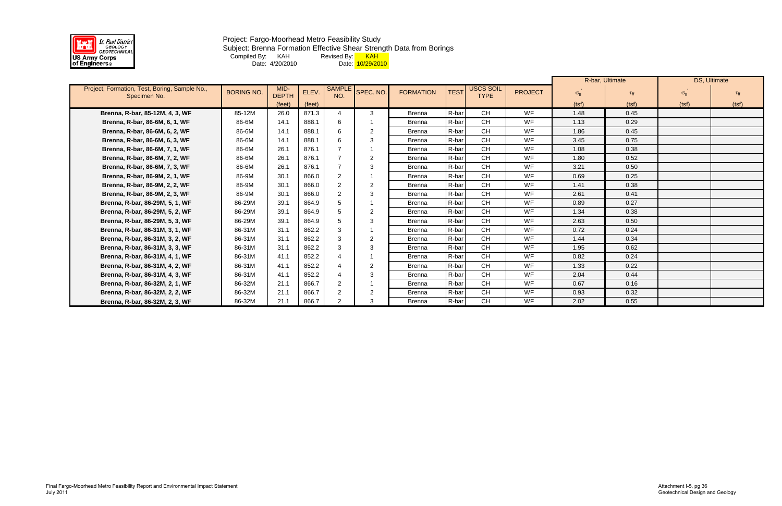

Subject: Brenna Formation Effective Shear Strength Data from Borings

Compiled By: KAH Revised By: <mark> KAH</mark>

Date: 4/20/2010 Date: <mark>10/29/2010</mark>

|                                                               |                   |                      |        |                      |                |                  |             |                                 |                |                   | R-bar, Ultimate |                      | DS, Ultimate |
|---------------------------------------------------------------|-------------------|----------------------|--------|----------------------|----------------|------------------|-------------|---------------------------------|----------------|-------------------|-----------------|----------------------|--------------|
| Project, Formation, Test, Boring, Sample No.,<br>Specimen No. | <b>BORING NO.</b> | MID-<br><b>DEPTH</b> | ELEV.  | <b>SAMPLE</b><br>NO. | SPEC. NO.      | <b>FORMATION</b> | <b>TEST</b> | <b>USCS SOIL</b><br><b>TYPE</b> | <b>PROJECT</b> | $\sigma_{\rm ff}$ | $\tau_{\rm ff}$ | $\sigma_{\text{ff}}$ |              |
|                                                               |                   | (feet)               | (feet) |                      |                |                  |             |                                 |                | (tsf)             | (tsf)           | (tsf)                | (tsf)        |
| Brenna, R-bar, 85-12M, 4, 3, WF                               | 85-12M            | 26.0                 | 871.3  |                      | 3              | <b>Brenna</b>    | R-bar       | <b>CH</b>                       | WF             | 1.48              | 0.45            |                      |              |
| Brenna, R-bar, 86-6M, 6, 1, WF                                | 86-6M             | 14.1                 | 888.1  | 6                    |                | <b>Brenna</b>    | R-bar       | <b>CH</b>                       | WF             | 1.13              | 0.29            |                      |              |
| Brenna, R-bar, 86-6M, 6, 2, WF                                | 86-6M             | 14.1                 | 888.1  | 6                    | $\overline{2}$ | <b>Brenna</b>    | R-bar       | CH                              | WF             | 1.86              | 0.45            |                      |              |
| Brenna, R-bar, 86-6M, 6, 3, WF                                | 86-6M             | 14.1                 | 888.1  | 6                    |                | <b>Brenna</b>    | R-bar       | <b>CH</b>                       | WF             | 3.45              | 0.75            |                      |              |
| Brenna, R-bar, 86-6M, 7, 1, WF                                | 86-6M             | 26.1                 | 876.1  |                      |                | <b>Brenna</b>    | R-bar       | <b>CH</b>                       | WF             | 1.08              | 0.38            |                      |              |
| Brenna, R-bar, 86-6M, 7, 2, WF                                | 86-6M             | 26.1                 | 876.1  |                      | $\overline{2}$ | <b>Brenna</b>    | R-bar       | CH                              | WF             | 1.80              | 0.52            |                      |              |
| Brenna, R-bar, 86-6M, 7, 3, WF                                | 86-6M             | 26.1                 | 876.1  |                      | 3              | <b>Brenna</b>    | R-bar       | <b>CH</b>                       | WF             | 3.21              | 0.50            |                      |              |
| Brenna, R-bar, 86-9M, 2, 1, WF                                | 86-9M             | 30.1                 | 866.0  | $\overline{2}$       |                | <b>Brenna</b>    | R-bar       | <b>CH</b>                       | WF             | 0.69              | 0.25            |                      |              |
| Brenna, R-bar, 86-9M, 2, 2, WF                                | 86-9M             | 30.1                 | 866.0  | $\overline{2}$       |                | <b>Brenna</b>    | R-bar       | CH                              | WF             | 1.41              | 0.38            |                      |              |
| Brenna, R-bar, 86-9M, 2, 3, WF                                | 86-9M             | 30.1                 | 866.0  | $\mathcal{P}$        | 3              | <b>Brenna</b>    | R-bar       | <b>CH</b>                       | WF             | 2.61              | 0.41            |                      |              |
| Brenna, R-bar, 86-29M, 5, 1, WF                               | 86-29M            | 39.1                 | 864.9  |                      |                | <b>Brenna</b>    | R-bar       | <b>CH</b>                       | WF             | 0.89              | 0.27            |                      |              |
| Brenna, R-bar, 86-29M, 5, 2, WF                               | 86-29M            | 39.1                 | 864.9  | 5                    | $\overline{2}$ | <b>Brenna</b>    | R-bar       | CH                              | WF             | 1.34              | 0.38            |                      |              |
| Brenna, R-bar, 86-29M, 5, 3, WF                               | 86-29M            | 39.1                 | 864.9  | .5                   | 3              | <b>Brenna</b>    | R-bar       | <b>CH</b>                       | WF             | 2.63              | 0.50            |                      |              |
| Brenna, R-bar, 86-31M, 3, 1, WF                               | 86-31M            | 31.1                 | 862.2  | 3                    |                | <b>Brenna</b>    | R-bar       | CH                              | WF             | 0.72              | 0.24            |                      |              |
| Brenna, R-bar, 86-31M, 3, 2, WF                               | 86-31M            | 31.1                 | 862.2  | 3                    | $\overline{2}$ | <b>Brenna</b>    | R-bar       | <b>CH</b>                       | WF             | 1.44              | 0.34            |                      |              |
| Brenna, R-bar, 86-31M, 3, 3, WF                               | 86-31M            | 31.1                 | 862.2  | 3                    | 3              | <b>Brenna</b>    | R-bar       | <b>CH</b>                       | <b>WF</b>      | 1.95              | 0.62            |                      |              |
| Brenna, R-bar, 86-31M, 4, 1, WF                               | 86-31M            | 41.1                 | 852.2  |                      |                | <b>Brenna</b>    | R-bar       | <b>CH</b>                       | WF             | 0.82              | 0.24            |                      |              |
| Brenna, R-bar, 86-31M, 4, 2, WF                               | 86-31M            | 41.1                 | 852.2  |                      | $\overline{2}$ | <b>Brenna</b>    | R-bar       | <b>CH</b>                       | WF             | 1.33              | 0.22            |                      |              |
| Brenna, R-bar, 86-31M, 4, 3, WF                               | 86-31M            | 41.1                 | 852.2  |                      | 3              | <b>Brenna</b>    | R-bar       | <b>CH</b>                       | WF             | 2.04              | 0.44            |                      |              |
| Brenna, R-bar, 86-32M, 2, 1, WF                               | 86-32M            | 21.1                 | 866.7  | $\overline{2}$       |                | <b>Brenna</b>    | R-bar       | <b>CH</b>                       | WF             | 0.67              | 0.16            |                      |              |
| Brenna, R-bar, 86-32M, 2, 2, WF                               | 86-32M            | 21.1                 | 866.7  | $\overline{2}$       | -2             | <b>Brenna</b>    | R-bar       | <b>CH</b>                       | WF             | 0.93              | 0.32            |                      |              |
| Brenna, R-bar, 86-32M, 2, 3, WF                               | 86-32M            | 21.1                 | 866.7  | 2                    | 3              | <b>Brenna</b>    | R-bar       | <b>CH</b>                       | WF             | 2.02              | 0.55            |                      |              |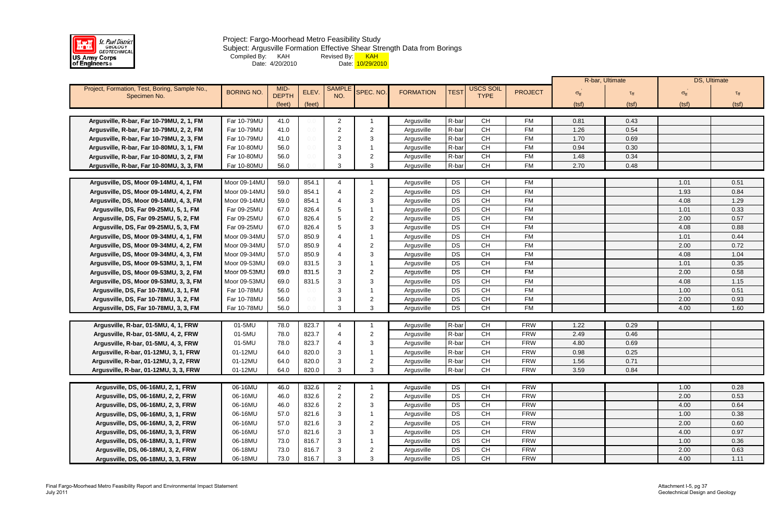

## Project: Fargo-Moorhead Metro Feasibility Study Subject: Argusville Formation Effective Shear Strength Data from Borings Compiled By: KAH Revised By: <mark> KAH</mark> Date: 4/20/2010 Date: <mark>10/29/2010</mark>

|                                               |                   |              |        |                |                |                  |             |                                          |                |                   | R-bar, Ultimate    |                      | DS, Ultimate |
|-----------------------------------------------|-------------------|--------------|--------|----------------|----------------|------------------|-------------|------------------------------------------|----------------|-------------------|--------------------|----------------------|--------------|
| Project, Formation, Test, Boring, Sample No., | <b>BORING NO.</b> | MID-         | ELEV.  | <b>SAMPLE</b>  | SPEC. NO.      | <b>FORMATION</b> | <b>TEST</b> | USCS SOIL                                | <b>PROJECT</b> | $\sigma_{\rm ff}$ | $\tau_{\text{ff}}$ |                      |              |
| Specimen No.                                  |                   | <b>DEPTH</b> |        | NO.            |                |                  |             | <b>TYPE</b>                              |                |                   |                    | $\sigma_{\text{ff}}$ |              |
|                                               |                   | (feet)       | (feet) |                |                |                  |             |                                          |                | (tsf)             | (tsf)              | (tsf)                | (tsf)        |
| Argusville, R-bar, Far 10-79MU, 2, 1, FM      | Far 10-79MU       |              |        |                |                |                  | R-bar       | <b>CH</b>                                | <b>FM</b>      |                   |                    |                      |              |
|                                               |                   | 41.0         |        | 2              |                | Argusville       | R-bar       | CH                                       | <b>FM</b>      | 0.81              | 0.43               |                      |              |
| Argusville, R-bar, Far 10-79MU, 2, 2, FM      | Far 10-79MU       | 41.0         | 0.0    | $\overline{2}$ | 2              | Argusville       |             | CH                                       | <b>FM</b>      | 1.26              | 0.54               |                      |              |
| Argusville, R-bar, Far 10-79MU, 2, 3, FM      | Far 10-79MU       | 41.0         | $0.0$  | 2              | 3              | Argusville       | R-bar       |                                          |                | 1.70              | 0.69               |                      |              |
| Argusville, R-bar, Far 10-80MU, 3, 1, FM      | Far 10-80MU       | 56.0         | 0.0    | 3              |                | Argusville       | R-bar       | <b>CH</b>                                | <b>FM</b>      | 0.94              | 0.30               |                      |              |
| Argusville, R-bar, Far 10-80MU, 3, 2, FM      | Far 10-80MU       | 56.0         | 0.0    | 3              | 2              | Argusville       | R-bar       | CH                                       | <b>FM</b>      | 1.48              | 0.34               |                      |              |
| Argusville, R-bar, Far 10-80MU, 3, 3, FM      | Far 10-80MU       | 56.0         |        | 3              | 3              | Argusville       | R-bar       | CH                                       | <b>FM</b>      | 2.70              | 0.48               |                      |              |
| Argusville, DS, Moor 09-14MU, 4, 1, FM        | Moor 09-14MU      | 59.0         | 854.1  | 4              |                | Argusville       | DS          | <b>CH</b>                                | <b>FM</b>      |                   |                    | 1.01                 | 0.51         |
| Argusville, DS, Moor 09-14MU, 4, 2, FM        | Moor 09-14MU      | 59.0         | 854.1  | 4              | 2              | Argusville       | DS          | <b>CH</b>                                | <b>FM</b>      |                   |                    | 1.93                 | 0.84         |
| Argusville, DS, Moor 09-14MU, 4, 3, FM        | Moor 09-14MU      | 59.0         | 854.1  |                | 3              | Argusville       | DS          | CH                                       | <b>FM</b>      |                   |                    | 4.08                 | 1.29         |
| Argusville, DS, Far 09-25MU, 5, 1, FM         | Far 09-25MU       | 67.0         | 826.4  | 5              |                | Argusville       | <b>DS</b>   | CH                                       | <b>FM</b>      |                   |                    | 1.01                 | 0.33         |
| Argusville, DS, Far 09-25MU, 5, 2, FM         | Far 09-25MU       | 67.0         | 826.4  | 5              | 2              | Argusville       | <b>DS</b>   | CH                                       | <b>FM</b>      |                   |                    | 2.00                 | 0.57         |
| Argusville, DS, Far 09-25MU, 5, 3, FM         | Far 09-25MU       | 67.0         | 826.4  | 5              | 3              | Argusville       | DS          | CH                                       | <b>FM</b>      |                   |                    | 4.08                 | 0.88         |
| Argusville, DS, Moor 09-34MU, 4, 1, FM        | Moor 09-34MU      | 57.0         | 850.9  |                |                | Argusville       | <b>DS</b>   | <b>CH</b>                                | <b>FM</b>      |                   |                    | 1.01                 | 0.44         |
| Argusville, DS, Moor 09-34MU, 4, 2, FM        | Moor 09-34MU      | 57.0         | 850.9  |                | 2              | Argusville       | DS          | CH                                       | <b>FM</b>      |                   |                    | 2.00                 | 0.72         |
| Argusville, DS, Moor 09-34MU, 4, 3, FM        | Moor 09-34MU      | 57.0         | 850.9  |                | 3              | Argusville       | DS          | CH                                       | <b>FM</b>      |                   |                    | 4.08                 | 1.04         |
| Argusville, DS, Moor 09-53MU, 3, 1, FM        | Moor 09-53MU      | 69.0         | 831.5  |                |                | Argusville       | DS          | <b>CH</b>                                | <b>FM</b>      |                   |                    | 1.01                 | 0.35         |
| Argusville, DS, Moor 09-53MU, 3, 2, FM        | Moor 09-53MU      | 69.0         | 831.5  | 3              | 2              | Argusville       | <b>DS</b>   | CH                                       | <b>FM</b>      |                   |                    | 2.00                 | 0.58         |
| Argusville, DS, Moor 09-53MU, 3, 3, FM        | Moor 09-53MU      | 69.0         | 831.5  | 3              | 3              | Argusville       | <b>DS</b>   | <b>CH</b>                                | <b>FM</b>      |                   |                    | 4.08                 | 1.15         |
| Argusville, DS, Far 10-78MU, 3, 1, FM         | Far 10-78MU       | 56.0         | 0.0    | 3              |                | Argusville       | DS          | <b>CH</b>                                | <b>FM</b>      |                   |                    | 1.00                 | 0.51         |
| Argusville, DS, Far 10-78MU, 3, 2, FM         | Far 10-78MU       | 56.0         | 0.0    | 3              | 2              | Argusville       | <b>DS</b>   | CH                                       | <b>FM</b>      |                   |                    | 2.00                 | 0.93         |
| Argusville, DS, Far 10-78MU, 3, 3, FM         | Far 10-78MU       | 56.0         |        | 3              | 3              | Argusville       | <b>DS</b>   | <b>CH</b>                                | <b>FM</b>      |                   |                    | 4.00                 | 1.60         |
|                                               |                   |              |        |                |                |                  |             |                                          |                |                   |                    |                      |              |
| Argusville, R-bar, 01-5MU, 4, 1, FRW          | 01-5MU            | 78.0         | 823.7  | 4              |                | Argusville       | R-bar       | <b>CH</b>                                | <b>FRW</b>     | 1.22              | 0.29               |                      |              |
| Argusville, R-bar, 01-5MU, 4, 2, FRW          | 01-5MU            | 78.0         | 823.7  | 4              | $\overline{2}$ | Argusville       | R-bar       | CH                                       | <b>FRW</b>     | 2.49              | 0.46               |                      |              |
| Argusville, R-bar, 01-5MU, 4, 3, FRW          | 01-5MU            | 78.0         | 823.7  | 4              | 3              | Argusville       | R-bar       | <b>CH</b>                                | <b>FRW</b>     | 4.80              | 0.69               |                      |              |
| Argusville, R-bar, 01-12MU, 3, 1, FRW         | 01-12MU           | 64.0         | 820.0  |                |                | Argusville       | R-bar       | CH                                       | <b>FRW</b>     | 0.98              | 0.25               |                      |              |
| Argusville, R-bar, 01-12MU, 3, 2, FRW         | 01-12MU           | 64.0         | 820.0  |                | $\epsilon$     | Argusville       | R-bar       | CH                                       | <b>FRW</b>     | 1.56              | 0.71               |                      |              |
| Argusville, R-bar, 01-12MU, 3, 3, FRW         | 01-12MU           | 64.0         | 820.0  | 3              | 3              | Argusville       | R-bar       | $\mathsf{CH}% \left( \mathcal{M}\right)$ | <b>FRW</b>     | 3.59              | 0.84               |                      |              |
|                                               |                   |              |        |                |                |                  |             |                                          |                |                   |                    |                      |              |
| Argusville, DS, 06-16MU, 2, 1, FRW            | 06-16MU           | 46.0         | 832.6  | $\overline{2}$ |                | Argusville       | DS          | <b>CH</b>                                | <b>FRW</b>     |                   |                    | 1.00                 | 0.28         |
| Argusville, DS, 06-16MU, 2, 2, FRW            | 06-16MU           | 46.0         | 832.6  | $\overline{2}$ | 2              | Argusville       | DS          | CH                                       | <b>FRW</b>     |                   |                    | 2.00                 | 0.53         |
| Argusville, DS, 06-16MU, 2, 3, FRW            | 06-16MU           | 46.0         | 832.6  | 2              | 3              | Argusville       | DS          | <b>CH</b>                                | <b>FRW</b>     |                   |                    | 4.00                 | 0.64         |
| Argusville, DS, 06-16MU, 3, 1, FRW            | 06-16MU           | 57.0         | 821.6  | 3              |                | Argusville       | DS          | CH                                       | <b>FRW</b>     |                   |                    | 1.00                 | 0.38         |
| Argusville, DS, 06-16MU, 3, 2, FRW            | 06-16MU           | 57.0         | 821.6  |                | 2              | Argusville       | DS          | <b>CH</b>                                | <b>FRW</b>     |                   |                    | 2.00                 | 0.60         |
| Argusville, DS, 06-16MU, 3, 3, FRW            | 06-16MU           | 57.0         | 821.6  | 3              | 3              | Argusville       | DS          | <b>CH</b>                                | <b>FRW</b>     |                   |                    | 4.00                 | 0.97         |
| Argusville, DS, 06-18MU, 3, 1, FRW            | 06-18MU           | 73.0         | 816.7  |                |                | Argusville       | DS          | CH                                       | <b>FRW</b>     |                   |                    | 1.00                 | 0.36         |
| Argusville, DS, 06-18MU, 3, 2, FRW            | 06-18MU           | 73.0         | 816.7  |                | 2              | Argusville       | DS          | CH                                       | <b>FRW</b>     |                   |                    | 2.00                 | 0.63         |
| Argusville, DS, 06-18MU, 3, 3, FRW            | 06-18MU           | 73.0         | 816.7  |                | 3              | Argusville       | DS          | CH                                       | <b>FRW</b>     |                   |                    | 4.00                 | 1.11         |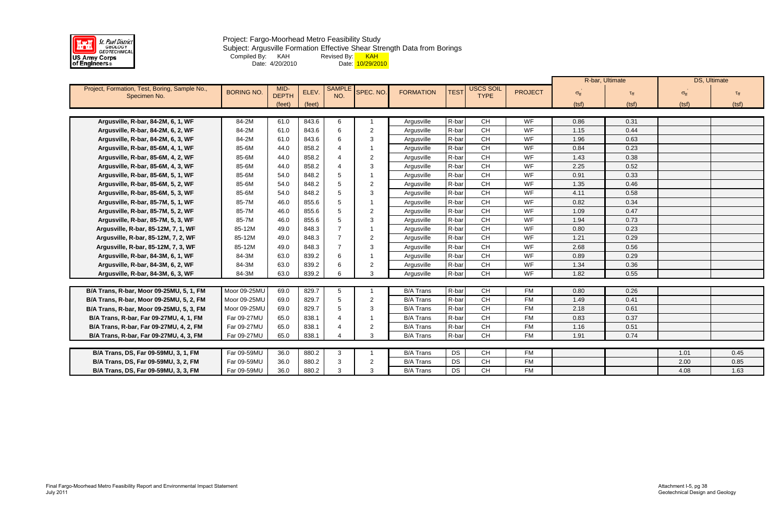

Project: Fargo-Moorhead Metro Feasibility Study Subject: Argusville Formation Effective Shear Strength Data from Borings Compiled By: KAH Revised By: <mark> KAH</mark> Date: 4/20/2010 Date: <mark>10/29/2010</mark>

|                                                               |                   |                      |        |                          |                |                  |             |                                 |                |                      | R-bar, Ultimate    |                      | DS, Ultimate    |
|---------------------------------------------------------------|-------------------|----------------------|--------|--------------------------|----------------|------------------|-------------|---------------------------------|----------------|----------------------|--------------------|----------------------|-----------------|
| Project, Formation, Test, Boring, Sample No.,<br>Specimen No. | <b>BORING NO.</b> | MID-<br><b>DEPTH</b> | ELEV.  | <b>SAMPL</b><br>NO.      | SPEC. NO.      | <b>FORMATION</b> | <b>TEST</b> | <b>USCS SOIL</b><br><b>TYPE</b> | <b>PROJECT</b> | $\sigma_{\text{ff}}$ | $\tau_{\text{ff}}$ | $\sigma_{\text{ff}}$ | $\tau_{\rm ff}$ |
|                                                               |                   | (feet)               | (feet) |                          |                |                  |             |                                 |                | (tsf)                | (tsf)              | (tsf)                | (tsf)           |
|                                                               |                   |                      |        |                          |                |                  |             |                                 |                |                      |                    |                      |                 |
| Argusville, R-bar, 84-2M, 6, 1, WF                            | 84-2M             | 61.0                 | 843.6  | 6                        |                | Argusville       | R-bar       | <b>CH</b>                       | WF             | 0.86                 | 0.31               |                      |                 |
| Argusville, R-bar, 84-2M, 6, 2, WF                            | 84-2M             | 61.0                 | 843.6  | 6                        | $\overline{2}$ | Argusville       | R-bar       | CH                              | WF             | 1.15                 | 0.44               |                      |                 |
| Argusville, R-bar, 84-2M, 6, 3, WF                            | 84-2M             | 61.0                 | 843.6  | 6                        | 3              | Argusville       | R-bar       | CH                              | WF             | 1.96                 | 0.63               |                      |                 |
| Argusville, R-bar, 85-6M, 4, 1, WF                            | 85-6M             | 44.0                 | 858.2  |                          |                | Argusville       | R-bar       | CH                              | WF             | 0.84                 | 0.23               |                      |                 |
| Argusville, R-bar, 85-6M, 4, 2, WF                            | 85-6M             | 44.0                 | 858.2  |                          | $\overline{2}$ | Argusville       | R-bar       | CH                              | WF             | 1.43                 | 0.38               |                      |                 |
| Argusville, R-bar, 85-6M, 4, 3, WF                            | 85-6M             | 44.0                 | 858.2  | $\boldsymbol{\varDelta}$ | 3              | Argusville       | R-bar       | CH                              | WF             | 2.25                 | 0.52               |                      |                 |
| Argusville, R-bar, 85-6M, 5, 1, WF                            | 85-6M             | 54.0                 | 848.2  | 5                        |                | Argusville       | R-bar       | CH                              | WF             | 0.91                 | 0.33               |                      |                 |
| Argusville, R-bar, 85-6M, 5, 2, WF                            | 85-6M             | 54.0                 | 848.2  | 5                        | $\overline{2}$ | Argusville       | R-bar       | CH                              | WF             | 1.35                 | 0.46               |                      |                 |
| Argusville, R-bar, 85-6M, 5, 3, WF                            | 85-6M             | 54.0                 | 848.2  | 5                        | 3              | Argusville       | R-bar       | CH                              | WF             | 4.11                 | 0.58               |                      |                 |
| Argusville, R-bar, 85-7M, 5, 1, WF                            | 85-7M             | 46.0                 | 855.6  | 5                        |                | Argusville       | R-bar       | CH                              | WF             | 0.82                 | 0.34               |                      |                 |
| Argusville, R-bar, 85-7M, 5, 2, WF                            | 85-7M             | 46.0                 | 855.6  | 5                        | 2              | Argusville       | R-bar       | CH                              | WF             | 1.09                 | 0.47               |                      |                 |
| Argusville, R-bar, 85-7M, 5, 3, WF                            | 85-7M             | 46.0                 | 855.6  | 5                        | -3             | Argusville       | R-bar       | CH                              | WF             | 1.94                 | 0.73               |                      |                 |
| Argusville, R-bar, 85-12M, 7, 1, WF                           | 85-12M            | 49.0                 | 848.3  |                          |                | Argusville       | R-bar       | CH                              | WF             | 0.80                 | 0.23               |                      |                 |
| Argusville, R-bar, 85-12M, 7, 2, WF                           | 85-12M            | 49.0                 | 848.3  | $\overline{7}$           | 2              | Argusville       | R-bar       | CH                              | WF             | 1.21                 | 0.29               |                      |                 |
| Argusville, R-bar, 85-12M, 7, 3, WF                           | 85-12M            | 49.0                 | 848.3  | 7                        | 3              | Argusville       | R-bar       | CH                              | WF             | 2.68                 | 0.56               |                      |                 |
| Argusville, R-bar, 84-3M, 6, 1, WF                            | 84-3M             | 63.0                 | 839.2  | 6                        |                | Argusville       | R-bar       | CH                              | WF             | 0.89                 | 0.29               |                      |                 |
| Argusville, R-bar, 84-3M, 6, 2, WF                            | 84-3M             | 63.0                 | 839.2  | 6                        | $\overline{2}$ | Argusville       | R-bar       | CH                              | WF             | 1.34                 | 0.36               |                      |                 |
| Argusville, R-bar, 84-3M, 6, 3, WF                            | 84-3M             | 63.0                 | 839.2  | 6                        | 3              | Argusville       | R-bar       | CH                              | WF             | 1.82                 | 0.55               |                      |                 |
|                                                               |                   |                      |        |                          |                |                  |             |                                 |                |                      |                    |                      |                 |
| B/A Trans, R-bar, Moor 09-25MU, 5, 1, FM                      | Moor 09-25MU      | 69.0                 | 829.7  | $5\phantom{.0}$          |                | <b>B/A Trans</b> | R-bar       | <b>CH</b>                       | <b>FM</b>      | 0.80                 | 0.26               |                      |                 |
| B/A Trans, R-bar, Moor 09-25MU, 5, 2, FM                      | Moor 09-25MU      | 69.0                 | 829.7  | $5\phantom{.0}$          | $\overline{2}$ | <b>B/A Trans</b> | R-bar       | CH                              | <b>FM</b>      | 1.49                 | 0.41               |                      |                 |
| B/A Trans, R-bar, Moor 09-25MU, 5, 3, FM                      | Moor 09-25MU      | 69.0                 | 829.7  | 5                        | 3              | <b>B/A Trans</b> | R-bar       | <b>CH</b>                       | <b>FM</b>      | 2.18                 | 0.61               |                      |                 |
| B/A Trans, R-bar, Far 09-27MU, 4, 1, FM                       | Far 09-27MU       | 65.0                 | 838.1  |                          |                | <b>B/A Trans</b> | R-bar       | <b>CH</b>                       | <b>FM</b>      | 0.83                 | 0.37               |                      |                 |
| B/A Trans, R-bar, Far 09-27MU, 4, 2, FM                       | Far 09-27MU       | 65.0                 | 838.1  |                          | $\overline{2}$ | <b>B/A Trans</b> | R-bar       | CH                              | <b>FM</b>      | 1.16                 | 0.51               |                      |                 |
| B/A Trans, R-bar, Far 09-27MU, 4, 3, FM                       | Far 09-27MU       | 65.0                 | 838.1  | $\boldsymbol{\Lambda}$   | 3              | <b>B/A Trans</b> | R-bar       | <b>CH</b>                       | <b>FM</b>      | 1.91                 | 0.74               |                      |                 |
|                                                               |                   |                      |        |                          |                |                  |             |                                 |                |                      |                    |                      |                 |
| B/A Trans, DS, Far 09-59MU, 3, 1, FM                          | Far 09-59MU       | 36.0                 | 880.2  | 3                        |                | <b>B/A Trans</b> | <b>DS</b>   | <b>CH</b>                       | <b>FM</b>      |                      |                    | 1.01                 | 0.45            |
| B/A Trans, DS, Far 09-59MU, 3, 2, FM                          | Far 09-59MU       | 36.0                 | 880.2  | 3                        | $\overline{2}$ | <b>B/A Trans</b> | DS          | <b>CH</b>                       | <b>FM</b>      |                      |                    | 2.00                 | 0.85            |
| B/A Trans, DS, Far 09-59MU, 3, 3, FM                          | Far 09-59MU       | 36.0                 | 880.2  | $\mathbf{3}$             | 3              | <b>B/A Trans</b> | DS          | CH                              | <b>FM</b>      |                      |                    | 4.08                 | 1.63            |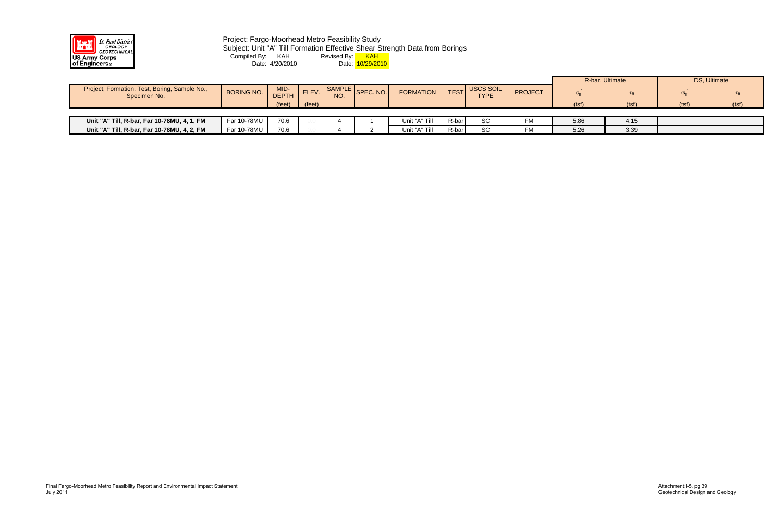

# Project: Fargo-Moorhead Metro Feasibility Study Subject: Unit "A" Till Formation Effective Shear Strength Data from Borings Compiled By: KAH Revised By: <mark> KAH</mark> Date: 4/20/2010 Date: <mark>10/29/2010</mark>

|                                                               |                   |                      |        |     |                  |                  |                   |                          |                |                   | R-bar, Ultimate |                   | DS, Ultimate |
|---------------------------------------------------------------|-------------------|----------------------|--------|-----|------------------|------------------|-------------------|--------------------------|----------------|-------------------|-----------------|-------------------|--------------|
| Project, Formation, Test, Boring, Sample No.,<br>Specimen No. | <b>BORING NO.</b> | MID-<br><b>DEPTH</b> | ELEV.  | NO. | SAMPLE SPEC. NO. | <b>FORMATION</b> | TEST <sup>I</sup> | USCS SOIL<br><b>TYPE</b> | <b>PROJECT</b> | $\sigma_{\rm ff}$ |                 | $\sigma_{\rm ff}$ | Tff          |
|                                                               |                   | (feet)               | (feet) |     |                  |                  |                   |                          |                | (tsf)             | (tsf)           | (tsf)             | (tsf)        |
|                                                               |                   |                      |        |     |                  |                  |                   |                          |                |                   |                 |                   |              |
| Unit "A" Till, R-bar, Far 10-78MU, 4, 1, FM                   | Far 10-78MU       | 70.6                 |        |     |                  | Unit "A" Till    | $R$ -bar          | SC                       | FM             | 5.86              | 4.15            |                   |              |
| Unit "A" Till, R-bar, Far 10-78MU, 4, 2, FM                   | Far 10-78MU       | 70.6                 |        |     |                  | Unit "A" Till    | $R-bar$           | SC                       | FM             | 5.26              | 3.39            |                   |              |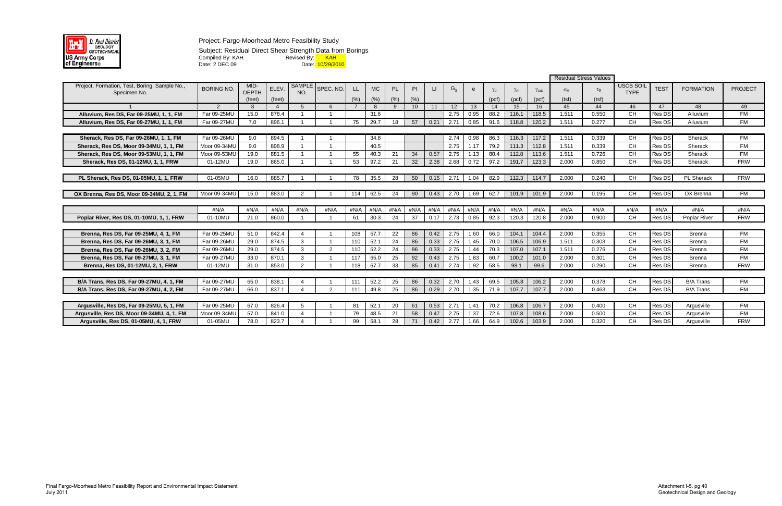

Subject: Residual Direct Shear Strength Data from Borings Compiled By: KAH Revised By: <mark>\_\_\_ KAH</mark> Date: 2 DEC 09 Date: 10/29/2010

|                                                               |                   |                      |             |                      |               |           |           |           |      |              |         |      |       |                  |                       | Residual Stress Values |                    |                          |               |                   |                |
|---------------------------------------------------------------|-------------------|----------------------|-------------|----------------------|---------------|-----------|-----------|-----------|------|--------------|---------|------|-------|------------------|-----------------------|------------------------|--------------------|--------------------------|---------------|-------------------|----------------|
| Project, Formation, Test, Boring, Sample No.,<br>Specimen No. | <b>BORING NO.</b> | MID-<br><b>DEPTH</b> | <b>ELEV</b> | <b>SAMPLE</b><br>NO. | SPEC. NO.     | <b>LL</b> | <b>MC</b> | <b>PL</b> | PI   | $\mathbf{L}$ | $G_{S}$ |      |       | $\gamma_{\rm m}$ | $\gamma_{\text{sat}}$ | $\sigma_{\rm ff}$      | $\tau_{\text{ff}}$ | USCS SOIL<br><b>TYPE</b> | <b>TEST</b>   | <b>FORMATION</b>  | <b>PROJECT</b> |
|                                                               |                   | (feet)               | (feet)      |                      |               | (% )      | (% )      | (% )      | (% ) |              |         |      | (pcf) | (pcf)            | (pcf)                 | (tsf)                  | (tsf)              |                          |               |                   |                |
|                                                               | $\mathcal{P}$     | -3                   | 4           | -5                   |               |           | -8        | 9         | 10   | -11          | $12 \,$ | 13   | -14   | 15               | 16                    | 45                     | 44                 | 46                       | 47            | 48                | 49             |
| Alluvium, Res DS, Far 09-25MU, 1, 1, FM                       | Far 09-25ML       | 15.0                 | 878.4       |                      |               |           | 31.6      |           |      |              | 2.75    | 0.95 | 88.2  | 116.1            | 118.5                 | 1.511                  | 0.550              | CН                       | Res DS        | Alluvium          | FM             |
| Alluvium, Res DS, Far 09-27MU, 1, 1, FM                       | Far 09-27ML       | 7.0                  | 896.1       |                      |               | 75        | 29.7      | 18        | 57   | 0.21         | 2.71    | 0.85 | 91.6  | 118.8            | 120.2                 | 1.511                  | 0.277              | <b>CH</b>                | Res DS        | Alluvium          | <b>FM</b>      |
|                                                               |                   |                      |             |                      |               |           |           |           |      |              |         |      |       |                  |                       |                        |                    |                          |               |                   |                |
| Sherack, Res DS, Far 09-26MU, 1, 1, FM                        | Far 09-26ML       | 9.0                  | 894.5       |                      |               |           | 34.8      |           |      |              | 2.74    | 0.98 | 86.3  | 116.3            | 117.2                 | 1.511                  | 0.339              | <b>CH</b>                | Res DS        | Sherack           | <b>FM</b>      |
| Sherack, Res DS, Moor 09-34MU, 1, 1, FM                       | Moor 09-34MU      | 9.0                  | 898.9       |                      |               |           | 40.5      |           |      |              | 2.75    | 1.17 | 79.2  | 111.3            | 112.8                 | 1.511                  | 0.339              | <b>CH</b>                | Res DS        | Sherack           | <b>FM</b>      |
| Sherack, Res DS, Moor 09-53MU, 1, 1, FM                       | Moor 09-53MU      | 19.0                 | 881.5       |                      |               | 55        | 40.3      | 21        | 34   | 0.57         | 2.75    | 1.13 | 80.4  | 112.8            | 113.6                 | 1.511                  | 0.726              | <b>CH</b>                | Res DS        | Sherack           | <b>FM</b>      |
| Sherack, Res DS, 01-12MU, 1, 1, FRW                           | 01-12MU           | 19.0                 | 865.0       |                      |               | 53        | 97.2      | 21        | 32   | 2.38         | 2.68    | 0.72 | 97.2  | 191.7            | 123.3                 | 2.000                  | 0.850              | <b>CH</b>                | Res DS        | Sherack           | <b>FRW</b>     |
|                                                               |                   |                      |             |                      |               |           |           |           |      |              |         |      |       |                  |                       |                        |                    |                          |               |                   |                |
| PL Sherack, Res DS, 01-05MU, 1, 1, FRW                        | 01-05MU           | 16.0                 | 885.7       |                      |               | 78        | 35.5      | 28        | 50   | 0.15         | 2.71    | 1.04 | 82.9  | 112.3            | 114.7                 | 2.000                  | 0.240              | CH.                      | <b>Res DS</b> | <b>PL Sherack</b> | <b>FRW</b>     |
|                                                               |                   |                      |             |                      |               |           |           |           |      |              |         |      |       |                  |                       |                        |                    |                          |               |                   |                |
| OX Brenna, Res DS, Moor 09-34MU, 2, 1, FM                     | Moor 09-34MU      | 15.0                 | 883.0       | -2                   |               | 114       | 62.5      | 24        | 90   | 0.43         | 2.70    | 1.69 | 62.7  | 101.9            | 101.9                 | 2.000                  | 0.195              | CH.                      | <b>Res DS</b> | OX Brenna         | <b>FM</b>      |
|                                                               |                   |                      |             |                      |               |           |           |           |      |              |         |      |       |                  |                       |                        |                    |                          |               |                   |                |
|                                                               |                   |                      |             |                      |               |           |           |           |      |              |         |      |       |                  |                       |                        |                    |                          |               |                   |                |
|                                                               | #N/A              | #N/A                 | #N/A        | #N/A                 | #N/A          | #N/A      | #N/A      | #N/A      | #N/A | #N/A         | #N/A    | #N/A | #N/A  | #N/A             | #N/A                  | #N/A                   | #N/A               | #N/A                     | #N/A          | #N/A              | #N/A           |
| Poplar River, Res DS, 01-10MU, 1, 1, FRW                      | 01-10MU           | 21.0                 | 860.0       |                      |               | 61        | 30.3      | 24        | 37   | 0.17         | 2.73    | 0.85 | 92.3  | 120.3            | 120.8                 | 2.000                  | 0.900              | CH.                      | Res DS        | Poplar River      | <b>FRW</b>     |
|                                                               |                   |                      |             |                      |               |           |           |           |      |              |         |      |       |                  |                       |                        |                    |                          |               |                   |                |
| Brenna, Res DS, Far 09-25MU, 4, 1, FM                         | Far 09-25ML       | 51.0                 | 842.4       |                      |               | 108       | 57.7      | 22        | 86   | 0.42         | 2.75    | 1.60 | 66.0  | 104.1            | 104.4                 | 2.000                  | 0.355              | CH.                      | <b>Res DS</b> | <b>Brenna</b>     | FM             |
| Brenna, Res DS, Far 09-26MU, 3, 1, FM                         | Far 09-26ML       | 29.0                 | 874.5       | -3                   |               | 110       | 52.1      | 24        | 86   | 0.33         | 2.75    | 1.45 | 70.0  | 106.5            | 106.9                 | 1.511                  | 0.303              | <b>CH</b>                | Res DS        | <b>Brenna</b>     | <b>FM</b>      |
| Brenna, Res DS, Far 09-26MU, 3, 2, FM                         | Far 09-26ML       | 29.0                 | 874.5       | 3                    | -2            | 110       | 52.2      | 24        | 86   | 0.33         | 2.75    | 1.44 | 70.3  | 107.0            | 107.1                 | 1.511                  | 0.276              | <b>CH</b>                | Res DS        | <b>Brenna</b>     | <b>FM</b>      |
| Brenna, Res DS, Far 09-27MU, 3, 1, FM                         | Far 09-27ML       | 33.0                 | 870.1       | 3                    |               | 117       | 65.0      | 25        | 92   | 0.43         | 2.75    | 1.83 | 60.7  | 100.2            | 101.0                 | 2.000                  | 0.301              | <b>CH</b>                | Res DS        | <b>Brenna</b>     | <b>FM</b>      |
| Brenna, Res DS, 01-12MU, 2, 1, FRW                            | 01-12MU           | 31.0                 | 853.0       | 2                    |               | 118       | 67.7      | 33        | 85   | 0.41         | 2.74    | 1.92 | 58.5  | 98.1             | 99.6                  | 2.000                  | 0.290              | <b>CH</b>                | <b>Res DS</b> | <b>Brenna</b>     | <b>FRW</b>     |
|                                                               |                   |                      |             |                      |               |           |           |           |      |              |         |      |       |                  |                       |                        |                    |                          |               |                   |                |
| B/A Trans, Res DS, Far 09-27MU, 4, 1, FM                      | Far 09-27ML       | 65.0                 | 838.1       |                      |               | 111       | 52.2      | 25        | 86   | 0.32         | 2.70    | 1.43 | 69.5  | 105.8            | 106.2                 | 2.000                  | 0.378              | <b>CH</b>                | Res DS        | <b>B/A Trans</b>  | FM             |
| B/A Trans, Res DS, Far 09-27MU, 4, 2, FM                      | Far 09-27ML       | 66.0                 | 837.1       |                      | $\mathcal{P}$ | 111       | 49.8      | 25        | 86   | 0.29         | 2.70    | 1.35 | 71.9  | 107.7            | 107.7                 | 2.000                  | 0.463              | <b>CH</b>                | Res DS        | <b>B/A Trans</b>  | <b>FM</b>      |
|                                                               |                   |                      |             |                      |               |           |           |           |      |              |         |      |       |                  |                       |                        |                    |                          |               |                   |                |
| Argusville, Res DS, Far 09-25MU, 5, 1, FM                     | Far 09-25ML       | 67.0                 | 826.4       | .5                   |               | 81        | 52.1      | 20        | 61   | 0.53         | 2.71    | 1.41 | 70.2  | 106.8            | 106.7                 | 2.000                  | 0.400              | <b>CH</b>                | Res DS        | Argusville        | FM             |
| Argusville, Res DS, Moor 09-34MU, 4, 1, FM                    | Moor 09-34ML      | 57.0                 | 841.0       |                      |               | 79        | 48.5      | 21        | 58   | 0.47         | 2.75    | 1.37 | 72.6  | 107.8            | 108.6                 | 2.000                  | 0.500              | CН                       | Res DS        | Argusville        | FM             |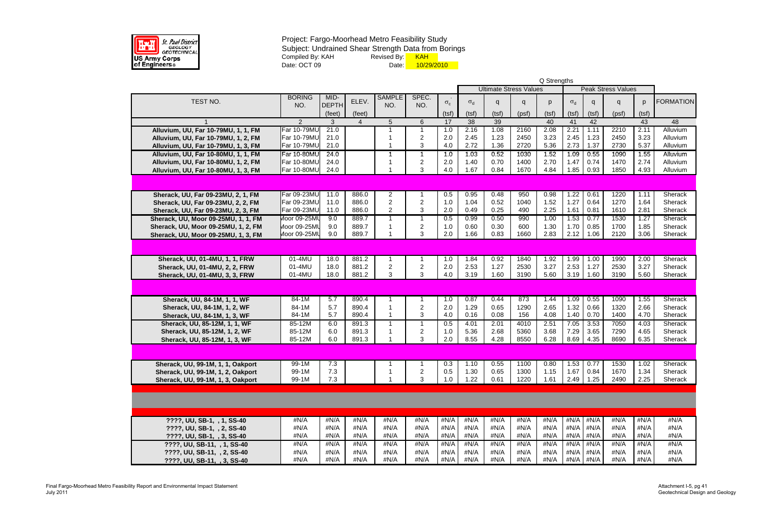

|                                     |                |              |                |                |                         |            |                 |                 |                               | Q Strengths |                 |       |                                                                     |       |                  |
|-------------------------------------|----------------|--------------|----------------|----------------|-------------------------|------------|-----------------|-----------------|-------------------------------|-------------|-----------------|-------|---------------------------------------------------------------------|-------|------------------|
|                                     |                |              |                |                |                         |            |                 |                 | <b>Ultimate Stress Values</b> |             |                 |       | <b>Peak Stress Values</b>                                           |       |                  |
| TEST NO.                            | <b>BORING</b>  | MID-         | ELEV.          | <b>SAMPLE</b>  | SPEC.                   |            |                 |                 |                               |             |                 |       |                                                                     |       | <b>FORMATION</b> |
|                                     | NO.            | <b>DEPTH</b> |                | NO.            | NO.                     | $\sigma_c$ | $\sigma_d$      | q               | q                             | p           | $\sigma_d$      | q     | q                                                                   | p     |                  |
|                                     |                | (feet)       | (feet)         |                |                         | (tsf)      | (tsf)           | (tsf)           | (psf)                         | (tsf)       | (tsf)           | (tsf) | (psf)                                                               | (tsf) |                  |
|                                     | $\overline{2}$ | 3            | $\overline{4}$ | 5              | 6                       | 17         | $\overline{38}$ | $\overline{39}$ |                               | 40          | 41              | 42    |                                                                     | 43    | 48               |
| Alluvium, UU, Far 10-79MU, 1, 1, FM | Far 10-79MU    | 21.0         |                |                |                         | 1.0        | 2.16            | 1.08            | 2160                          | 2.08        | 2.21            | 1.11  | 2210                                                                | 2.11  | Alluvium         |
| Alluvium, UU, Far 10-79MU, 1, 2, FM | Far 10-79MU    | 21.0         |                |                | $\overline{c}$          | 2.0        | 2.45            | 1.23            | 2450                          | 3.23        | 2.45            | 1.23  | 2450                                                                | 3.23  | Alluvium         |
| Alluvium, UU, Far 10-79MU, 1, 3, FM | Far 10-79MU    | 21.0         |                |                | 3                       | 4.0        | 2.72            | 1.36            | 2720                          | 5.36        | 2.73            | 1.37  | 2730                                                                | 5.37  | Alluvium         |
| Alluvium, UU, Far 10-80MU, 1, 1, FM | Far 10-80MU    | 24.0         |                |                |                         | 1.0        | 1.03            | 0.52            | 1030                          | 1.52        | 1.09            | 0.55  | 1090                                                                | 1.55  | Alluvium         |
| Alluvium, UU, Far 10-80MU, 1, 2, FM | Far 10-80MU    | 24.0         |                |                | $\overline{c}$          | 2.0        | 1.40            | 0.70            | 1400                          | 2.70        | 1.47            | 0.74  | 1470                                                                | 2.74  | Alluvium         |
| Alluvium, UU, Far 10-80MU, 1, 3, FM | Far 10-80MU    | 24.0         |                |                | 3                       | 4.0        | 1.67            | 0.84            | 1670                          | 4.84        | 1.85            | 0.93  | 1850                                                                | 4.93  | Alluvium         |
|                                     |                |              |                |                |                         |            |                 |                 |                               |             |                 |       |                                                                     |       |                  |
| Sherack, UU, Far 09-23MU, 2, 1, FM  | Far 09-23MU    | 11.0         | 886.0          | $\overline{2}$ |                         | 0.5        | 0.95            | 0.48            | 950                           | 0.98        | 1.22            | 0.61  | 1220                                                                | 1.11  | Sherack          |
| Sherack, UU, Far 09-23MU, 2, 2, FM  | Far 09-23MU    | 11.0         | 886.0          | $\overline{2}$ | $\overline{c}$          | 1.0        | 1.04            | 0.52            | 1040                          | 1.52        | 1.27            | 0.64  | 1270                                                                | 1.64  | Sherack          |
| Sherack, UU, Far 09-23MU, 2, 3, FM  | Far 09-23MU    | 11.0         | 886.0          | $\overline{2}$ | 3                       | 2.0        | 0.49            | 0.25            | 490                           | 2.25        | 1.61            | 0.81  | 1610                                                                | 2.81  | Sherack          |
| Sherack, UU, Moor 09-25MU, 1, 1, FM | Moor 09-25MU   | 9.0          | 889.7          |                | 1                       | 0.5        | 0.99            | 0.50            | 990                           | 1.00        | 1.53            | 0.77  | 1530                                                                | 1.27  | Sherack          |
| Sherack, UU, Moor 09-25MU, 1, 2, FM | Moor 09-25MU   | 9.0          | 889.7          |                | $\overline{\mathbf{c}}$ | 1.0        | 0.60            | 0.30            | 600                           | 1.30        | 1.70            | 0.85  | 1700                                                                | 1.85  | Sherack          |
| Sherack, UU, Moor 09-25MU, 1, 3, FM | Moor 09-25ML   | 9.0          | 889.7          |                | 3                       | 2.0        | 1.66            | 0.83            | 1660                          | 2.83        | 2.12            | 1.06  | 2120                                                                | 3.06  | Sherack          |
|                                     |                |              |                |                |                         |            |                 |                 |                               |             |                 |       |                                                                     |       |                  |
| Sherack, UU, 01-4MU, 1, 1, FRW      | $01 - 4MU$     | 18.0         | 881.2          |                |                         | 1.0        | 1.84            | 0.92            | 1840                          | 1.92        | 1.99            | 1.00  | 1990                                                                | 2.00  | Sherack          |
| Sherack, UU, 01-4MU, 2, 2, FRW      | 01-4MU         | 18.0         | 881.2          | $\overline{c}$ | $\overline{\mathbf{c}}$ | 2.0        | 2.53            | 1.27            | 2530                          | 3.27        | 2.53            | 1.27  | 2530                                                                | 3.27  | Sherack          |
| Sherack, UU, 01-4MU, 3, 3, FRW      | 01-4MU         | 18.0         | 881.2          | 3              | 3                       | 4.0        | 3.19            | 1.60            | 3190                          | 5.60        | 3.19            | 1.60  | 3190                                                                | 5.60  | Sherack          |
|                                     |                |              |                |                |                         |            |                 |                 |                               |             |                 |       |                                                                     |       |                  |
| Sherack, UU, 84-1M, 1, 1, WF        | $84-1M$        | 5.7          | 890.4          |                |                         | 1.0        | 0.87            | 0.44            | 873                           | 1.44        | 1.09            | 0.55  | 1090                                                                | 1.55  | <b>Sherack</b>   |
| Sherack, UU, 84-1M, 1, 2, WF        | 84-1M          | 5.7          | 890.4          |                | $\overline{2}$          | 2.0        | 1.29            | 0.65            | 1290                          | 2.65        | 1.32            | 0.66  | 1320                                                                | 2.66  | Sherack          |
| Sherack, UU, 84-1M, 1, 3, WF        | 84-1M          | 5.7          | 890.4          |                | 3                       | 4.0        | 0.16            | 0.08            | 156                           | 4.08        | 1.40            | 0.70  | 1400                                                                | 4.70  | Sherack          |
| Sherack, UU, 85-12M, 1, 1, WF       | 85-12M         | 6.0          | 891.3          |                | 1                       | 0.5        | 4.01            | 2.01            | 4010                          | 2.51        | 7.05            | 3.53  | 7050                                                                | 4.03  | Sherack          |
| Sherack, UU, 85-12M, 1, 2, WF       | 85-12M         | 6.0          | 891.3          |                | $\overline{c}$          | 1.0        | 5.36            | 2.68            | 5360                          | 3.68        | 7.29            | 3.65  | 7290                                                                | 4.65  | Sherack          |
| Sherack, UU, 85-12M, 1, 3, WF       | 85-12M         | 6.0          | 891.3          |                | 3                       | 2.0        | 8.55            | 4.28            | 8550                          | 6.28        | 8.69            | 4.35  | 8690                                                                | 6.35  | Sherack          |
|                                     |                |              |                |                |                         |            |                 |                 |                               |             |                 |       |                                                                     |       |                  |
| Sherack, UU, 99-1M, 1, 1, Oakport   | $99-1M$        | 7.3          |                |                |                         |            |                 |                 |                               |             |                 |       | $\vert$ 0.3   1.10   0.55   1100   0.80   1.53   0.77   1530   1.02 |       | Sherack          |
| Sherack, UU, 99-1M, 1, 2, Oakport   | 99-1M          | 7.3          |                |                | $\overline{c}$          | 0.5        | 1.30            | 0.65            | 1300                          | 1.15        | 1.67            | 0.84  | 1670                                                                | 1.34  | Sherack          |
| Sherack, UU, 99-1M, 1, 3, Oakport   | 99-1M          | 7.3          |                |                | 3                       | 1.0        | 1.22            | 0.61            | 1220                          | 1.61        | 2.49            | 1.25  | 2490                                                                | 2.25  | Sherack          |
|                                     |                |              |                |                |                         |            |                 |                 |                               |             |                 |       |                                                                     |       |                  |
|                                     |                |              |                |                |                         |            |                 |                 |                               |             |                 |       |                                                                     |       |                  |
| ????, UU, SB-1, , 1, SS-40          | #N/A           | #N/A         | #N/A           | #N/A           | #N/A                    | #N/A       | #N/A            | #N/A            | #N/A                          | #N/A        | #N/A            | #N/A  | #N/A                                                                | #N/A  | #N/A             |
| ????, UU, SB-1, , 2, SS-40          | #N/A           | #N/A         | #N/A           | #N/A           | #N/A                    | #N/A       | #N/A            | #N/A            | #N/A                          | #N/A        | #N/A            | #N/A  | #N/A                                                                | #N/A  | #N/A             |
| ????, UU, SB-1, , 3, SS-40          | #N/A           | #N/A         | #N/A           | #N/A           | #N/A                    | #N/A       | #N/A            | #N/A            | #N/A                          | #N/A        | #N/A #N/A       |       | #N/A                                                                | #N/A  | #N/A             |
| ????, UU, SB-11, , 1, SS-40         | #N/A           | #N/A         | #N/A           | #N/A           | #N/A                    | #N/A       | #N/A            | #N/A            | #N/A                          | #N/A        | $#N/A$ $#N/A$   |       | #N/A                                                                | #N/A  | #N/A             |
| ????, UU, SB-11, , 2, SS-40         | #N/A           | #N/A         | #N/A           | #N/A           | #N/A                    | #N/A       | #N/A            | #N/A            | #N/A                          | #N/A        | $\#N/A$ $\#N/A$ |       | #N/A                                                                | #N/A  | #N/A             |
| ????, UU, SB-11, , 3, SS-40         | #N/A           | #N/A         | #N/A           | #N/A           | #N/A                    | #N/A       | #N/A            | #N/A            | #N/A                          | #N/A        | #N/A #N/A       |       | #N/A                                                                | #N/A  | #N/A             |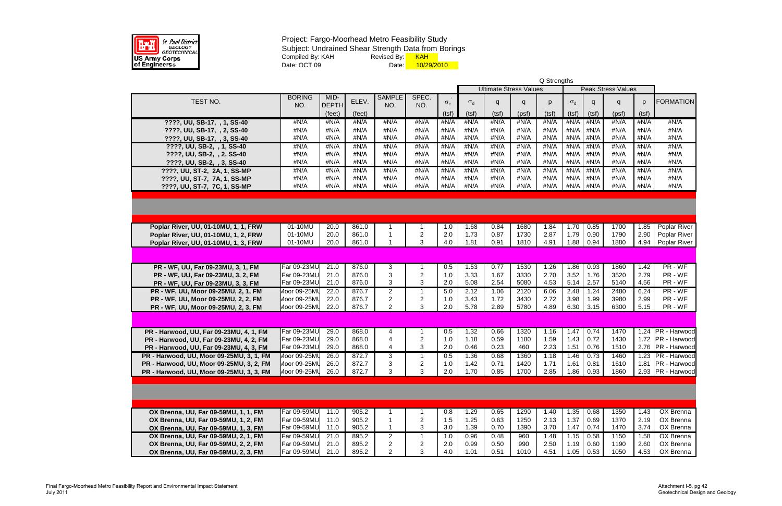

|                                                                           |                    |              |                |                |                         |              |              |                               |              | Q Strengths  |              |                  |                           |              |                     |
|---------------------------------------------------------------------------|--------------------|--------------|----------------|----------------|-------------------------|--------------|--------------|-------------------------------|--------------|--------------|--------------|------------------|---------------------------|--------------|---------------------|
|                                                                           |                    |              |                |                |                         |              |              | <b>Ultimate Stress Values</b> |              |              |              |                  | <b>Peak Stress Values</b> |              |                     |
|                                                                           | <b>BORING</b>      | MID-         |                | <b>SAMPLE</b>  | SPEC.                   |              |              |                               |              |              |              |                  |                           |              |                     |
| TEST NO.                                                                  | NO.                | DEPTH        | ELEV.          | NO.            | NO.                     | $\sigma_{c}$ | $\sigma_d$   | q                             | q            | p            | $\sigma_d$   | q                | q                         | p            | <b>FORMATION</b>    |
|                                                                           |                    | (feet)       | (feet)         |                |                         | (tsf)        | (tsf)        | (tsf)                         | (psf)        | (tsf)        | (tsf)        | (tsf)            | (psf)                     | (tsf)        |                     |
| ????, UU, SB-17, , 1, SS-40                                               | #N/A               | #N/A         | #N/A           | #N/A           | #N/A                    | #N/A         | #N/A         | #N/A                          | #N/A         | #N/A         | #N/A         | #N/A             | #N/A                      | #N/A         | #N/A                |
| ????, UU, SB-17, , 2, SS-40                                               | #N/A               | #N/A         | #N/A           | #N/A           | #N/A                    | #N/A         | #N/A         | #N/A                          | #N/A         | #N/A         | #N/A         | #N/A             | #N/A                      | #N/A         | #N/A                |
| ????, UU, SB-17, , 3, SS-40                                               | #N/A               | #N/A         | #N/A           | #N/A           | #N/A                    | #N/A         | #N/A         | #N/A                          | #N/A         | #N/A         | #N/A         | #N/A             | #N/A                      | #N/A         | #N/A                |
| ????, UU, SB-2, , 1, SS-40                                                | #N/A               | #N/A         | #N/A           | #N/A           | #N/A                    | #N/A         | #N/A         | #N/A                          | #N/A         | #N/A         | #N/A         | #N/A             | #N/A                      | #N/A         | #N/A                |
| ????, UU, SB-2, , 2, SS-40                                                | #N/A               | #N/A         | #N/A           | #N/A           | #N/A                    | #N/A         | #N/A         | #N/A                          | #N/A         | #N/A         | #N/A         | #N/A             | #N/A                      | #N/A         | #N/A                |
| ????, UU, SB-2, , 3, SS-40                                                | #N/A               | #N/A         | #N/A           | #N/A           | #N/A                    | #N/A         | #N/A         | #N/A                          | #N/A         | #N/A         | #N/A         | #N/A             | #N/A                      | #N/A         | #N/A                |
| ????, UU, ST-2, 2A, 1, SS-MP                                              | #N/A               | #N/A         | #N/A           | #N/A           | #N/A                    | #N/A         | #N/A         | #N/A                          | #N/A         | #N/A         | #N/A         | #N/A             | #N/A                      | #N/A         | #N/A                |
|                                                                           | #N/A               | #N/A         | #N/A           | #N/A           | #N/A                    | #N/A         | #N/A         | #N/A                          | #N/A         | #N/A         | #N/A         | #N/A             | #N/A                      | #N/A         | #N/A                |
| ????, UU, ST-7, 7A, 1, SS-MP                                              | #N/A               | #N/A         | #N/A           | #N/A           | #N/A                    | #N/A         | #N/A         | #N/A                          | #N/A         | #N/A         |              | #N/A #N/A        | #N/A                      | #N/A         | #N/A                |
| ????, UU, ST-7, 7C, 1, SS-MP                                              |                    |              |                |                |                         |              |              |                               |              |              |              |                  |                           |              |                     |
|                                                                           |                    |              |                |                |                         |              |              |                               |              |              |              |                  |                           |              |                     |
|                                                                           |                    |              |                |                |                         |              |              |                               |              |              |              |                  |                           |              |                     |
|                                                                           |                    |              |                |                |                         |              |              |                               |              |              |              |                  |                           |              |                     |
|                                                                           |                    |              |                |                |                         |              |              |                               |              |              |              |                  |                           |              |                     |
| Poplar River, UU, 01-10MU, 1, 1, FRW                                      | 01-10MU            | 20.0         | 861.0          | -1             |                         | 1.0          | 1.68<br>1.73 | 0.84                          | 1680         | 1.84<br>2.87 | 1.70         | 0.85<br>0.90     | 1700<br>1790              | 1.85<br>2.90 | <b>Poplar River</b> |
| Poplar River, UU, 01-10MU, 1, 2, FRW                                      | 01-10MU<br>01-10MU | 20.0<br>20.0 | 861.0<br>861.0 | -1             | 2<br>3                  | 2.0<br>4.0   | 1.81         | 0.87<br>0.91                  | 1730<br>1810 | 4.91         | 1.79<br>1.88 | 0.94             | 1880                      | 4.94         | Poplar River        |
| Poplar River, UU, 01-10MU, 1, 3, FRW                                      |                    |              |                |                |                         |              |              |                               |              |              |              |                  |                           |              | Poplar River        |
|                                                                           |                    |              |                |                |                         |              |              |                               |              |              |              |                  |                           |              |                     |
| PR - WF, UU, Far 09-23MU, 3, 1, FM                                        | Far 09-23MU        | 21.0         | 876.0          | 3              |                         | 0.5          | 1.53         | 0.77                          | 1530         | 1.26         | 1.86         | 0.93             | 1860                      | 1.42         | PR - WF             |
| PR - WF, UU, Far 09-23MU, 3, 2, FM                                        | Far 09-23MU        | 21.0         | 876.0          | 3              | $\overline{c}$          | 1.0          | 3.33         | 1.67                          | 3330         | 2.70         | 3.52         | 1.76             | 3520                      | 2.79         | PR - WF             |
|                                                                           | Far 09-23MU        | 21.0         | 876.0          | 3              | 3                       | 2.0          | 5.08         | 2.54                          | 5080         | 4.53         | 5.14         | 2.57             | 5140                      | 4.56         | PR - WF             |
| PR - WF, UU, Far 09-23MU, 3, 3, FM<br>PR - WF, UU, Moor 09-25MU, 2, 1, FM | Moor 09-25MU       | 22.0         | 876.7          | $\overline{2}$ |                         |              | 2.12         | 1.06                          |              | 6.06         | 2.48         | 1.24             | 2480                      | 6.24         | PR - WF             |
|                                                                           | Moor 09-25MU       | 22.0         | 876.7          | $\overline{2}$ | $\overline{c}$          | 5.0<br>1.0   | 3.43         | 1.72                          | 2120<br>3430 | 2.72         | 3.98         | 1.99             | 3980                      | 2.99         | PR - WF             |
| PR - WF, UU, Moor 09-25MU, 2, 2, FM                                       | Moor 09-25MU       | 22.0         | 876.7          | $\overline{2}$ | 3                       | 2.0          | 5.78         | 2.89                          | 5780         | 4.89         | 6.30         | 3.15             | 6300                      | 5.15         | PR - WF             |
| PR - WF, UU, Moor 09-25MU, 2, 3, FM                                       |                    |              |                |                |                         |              |              |                               |              |              |              |                  |                           |              |                     |
|                                                                           |                    |              |                |                |                         |              |              |                               |              |              |              |                  |                           |              |                     |
| PR - Harwood, UU, Far 09-23MU, 4, 1, FM                                   | Far 09-23MU        | 29.0         | 868.0          | 4              |                         | 0.5          | 1.32         | 0.66                          | 1320         | 1.16         | 1.47         | 0.74             | 1470                      |              | 1.24 PR - Harwood   |
| PR - Harwood, UU, Far 09-23MU, 4, 2, FM                                   | Far 09-23MU        | 29.0         | 868.0          | $\overline{4}$ | $\overline{2}$          | 1.0          | 1.18         | 0.59                          | 1180         | 1.59         | 1.43         | 0.72             | 1430                      |              | 1.72 PR - Harwood   |
| PR - Harwood, UU, Far 09-23MU, 4, 3, FM                                   | Far 09-23MU        | 29.0         | 868.0          | 4              | 3                       | 2.0          | 0.46         | 0.23                          | 460          | 2.23         | 1.51         | 0.76             | 1510                      |              | 2.76 PR - Harwood   |
| PR - Harwood, UU, Moor 09-25MU, 3, 1, FM                                  | Moor 09-25MU       | 26.0         | 872.7          | 3              |                         | 0.5          | 1.36         | 0.68                          | 1360         | 1.18         | 1.46         | 0.73             | 1460                      |              | 1.23 PR - Harwood   |
| PR - Harwood, UU, Moor 09-25MU, 3, 2, FM                                  | Moor 09-25MU 26.0  |              | 872.7          | 3              | $\overline{\mathbf{c}}$ | $1.0$        | 1.42         | 0.71                          | 1420         | 1.71         | $1.61$ 0.81  |                  | 1610                      |              | 1.81 PR - Harwood   |
| PR - Harwood, UU, Moor 09-25MU, 3, 3, FM                                  | Moor 09-25MU 26.0  |              | 872.7          | 3              | 3                       | 2.0          | 1.70         | 0.85                          | 1700         | 2.85         |              | $1.86 \mid 0.93$ | 1860                      |              | 2.93 PR - Harwood   |
|                                                                           |                    |              |                |                |                         |              |              |                               |              |              |              |                  |                           |              |                     |
|                                                                           |                    |              |                |                |                         |              |              |                               |              |              |              |                  |                           |              |                     |
|                                                                           |                    |              |                |                |                         |              |              |                               |              |              |              |                  |                           |              |                     |
|                                                                           |                    |              |                |                |                         |              |              |                               |              |              |              |                  |                           |              |                     |
| OX Brenna, UU, Far 09-59MU, 1, 1, FM                                      | Far 09-59MU        | 11.0         | 905.2          |                |                         | 0.8          | 1.29         | 0.65                          | 1290         | 1.40         | 1.35         | 0.68             | 1350                      | 1.43         | <b>OX</b> Brenna    |
| OX Brenna, UU, Far 09-59MU, 1, 2, FM                                      | Far 09-59MU        | 11.0         | 905.2          |                | $\overline{c}$          | 1.5          | 1.25         | 0.63                          | 1250         | 2.13         | 1.37         | 0.69             | 1370                      | 2.19         | OX Brenna           |
| OX Brenna, UU, Far 09-59MU, 1, 3, FM                                      | Far 09-59MU        | 11.0         | 905.2          | $\mathbf 1$    | 3                       | 3.0          | 1.39         | 0.70                          | 1390         | 3.70         | 1.47         | 0.74             | 1470                      | 3.74         | OX Brenna           |
| OX Brenna, UU, Far 09-59MU, 2, 1, FM                                      | Far 09-59MU        | 21.0         | 895.2          | $\overline{2}$ |                         | 1.0          | 0.96         | 0.48                          | 960          | 1.48         | 1.15         | 0.58             | 1150                      | 1.58         | OX Brenna           |
| OX Brenna, UU, Far 09-59MU, 2, 2, FM                                      | Far 09-59MU        | 21.0         | 895.2          | $\overline{2}$ | $\overline{c}$          | 2.0          | 0.99         | 0.50                          | 990          | 2.50         | 1.19         | 0.60             | 1190                      | 2.60         | OX Brenna           |
| OX Brenna, UU, Far 09-59MU, 2, 3, FM                                      | Far 09-59MU        | 21.0         | 895.2          | $\overline{2}$ | 3                       | 4.0          | 1.01         | 0.51                          | 1010         | 4.51         | 1.05         | 0.53             | 1050                      | 4.53         | OX Brenna           |
|                                                                           |                    |              |                |                |                         |              |              |                               |              |              |              |                  |                           |              |                     |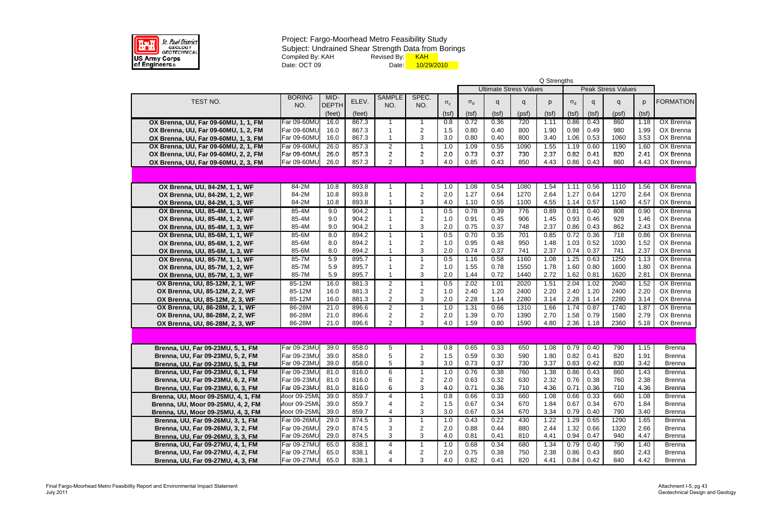

|                                                                    |                    |              |                |                                           |                     |              |              |              |                               | Q Strengths  |              |                     |                           |              |                        |
|--------------------------------------------------------------------|--------------------|--------------|----------------|-------------------------------------------|---------------------|--------------|--------------|--------------|-------------------------------|--------------|--------------|---------------------|---------------------------|--------------|------------------------|
|                                                                    |                    |              |                |                                           |                     |              |              |              | <b>Ultimate Stress Values</b> |              |              |                     | <b>Peak Stress Values</b> |              |                        |
| TEST NO.                                                           | <b>BORING</b>      | MID-         | ELEV.          | <b>SAMPLE</b>                             | SPEC.               |              |              |              |                               |              |              |                     |                           |              | <b>FORMATION</b>       |
|                                                                    | NO.                | <b>DEPTH</b> |                | NO.                                       | NO.                 | $\sigma_{c}$ | $\sigma_d$   | q            | q                             | p            | $\sigma_d$   | q                   | q                         | p            |                        |
|                                                                    |                    | (feet)       | (feet)         |                                           |                     | (tsf)        | (tsf)        | (tsf)        | (psf)                         | (tsf)        | (tsf)        | (tsf)               | (psf)                     | (tsf)        |                        |
| OX Brenna, UU, Far 09-60MU, 1, 1, FM                               | Far 09-60MU        | 16.0         | 867.3          |                                           |                     | 0.8          | 0.72         | 0.36         | 720                           | 1.11         | 0.86         | 0.43                | 860                       | 1.18         | <b>OX Brenna</b>       |
| OX Brenna, UU, Far 09-60MU, 1, 2, FM                               | Far 09-60MU        | 16.0         | 867.3          |                                           | 2                   | 1.5          | 0.80         | 0.40         | 800                           | 1.90         | 0.98         | 0.49                | 980                       | 1.99         | OX Brenna              |
| OX Brenna, UU, Far 09-60MU, 1, 3, FM                               | Far 09-60MU        | 16.0         | 867.3          | -1                                        | 3                   | 3.0          | 0.80         | 0.40         | 800                           | 3.40         | 1.06         | 0.53                | 1060                      | 3.53         | OX Brenna              |
| OX Brenna, UU, Far 09-60MU, 2, 1, FM                               | Far 09-60MU        | 26.0         | 857.3          | $\overline{2}$                            | 1                   | 1.0          | 1.09         | 0.55         | 1090                          | 1.55         | 1.19         | 0.60                | 1190                      | 1.60         | <b>OX Brenna</b>       |
| OX Brenna, UU, Far 09-60MU, 2, 2, FM                               | Far 09-60MU        | 26.0         | 857.3          | $\overline{2}$                            | $\overline{c}$      | 2.0          | 0.73         | 0.37         | 730                           | 2.37         | 0.82         | 0.41                | 820                       | 2.41         | OX Brenna              |
| OX Brenna, UU, Far 09-60MU, 2, 3, FM                               | Far 09-60MU        | 26.0         | 857.3          | $\overline{2}$                            | 3                   | 4.0          | 0.85         | 0.43         | 850                           | 4.43         | 0.86         | 0.43                | 860                       | 4.43         | OX Brenna              |
|                                                                    |                    |              |                |                                           |                     |              |              |              |                               |              |              |                     |                           |              |                        |
| OX Brenna, UU, 84-2M, 1, 1, WF                                     | 84-2M              | 10.8         | 893.8          | -1                                        |                     | 1.0          | 1.08         | 0.54         | 1080                          | 1.54         | 1.11         | 0.56                | 1110                      | 1.56         | <b>OX Brenna</b>       |
| OX Brenna, UU, 84-2M, 1, 2, WF                                     | 84-2M              | 10.8         | 893.8          |                                           | $\overline{c}$      | 2.0          | 1.27         | 0.64         | 1270                          | 2.64         | 1.27         | 0.64                | 1270                      | 2.64         | OX Brenna              |
| OX Brenna, UU, 84-2M, 1, 3, WF                                     | 84-2M              | 10.8         | 893.8          |                                           | 3                   | 4.0          | 1.10         | 0.55         | 1100                          | 4.55         | 1.14         | 0.57                | 1140                      | 4.57         | OX Brenna              |
| OX Brenna, UU, 85-4M, 1, 1, WF                                     | 85-4M              | 9.0          | 904.2          | 1                                         |                     | 0.5          | 0.78         | 0.39         | 776                           | 0.89         | 0.81         | 0.40                | 808                       | 0.90         | OX Brenna              |
| OX Brenna, UU, 85-4M, 1, 2, WF                                     | 85-4M              | 9.0          | 904.2          |                                           | 2                   | 1.0          | 0.91         | 0.45         | 906                           | 1.45         | 0.93         | 0.46                | 929                       | 1.46         | OX Brenna              |
| OX Brenna, UU, 85-4M, 1, 3, WF                                     | 85-4M              | 9.0          | 904.2          |                                           | 3                   | 2.0          | 0.75         | 0.37         | 748                           | 2.37         | 0.86         | 0.43                | 862                       | 2.43         | OX Brenna              |
| OX Brenna, UU, 85-6M, 1, 1, WF                                     | 85-6M              | 8.0          | 894.2          | 1                                         |                     | 0.5          | 0.70         | 0.35         | 701                           | 0.85         | 0.72         | 0.36                | 718                       | 0.86         | OX Brenna              |
| OX Brenna, UU, 85-6M, 1, 2, WF                                     | 85-6M              | 8.0          | 894.2          | -1<br>$\overline{1}$                      | 2                   | 1.0          | 0.95         | 0.48         | 950                           | 1.48         | 1.03         | 0.52                | 1030                      | 1.52         | OX Brenna              |
| OX Brenna, UU, 85-6M, 1, 3, WF                                     | 85-6M              | 8.0          | 894.2          |                                           | 3                   | 2.0          | 0.74         | 0.37         | 741                           | 2.37         | 0.74         | 0.37                | 741                       | 2.37         | OX Brenna              |
| OX Brenna, UU, 85-7M, 1, 1, WF                                     | 85-7M              | 5.9          | 895.7          | $\mathbf 1$                               | 1                   | 0.5          | 1.16         | 0.58         | 1160                          | 1.08         | 1.25         | 0.63                | 1250                      | 1.13         | <b>OX Brenna</b>       |
| OX Brenna, UU, 85-7M, 1, 2, WF                                     | 85-7M<br>85-7M     | 5.9<br>5.9   | 895.7<br>895.7 | $\overline{\mathbf{1}}$<br>$\overline{1}$ | $\overline{c}$<br>3 | 1.0<br>2.0   | 1.55<br>1.44 | 0.78<br>0.72 | 1550<br>1440                  | 1.78<br>2.72 | 1.60<br>1.62 | 0.80<br>0.81        | 1600<br>1620              | 1.80<br>2.81 | OX Brenna<br>OX Brenna |
| OX Brenna, UU, 85-7M, 1, 3, WF                                     |                    | 16.0         | 881.3          |                                           |                     |              |              |              | 2020                          |              |              |                     | 2040                      | 1.52         | <b>OX Brenna</b>       |
| OX Brenna, UU, 85-12M, 2, 1, WF<br>OX Brenna, UU, 85-12M, 2, 2, WF | 85-12M<br>85-12M   | 16.0         | 881.3          | $\overline{2}$<br>$\overline{c}$          |                     | 0.5<br>1.0   | 2.02<br>2.40 | 1.01<br>1.20 | 2400                          | 1.51<br>2.20 | 2.04<br>2.40 | 1.02<br>1.20        | 2400                      | 2.20         | OX Brenna              |
| OX Brenna, UU, 85-12M, 2, 3, WF                                    | 85-12M             | 16.0         | 881.3          | $\overline{2}$                            | 2<br>3              | 2.0          | 2.28         | 1.14         | 2280                          | 3.14         | 2.28         | 1.14                | 2280                      | 3.14         | OX Brenna              |
| OX Brenna, UU, 86-28M, 2, 1, WF                                    | 86-28M             | 21.0         | 896.6          | $\overline{2}$                            | 1                   | 1.0          | 1.31         | 0.66         | 1310                          | 1.66         | 1.74         | 0.87                | 1740                      | 1.87         | <b>OX Brenna</b>       |
| OX Brenna, UU, 86-28M, 2, 2, WF                                    | 86-28M             | 21.0         | 896.6          | $\sqrt{2}$                                | $\overline{c}$      | 2.0          | 1.39         | 0.70         | 1390                          | 2.70         | 1.58         | 0.79                | 1580                      | 2.79         | OX Brenna              |
| OX Brenna, UU, 86-28M, 2, 3, WF                                    | 86-28M             | 21.0         | 896.6          | 2                                         | 3                   | 4.0          | 1.59         | 0.80         | 1590                          | 4.80         | 2.36         | 1.18                | 2360                      | 5.18         | OX Brenna              |
|                                                                    |                    |              |                |                                           |                     |              |              |              |                               |              |              |                     |                           |              |                        |
|                                                                    |                    |              |                |                                           |                     |              |              |              |                               |              |              |                     |                           |              |                        |
| Brenna, UU, Far 09-23MU, 5, 1, FM                                  | Far 09-23MU        | 39.0         | 858.0          | 5                                         |                     | 0.8          | 0.65         | 0.33         | 650                           | 1.08         | 0.79         | 0.40                | 790                       | 1.15         | <b>Brenna</b>          |
| Brenna, UU, Far 09-23MU, 5, 2, FM                                  | Far 09-23MU        | 39.0         | 858.0          | 5                                         | 2                   | 1.5          | 0.59         | 0.30         | 590                           | 1.80         | 0.82         | 0.41                | 820                       | 1.91         | <b>Brenna</b>          |
| Brenna, UU, Far 09-23MU, 5, 3, FM                                  | Far 09-23MU        | 39.0         | 858.0          | 5                                         | 3                   | $3.0\,$      | 0.73         | 0.37         | 730                           | 3.37         |              | $0.83 \,   \, 0.42$ | 830                       | 3.42         | <b>Brenna</b>          |
| Brenna, UU, Far 09-23MU, 6, 1, FM                                  | Far 09-23MU        | 81.0         | 816.0          | 6                                         |                     | 1.0          | 0.76         | 0.38         | 760                           | 1.38         | 0.86         | 0.43                | 860                       | 1.43         | <b>Brenna</b>          |
| Brenna, UU, Far 09-23MU, 6, 2, FM                                  | Far 09-23MU        | 81.0         | 816.0          | 6                                         | 2                   | 2.0          | 0.63         | 0.32         | 630                           | 2.32         | 0.76         | 0.38                | 760                       | 2.38         | <b>Brenna</b>          |
| Brenna, UU, Far 09-23MU, 6, 3, FM                                  | <b>Far 09-23MU</b> | 81.0         | 816.0          | 6                                         | 3                   | 4.0          | 0.71         | 0.36         | 710                           | 4.36         | 0.71         | 0.36                | 710                       | 4.36         | <b>Brenna</b>          |
| Brenna, UU, Moor 09-25MU, 4, 1, FM                                 | Moor 09-25MU       | 39.0         | 859.7          | $\overline{4}$                            |                     | 0.8          | 0.66         | 0.33         | 660                           | 1.08         | 0.66         | 0.33                | 660                       | 1.08         | <b>Brenna</b>          |
| Brenna, UU, Moor 09-25MU, 4, 2, FM                                 | Moor 09-25MU       | 39.0         | 859.7          | 4                                         | 2                   | 1.5          | 0.67         | 0.34         | 670                           | 1.84         | 0.67         | 0.34                | 670                       | 1.84         | <b>Brenna</b>          |
| Brenna, UU, Moor 09-25MU, 4, 3, FM                                 | Moor 09-25MU       | 39.0         | 859.7          | 4                                         | 3                   | 3.0          | 0.67         | 0.34         | 670                           | 3.34         | 0.79         | 0.40                | 790                       | 3.40         | <b>Brenna</b>          |
| Brenna, UU, Far 09-26MU, 3, 1, FM                                  | <b>Far 09-26MU</b> | 29.0         | 874.5          | 3                                         | 1                   | 1.0          | 0.43         | 0.22         | 430                           | 1.22         | 1.29         | 0.65                | 1290                      | 1.65         | <b>Brenna</b>          |
| Brenna, UU, Far 09-26MU, 3, 2, FM                                  | Far 09-26MU        | 29.0         | 874.5          | 3                                         | $\overline{c}$      | 2.0          | 0.88         | 0.44         | 880                           | 2.44         | 1.32         | 0.66                | 1320                      | 2.66         | <b>Brenna</b>          |
| Brenna, UU, Far 09-26MU, 3, 3, FM                                  | <b>Far 09-26MU</b> | 29.0         | 874.5          | 3                                         | 3                   | 4.0          | 0.81         | 0.41         | 810                           | 4.41         | 0.94         | 0.47                | 940                       | 4.47         | <b>Brenna</b>          |
| Brenna, UU, Far 09-27MU, 4, 1, FM                                  | Far 09-27MU        | 65.0         | 838.1          | 4                                         |                     | 1.0          | 0.68         | 0.34         | 680                           | 1.34         | 0.79         | 0.40                | 790                       | 1.40         | <b>Brenna</b>          |
| Brenna, UU, Far 09-27MU, 4, 2, FM                                  | <b>Far 09-27MU</b> | 65.0         | 838.1          | 4                                         | 2                   | 2.0          | 0.75         | 0.38         | 750                           | 2.38         | 0.86         | 0.43                | 860                       | 2.43         | <b>Brenna</b>          |
| Brenna, UU, Far 09-27MU, 4, 3, FM                                  | <b>Far 09-27MU</b> | 65.0         | 838.1          | 4                                         | 3                   | 4.0          | 0.82         | 0.41         | 820                           | 4.41         | 0.84         | 0.42                | 840                       | 4.42         | <b>Brenna</b>          |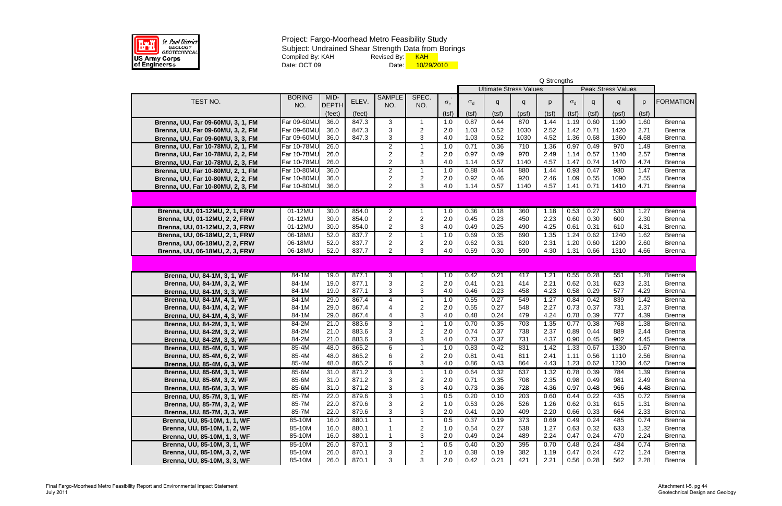

|                                                            |                    |              |                |                  |                |            |                  |                               |            | Q Strengths  |              |              |                           |              |                                |
|------------------------------------------------------------|--------------------|--------------|----------------|------------------|----------------|------------|------------------|-------------------------------|------------|--------------|--------------|--------------|---------------------------|--------------|--------------------------------|
|                                                            |                    |              |                |                  |                |            |                  | <b>Ultimate Stress Values</b> |            |              |              |              | <b>Peak Stress Values</b> |              |                                |
| TEST NO.                                                   | <b>BORING</b>      | MID-         | ELEV.          | <b>SAMPLE</b>    | SPEC.          |            |                  |                               |            |              |              |              |                           |              | <b>FORMATION</b>               |
|                                                            | NO.                | <b>DEPTH</b> |                | NO.              | NO.            | $\sigma_c$ | $\sigma_{\rm d}$ | q                             | q          | p            | $\sigma_d$   | q            | q                         | p            |                                |
|                                                            |                    | (feet)       | (feet)         |                  |                | (tsf)      | (tsf)            | (tsf)                         | (psf)      | (tsf)        | (tsf)        | (tsf)        | (psf)                     | (tsf)        |                                |
| Brenna, UU, Far 09-60MU, 3, 1, FM                          | Far 09-60MU        | 36.0         | 847.3          | 3                | 1              | 1.0        | 0.87             | 0.44                          | 870        | 1.44         | 1.19         | 0.60         | 1190                      | 1.60         | <b>Brenna</b>                  |
| Brenna, UU, Far 09-60MU, 3, 2, FM                          | Far 09-60MU        | 36.0         | 847.3          | 3                | $\overline{2}$ | 2.0        | 1.03             | 0.52                          | 1030       | 2.52         | 1.42         | 0.71         | 1420                      | 2.71         | <b>Brenna</b>                  |
| Brenna, UU, Far 09-60MU, 3, 3, FM                          | Far 09-60MU        | 36.0         | 847.3          | 3                | 3              | 4.0        | 1.03             | 0.52                          | 1030       | 4.52         | 1.36         | 0.68         | 1360                      | 4.68         | <b>Brenna</b>                  |
| Brenna, UU, Far 10-78MU, 2, 1, FM                          | Far 10-78MU        | 26.0         |                | $\overline{2}$   | 1              | 1.0        | 0.71             | 0.36                          | 710        | 1.36         | 0.97         | 0.49         | 970                       | 1.49         | <b>Brenna</b>                  |
| Brenna, UU, Far 10-78MU, 2, 2, FM                          | Far 10-78MU        | 26.0         |                | $\overline{2}$   | $\overline{c}$ | 2.0        | 0.97             | 0.49                          | 970        | 2.49         | 1.14         | 0.57         | 1140                      | 2.57         | <b>Brenna</b>                  |
| Brenna, UU, Far 10-78MU, 2, 3, FM                          | Far 10-78MU        | 26.0         |                | $\overline{2}$   | 3              | 4.0        | 1.14             | 0.57                          | 1140       | 4.57         | 1.47         | 0.74         | 1470                      | 4.74         | <b>Brenna</b>                  |
| Brenna, UU, Far 10-80MU, 2, 1, FM                          | Far 10-80MU        | 36.0         |                | $\overline{2}$   | $\mathbf 1$    | 1.0        | 0.88             | 0.44                          | 880        | 1.44         | 0.93         | 0.47         | 930                       | 1.47         | <b>Brenna</b>                  |
| Brenna, UU, Far 10-80MU, 2, 2, FM                          | <b>Far 10-80MU</b> | 36.0         |                | $\overline{2}$   | $\overline{c}$ | 2.0        | 0.92             | 0.46                          | 920        | 2.46         | 1.09         | 0.55         | 1090                      | 2.55         | <b>Brenna</b>                  |
| Brenna, UU, Far 10-80MU, 2, 3, FM                          | <b>Far 10-80MU</b> | 36.0         |                | $\overline{2}$   | 3              | 4.0        | 1.14             | 0.57                          | 1140       | 4.57         | 1.41         | 0.71         | 1410                      | 4.71         | <b>Brenna</b>                  |
|                                                            |                    |              |                |                  |                |            |                  |                               |            |              |              |              |                           |              |                                |
|                                                            |                    |              |                |                  |                |            |                  |                               |            |              |              |              |                           |              |                                |
| Brenna, UU, 01-12MU, 2, 1, FRW                             | 01-12MU            | 30.0         | 854.0          | $\overline{2}$   |                | 1.0        | 0.36             | 0.18                          | 360        | 1.18         | 0.53         | 0.27         | 530                       | 1.27         | <b>Brenna</b>                  |
| Brenna, UU, 01-12MU, 2, 2, FRW                             | 01-12MU            | 30.0         | 854.0          | $\overline{2}$   | 2              | 2.0        | 0.45             | 0.23                          | 450        | 2.23         | 0.60         | 0.30         | 600                       | 2.30         | <b>Brenna</b>                  |
| Brenna, UU, 01-12MU, 2, 3, FRW                             | 01-12MU            | 30.0         | 854.0          | $\overline{2}$   | 3              | 4.0        | 0.49             | 0.25                          | 490        | 4.25         | 0.61         | 0.31         | 610                       | 4.31         | <b>Brenna</b>                  |
| Brenna, UU, 06-18MU, 2, 1, FRW                             | 06-18MU            | 52.0         | 837.7          | $\overline{2}$   | $\mathbf 1$    | 1.0        | 0.69             | 0.35                          | 690        | 1.35         | 1.24         | 0.62         | 1240                      | 1.62         | <b>Brenna</b>                  |
| Brenna, UU, 06-18MU, 2, 2, FRW                             | 06-18MU            | 52.0         | 837.7          | $\boldsymbol{2}$ | $\overline{c}$ | 2.0        | 0.62             | 0.31                          | 620        | 2.31         | 1.20         | 0.60         | 1200                      | 2.60         | <b>Brenna</b>                  |
| Brenna, UU, 06-18MU, 2, 3, FRW                             | 06-18MU            | 52.0         | 837.7          | $\overline{2}$   | 3              | 4.0        | 0.59             | 0.30                          | 590        | 4.30         | 1.31         | 0.66         | 1310                      | 4.66         | <b>Brenna</b>                  |
|                                                            |                    |              |                |                  |                |            |                  |                               |            |              |              |              |                           |              |                                |
|                                                            | $84 - 1M$          |              |                |                  | 1              |            |                  |                               |            |              |              |              |                           |              |                                |
| Brenna, UU, 84-1M, 3, 1, WF                                | 84-1M              | 19.0<br>19.0 | 877.1<br>877.1 | 3<br>3           | $\overline{c}$ | 1.0<br>2.0 | 0.42<br>0.41     | 0.21<br>0.21                  | 417<br>414 | 1.21<br>2.21 | 0.55<br>0.62 | 0.28<br>0.31 | 551<br>623                | 1.28<br>2.31 | <b>Brenna</b><br><b>Brenna</b> |
| Brenna, UU, 84-1M, 3, 2, WF                                | 84-1M              | 19.0         | 877.1          | 3                | 3              | 4.0        | 0.46             | 0.23                          | 458        | 4.23         | 0.58         | 0.29         | 577                       | 4.29         | <b>Brenna</b>                  |
| Brenna, UU, 84-1M, 3, 3, WF<br>Brenna, UU, 84-1M, 4, 1, WF | 84-1M              | 29.0         | 867.4          | 4                | 1              | 1.0        | 0.55             | 0.27                          | 549        | 1.27         | 0.84         | 0.42         | 839                       | 1.42         | <b>Brenna</b>                  |
| Brenna, UU, 84-1M, 4, 2, WF                                | 84-1M              | 29.0         | 867.4          | 4                | $\overline{c}$ | 2.0        | 0.55             | 0.27                          | 548        | 2.27         | 0.73         | 0.37         | 731                       | 2.37         | <b>Brenna</b>                  |
| Brenna, UU, 84-1M, 4, 3, WF                                | 84-1M              | 29.0         | 867.4          | 4                | 3              | 4.0        | 0.48             | 0.24                          | 479        | 4.24         | 0.78         | 0.39         | 777                       | 4.39         | <b>Brenna</b>                  |
| Brenna, UU, 84-2M, 3, 1, WF                                | 84-2M              | 21.0         | 883.6          | 3                | $\mathbf 1$    | 1.0        | 0.70             | 0.35                          | 703        | 1.35         | 0.77         | 0.38         | 768                       | 1.38         | <b>Brenna</b>                  |
| Brenna, UU, 84-2M, 3, 2, WF                                | 84-2M              | 21.0         | 883.6          | 3                | $\overline{2}$ | 2.0        | 0.74             | 0.37                          | 738        | 2.37         | 0.89         | 0.44         | 889                       | 2.44         | <b>Brenna</b>                  |
| Brenna, UU, 84-2M, 3, 3, WF                                | 84-2M              | 21.0         | 883.6          | 3                | 3              | 4.0        | 0.73             | 0.37                          | 731        | 4.37         | 0.90         | 0.45         | 902                       | 4.45         | <b>Brenna</b>                  |
| Brenna, UU, 85-4M, 6, 1, WF                                | 85-4M              | 48.0         | 865.2          | 6                | $\mathbf 1$    | 1.0        | 0.83             | 0.42                          | 831        | 1.42         | 1.33         | 0.67         | 1330                      | 1.67         | <b>Brenna</b>                  |
| Brenna, UU, 85-4M, 6, 2, WF                                | 85-4M              | 48.0         | 865.2          | 6                | 2              | 2.0        | 0.81             | 0.41                          | 811        | 2.41         | 1.11         | 0.56         | 1110                      | 2.56         | <b>Brenna</b>                  |
| Brenna, UU, 85-4M, 6, 3, WF                                | 85-4M              | 48.0         | 865.2          | 6                | 3              | $4.0$      | 0.86             | 0.43                          | 864        | 4.43         | 1.23         | 0.62         | 1230                      | 4.62         | <b>Brenna</b>                  |
| Brenna, UU, 85-6M, 3, 1, WF                                | 85-6M              | 31.0         | 871.2          | 3                | 1              | 1.0        | 0.64             | 0.32                          | 637        | 1.32         | 0.78         | 0.39         | 784                       | 1.39         | <b>Brenna</b>                  |
| Brenna, UU, 85-6M, 3, 2, WF                                | 85-6M              | 31.0         | 871.2          | 3                | $\overline{c}$ | 2.0        | 0.71             | 0.35                          | 708        | 2.35         | 0.98         | 0.49         | 981                       | 2.49         | <b>Brenna</b>                  |
| Brenna, UU, 85-6M, 3, 3, WF                                | 85-6M              | 31.0         | 871.2          | 3                | 3              | 4.0        | 0.73             | 0.36                          | 728        | 4.36         | 0.97         | 0.48         | 966                       | 4.48         | <b>Brenna</b>                  |
| Brenna, UU, 85-7M, 3, 1, WF                                | 85-7M              | 22.0         | 879.6          | 3                | $\mathbf 1$    | 0.5        | 0.20             | 0.10                          | 203        | 0.60         | 0.44         | 0.22         | 435                       | 0.72         | <b>Brenna</b>                  |
| Brenna, UU, 85-7M, 3, 2, WF                                | 85-7M              | 22.0         | 879.6          | 3                | $\overline{c}$ | 1.0        | 0.53             | 0.26                          | 526        | 1.26         | 0.62         | 0.31         | 615                       | 1.31         | <b>Brenna</b>                  |
| Brenna, UU, 85-7M, 3, 3, WF                                | 85-7M              | 22.0         | 879.6          | $\sqrt{3}$       | 3              | 2.0        | 0.41             | 0.20                          | 409        | 2.20         | 0.66         | 0.33         | 664                       | 2.33         | <b>Brenna</b>                  |
| Brenna, UU, 85-10M, 1, 1, WF                               | 85-10M             | 16.0         | 880.1          | $\mathbf{1}$     | $\mathbf 1$    | 0.5        | 0.37             | 0.19                          | 373        | 0.69         | 0.49         | 0.24         | 485                       | 0.74         | <b>Brenna</b>                  |
| Brenna, UU, 85-10M, 1, 2, WF                               | 85-10M             | 16.0         | 880.1          |                  | $\overline{c}$ | 1.0        | 0.54             | 0.27                          | 538        | 1.27         | 0.63         | 0.32         | 633                       | 1.32         | <b>Brenna</b>                  |
| Brenna, UU, 85-10M, 1, 3, WF                               | 85-10M             | 16.0         | 880.1          | $\overline{1}$   | 3              | 2.0        | 0.49             | 0.24                          | 489        | 2.24         | 0.47         | 0.24         | 470                       | 2.24         | <b>Brenna</b>                  |
| Brenna, UU, 85-10M, 3, 1, WF                               | 85-10M             | 26.0         | 870.1          | 3                | 1              | 0.5        | 0.40             | 0.20                          | 395        | 0.70         | 0.48         | 0.24         | 484                       | 0.74         | <b>Brenna</b>                  |
| Brenna, UU, 85-10M, 3, 2, WF                               | 85-10M             | 26.0         | 870.1          | 3                | $\overline{c}$ | 1.0        | 0.38             | 0.19                          | 382        | 1.19         | 0.47         | 0.24         | 472                       | 1.24         | <b>Brenna</b>                  |
| Brenna, UU, 85-10M, 3, 3, WF                               | 85-10M             | 26.0         | 870.1          | 3                | 3              | 2.0        | 0.42             | 0.21                          | 421        | 2.21         | 0.56         | 0.28         | 562                       | 2.28         | <b>Brenna</b>                  |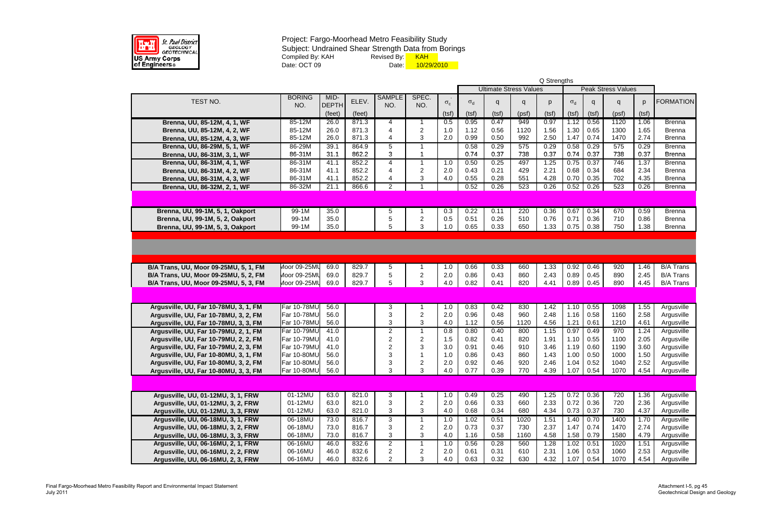

|                                       |                                   |              |        |                         |                |            | Q Strengths                   |                           |            |              |              |              |              |              |                          |  |  |  |
|---------------------------------------|-----------------------------------|--------------|--------|-------------------------|----------------|------------|-------------------------------|---------------------------|------------|--------------|--------------|--------------|--------------|--------------|--------------------------|--|--|--|
|                                       |                                   |              |        |                         |                |            | <b>Ultimate Stress Values</b> | <b>Peak Stress Values</b> |            |              |              |              |              |              |                          |  |  |  |
| TEST NO.                              | <b>BORING</b>                     | MID-         | ELEV.  | <b>SAMPLE</b>           | SPEC.          |            |                               |                           |            |              |              |              |              | <sub>D</sub> | <b>FORMATION</b>         |  |  |  |
|                                       | NO.                               | <b>DEPTH</b> |        | NO.                     | NO.            | $\sigma_c$ | $\sigma_d$                    | q                         | q          | p            | $\sigma_d$   | q            | q            |              |                          |  |  |  |
|                                       |                                   | (feet)       | (feet) |                         |                | (tsf)      | (tsf)                         | (tsf)                     | (psf)      | (tsf)        | (tsf)        | (tsf)        | (psf)        | (tsf)        |                          |  |  |  |
| Brenna, UU, 85-12M, 4, 1, WF          | 85-12M                            | 26.0         | 871.3  | 4                       |                | 0.5        | 0.95                          | 0.47                      | 949        | 0.97         | 1.12         | 0.56         | 1120         | 1.06         | <b>Brenna</b>            |  |  |  |
| Brenna, UU, 85-12M, 4, 2, WF          | 85-12M                            | 26.0         | 871.3  | 4                       | $\overline{c}$ | 1.0        | 1.12                          | 0.56                      | 1120       | 1.56         | 1.30         | 0.65         | 1300         | 1.65         | <b>Brenna</b>            |  |  |  |
| Brenna, UU, 85-12M, 4, 3, WF          | 85-12M                            | 26.0         | 871.3  | 4                       | 3              | 2.0        | 0.99                          | 0.50                      | 992        | 2.50         | 1.47         | 0.74         | 1470         | 2.74         | <b>Brenna</b>            |  |  |  |
| Brenna, UU, 86-29M, 5, 1, WF          | 86-29M                            | 39.1         | 864.9  | 5                       | 1              |            | 0.58                          | 0.29                      | 575        | 0.29         | 0.58         | 0.29         | 575          | 0.29         | <b>Brenna</b>            |  |  |  |
| Brenna, UU, 86-31M, 3, 1, WF          | 86-31M                            | 31.1         | 862.2  | 3                       | 1              |            | 0.74                          | 0.37                      | 738        | 0.37         | 0.74         | 0.37         | 738          | 0.37         | <b>Brenna</b>            |  |  |  |
| Brenna, UU, 86-31M, 4, 1, WF          | 86-31M                            | 41.1         | 852.2  | 4                       | $\mathbf{1}$   | 1.0        | 0.50                          | 0.25                      | 497        | 1.25         | 0.75         | 0.37         | 746          | 1.37         | <b>Brenna</b>            |  |  |  |
| Brenna, UU, 86-31M, 4, 2, WF          | 86-31M                            | 41.1         | 852.2  | 4                       | $\overline{c}$ | 2.0        | 0.43                          | 0.21                      | 429        | 2.21         | 0.68         | 0.34         | 684          | 2.34         | <b>Brenna</b>            |  |  |  |
| Brenna, UU, 86-31M, 4, 3, WF          | 86-31M                            | 41.1         | 852.2  | 4                       | 3              | 4.0        | 0.55                          | 0.28                      | 551        | 4.28         | 0.70         | 0.35         | 702          | 4.35         | <b>Brenna</b>            |  |  |  |
| Brenna, UU, 86-32M, 2, 1, WF          | 86-32M                            | 21.1         | 866.6  | $\overline{2}$          | $\mathbf 1$    |            | 0.52                          | 0.26                      | 523        | 0.26         | 0.52         | 0.26         | 523          | 0.26         | <b>Brenna</b>            |  |  |  |
|                                       |                                   |              |        |                         |                |            |                               |                           |            |              |              |              |              |              |                          |  |  |  |
| Brenna, UU, 99-1M, 5, 1, Oakport      | $99-1M$                           | 35.0         |        | 5                       |                | 0.3        | 0.22                          | 0.11                      | 220        | 0.36         | 0.67         | 0.34         | 670          | 0.59         | <b>Brenna</b>            |  |  |  |
| Brenna, UU, 99-1M, 5, 2, Oakport      | 99-1M                             | 35.0         |        | 5                       | $\overline{c}$ | 0.5        | 0.51                          | 0.26                      | 510        | 0.76         | 0.71         | 0.36         | 710          | 0.86         | <b>Brenna</b>            |  |  |  |
| Brenna, UU, 99-1M, 5, 3, Oakport      | 99-1M                             | 35.0         |        | 5                       | 3              | 1.0        | 0.65                          | 0.33                      | 650        | 1.33         | 0.75         | 0.38         | 750          | 1.38         | <b>Brenna</b>            |  |  |  |
|                                       |                                   |              |        |                         |                |            |                               |                           |            |              |              |              |              |              |                          |  |  |  |
|                                       |                                   |              |        |                         |                |            |                               |                           |            |              |              |              |              |              |                          |  |  |  |
|                                       |                                   |              |        |                         |                |            |                               |                           |            |              |              |              |              |              |                          |  |  |  |
| B/A Trans, UU, Moor 09-25MU, 5, 1, FM | Moor 09-25MU                      | 69.0         | 829.7  | 5                       |                | 1.0        | 0.66                          | 0.33                      | 660        | 1.33         | 0.92         | 0.46         | 920          | 1.46         | <b>B/A Trans</b>         |  |  |  |
| B/A Trans, UU, Moor 09-25MU, 5, 2, FM | Moor 09-25MU                      | 69.0         | 829.7  | 5                       | $\overline{2}$ | 2.0        | 0.86                          | 0.43                      | 860        | 2.43         | 0.89         | 0.45         | 890          | 2.45         | <b>B/A Trans</b>         |  |  |  |
| B/A Trans, UU, Moor 09-25MU, 5, 3, FM | Moor 09-25MU                      | 69.0         | 829.7  | 5                       | 3              | 4.0        | 0.82                          | 0.41                      | 820        | 4.41         | 0.89         | 0.45         | 890          | 4.45         | <b>B/A Trans</b>         |  |  |  |
|                                       |                                   |              |        |                         |                |            |                               |                           |            |              |              |              |              |              |                          |  |  |  |
|                                       |                                   |              |        |                         |                |            |                               |                           |            |              |              |              |              |              |                          |  |  |  |
| Argusville, UU, Far 10-78MU, 3, 1, FM | <b>Far 10-78MU</b>                | 56.0         |        | 3                       |                | 1.0        | 0.83                          | 0.42                      | 830        | 1.42         | 1.10         | 0.55         | 1098         | 1.55         | Argusville               |  |  |  |
| Argusville, UU, Far 10-78MU, 3, 2, FM | Far 10-78MU                       | 56.0         |        | 3                       | $\overline{c}$ | 2.0        | 0.96                          | 0.48                      | 960        | 2.48         | 1.16         | 0.58         | 1160         | 2.58         | Argusville               |  |  |  |
| Argusville, UU, Far 10-78MU, 3, 3, FM | <b>Far 10-78MU</b>                | 56.0         |        | 3                       | $\mathbf{3}$   | 4.0        | 1.12                          | 0.56                      | 1120       | 4.56         | 1.21         | 0.61         | 1210         | 4.61         | Argusville               |  |  |  |
| Argusville, UU, Far 10-79MU, 2, 1, FM | <b>Far 10-79MU</b>                | 41.0         |        | $\overline{c}$          | $\mathbf{1}$   | 0.8        | 0.80                          | 0.40                      | 800        | 1.15         | 0.97         | 0.49         | 970          | 1.24         | Argusville               |  |  |  |
| Argusville, UU, Far 10-79MU, 2, 2, FM | Far 10-79MU                       | 41.0         |        | $\overline{2}$          | $\overline{c}$ | 1.5        | 0.82                          | 0.41                      | 820        | 1.91         | 1.10         | 0.55         | 1100         | 2.05         | Argusville               |  |  |  |
| Argusville, UU, Far 10-79MU, 2, 3, FM | Far 10-79MU                       | 41.0         |        | 2                       | 3              | 3.0        | 0.91                          | 0.46                      | 910        | 3.46         | 1.19         | 0.60         | 1190         | 3.60         | Argusville               |  |  |  |
| Argusville, UU, Far 10-80MU, 3, 1, FM | <b>Far 10-80MU</b>                | 56.0         |        | 3<br>ົ                  |                | 1.0        | 0.86                          | 0.43                      | 860        | 1.43         | 1.00         | 0.50         | 1000         | 1.50         | Argusville               |  |  |  |
| Argusville, UU, Far 10-80MU, 3, 2, FM | Far 10-80MU<br><b>Far 10-80MU</b> | 56.0<br>56.0 |        | 3                       | 3              | 2.0<br>4.0 | 0.92<br>0.77                  | 0.46<br>0.39              | 920<br>770 | 2.46<br>4.39 | 1.04<br>1.07 | 0.52<br>0.54 | 1040<br>1070 | 2.52<br>4.54 | Argusville<br>Argusville |  |  |  |
| Argusville, UU, Far 10-80MU, 3, 3, FM |                                   |              |        |                         |                |            |                               |                           |            |              |              |              |              |              |                          |  |  |  |
|                                       |                                   |              |        |                         |                |            |                               |                           |            |              |              |              |              |              |                          |  |  |  |
| Argusville, UU, 01-12MU, 3, 1, FRW    | 01-12MU                           | 63.0         | 821.0  | 3                       |                | 1.0        | 0.49                          | 0.25                      | 490        | 1.25         | 0.72         | 0.36         | 720          | 1.36         | Argusville               |  |  |  |
| Argusville, UU, 01-12MU, 3, 2, FRW    | 01-12MU                           | 63.0         | 821.0  | 3                       | $\overline{c}$ | 2.0        | 0.66                          | 0.33                      | 660        | 2.33         | 0.72         | 0.36         | 720          | 2.36         | Argusville               |  |  |  |
| Argusville, UU, 01-12MU, 3, 3, FRW    | 01-12MU                           | 63.0         | 821.0  | 3                       | 3              | 4.0        | 0.68                          | 0.34                      | 680        | 4.34         | 0.73         | 0.37         | 730          | 4.37         | Argusville               |  |  |  |
| Argusville, UU, 06-18MU, 3, 1, FRW    | 06-18MU                           | 73.0         | 816.7  | 3                       | $\mathbf 1$    | 1.0        | 1.02                          | 0.51                      | 1020       | 1.51         | 1.40         | 0.70         | 1400         | 1.70         | Argusville               |  |  |  |
| Argusville, UU, 06-18MU, 3, 2, FRW    | 06-18MU                           | 73.0         | 816.7  | 3                       | $\overline{c}$ | 2.0        | 0.73                          | 0.37                      | 730        | 2.37         | 1.47         | 0.74         | 1470         | 2.74         | Argusville               |  |  |  |
| Argusville, UU, 06-18MU, 3, 3, FRW    | 06-18MU                           | 73.0         | 816.7  | 3                       | 3              | 4.0        | 1.16                          | 0.58                      | 1160       | 4.58         | 1.58         | 0.79         | 1580         | 4.79         | Argusville               |  |  |  |
| Argusville, UU, 06-16MU, 2, 1, FRW    | 06-16MU                           | 46.0         | 832.6  | $\overline{2}$          | 1              | 1.0        | 0.56                          | 0.28                      | 560        | 1.28         | 1.02         | 0.51         | 1020         | 1.51         | Argusville               |  |  |  |
| Argusville, UU, 06-16MU, 2, 2, FRW    | 06-16MU                           | 46.0         | 832.6  | $\overline{\mathbf{c}}$ | $\overline{c}$ | 2.0        | 0.61                          | 0.31                      | 610        | 2.31         | 1.06         | 0.53         | 1060         | 2.53         | Argusville               |  |  |  |
| Argusville, UU, 06-16MU, 2, 3, FRW    | 06-16MU                           | 46.0         | 832.6  | $\overline{2}$          | 3              | 4.0        | 0.63                          | 0.32                      | 630        | 4.32         | 1.07         | 0.54         | 1070         | 4.54         | Argusville               |  |  |  |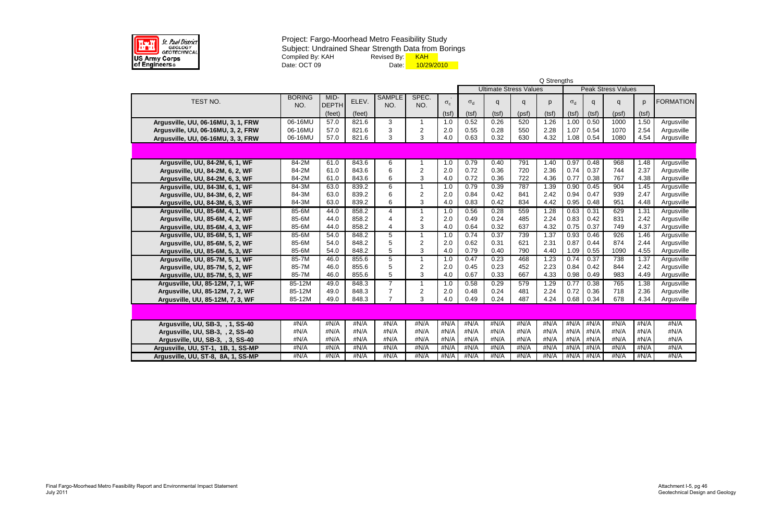

|                                    |                      |                      |        |                      |                |              | Q Strengths |       |                               |       |            |                           |              |       |                  |  |  |  |  |
|------------------------------------|----------------------|----------------------|--------|----------------------|----------------|--------------|-------------|-------|-------------------------------|-------|------------|---------------------------|--------------|-------|------------------|--|--|--|--|
|                                    |                      |                      |        |                      |                |              |             |       | <b>Ultimate Stress Values</b> |       |            | <b>Peak Stress Values</b> |              |       |                  |  |  |  |  |
| TEST NO.                           | <b>BORING</b><br>NO. | MID-<br><b>DEPTH</b> | ELEV.  | <b>SAMPLE</b><br>NO. | SPEC.<br>NO.   | $\sigma_{c}$ | $\sigma_d$  | q     | Q                             | p     | $\sigma_d$ | q                         | $\mathsf{q}$ | p     | <b>FORMATION</b> |  |  |  |  |
|                                    |                      | (feet)               | (feet) |                      |                | (tsf)        | (tsf)       | (tsf) | (psf)                         | (tsf) | (tsf)      | (tsf)                     | (psf)        | (tsf) |                  |  |  |  |  |
| Argusville, UU, 06-16MU, 3, 1, FRW | 06-16MU              | 57.0                 | 821.6  | 3                    | 1              | 1.0          | 0.52        | 0.26  | 520                           | 1.26  | 1.00       | 0.50                      | 1000         | 1.50  | Argusville       |  |  |  |  |
| Argusville, UU, 06-16MU, 3, 2, FRW | 06-16MU              | 57.0                 | 821.6  | 3                    | $\overline{2}$ | 2.0          | 0.55        | 0.28  | 550                           | 2.28  | 1.07       | 0.54                      | 1070         | 2.54  | Argusville       |  |  |  |  |
| Argusville, UU, 06-16MU, 3, 3, FRW | 06-16MU              | 57.0                 | 821.6  | 3                    | 3              | 4.0          | 0.63        | 0.32  | 630                           | 4.32  | 1.08       | 0.54                      | 1080         | 4.54  | Argusville       |  |  |  |  |
|                                    |                      |                      |        |                      |                |              |             |       |                               |       |            |                           |              |       |                  |  |  |  |  |
| Argusville, UU, 84-2M, 6, 1, WF    | $84-2M$              | 61.0                 | 843.6  | 6                    |                | 1.0          | 0.79        | 0.40  | 791                           | 1.40  | 0.97       | 0.48                      | 968          | 1.48  | Argusville       |  |  |  |  |
| Argusville, UU, 84-2M, 6, 2, WF    | 84-2M                | 61.0                 | 843.6  | 6                    | $\overline{2}$ | 2.0          | 0.72        | 0.36  | 720                           | 2.36  | 0.74       | 0.37                      | 744          | 2.37  | Argusville       |  |  |  |  |
| Argusville, UU, 84-2M, 6, 3, WF    | 84-2M                | 61.0                 | 843.6  | 6                    | 3              | 4.0          | 0.72        | 0.36  | 722                           | 4.36  | 0.77       | 0.38                      | 767          | 4.38  | Argusville       |  |  |  |  |
| Argusville, UU, 84-3M, 6, 1, WF    | $84-3M$              | 63.0                 | 839.2  | $6\overline{6}$      | $\mathbf 1$    | 1.0          | 0.79        | 0.39  | 787                           | 1.39  | 0.90       | 0.45                      | 904          | 1.45  | Argusville       |  |  |  |  |
| Argusville, UU, 84-3M, 6, 2, WF    | 84-3M                | 63.0                 | 839.2  | 6                    | $\overline{2}$ | 2.0          | 0.84        | 0.42  | 841                           | 2.42  | 0.94       | 0.47                      | 939          | 2.47  | Argusville       |  |  |  |  |
| Argusville, UU, 84-3M, 6, 3, WF    | 84-3M                | 63.0                 | 839.2  | 6                    | 3              | 4.0          | 0.83        | 0.42  | 834                           | 4.42  | 0.95       | 0.48                      | 951          | 4.48  | Argusville       |  |  |  |  |
| Argusville, UU, 85-6M, 4, 1, WF    | 85-6M                | 44.0                 | 858.2  | 4                    | $\mathbf{1}$   | 1.0          | 0.56        | 0.28  | 559                           | 1.28  | 0.63       | 0.31                      | 629          | 1.31  | Argusville       |  |  |  |  |
| Argusville, UU, 85-6M, 4, 2, WF    | 85-6M                | 44.0                 | 858.2  | 4                    | $\overline{2}$ | 2.0          | 0.49        | 0.24  | 485                           | 2.24  | 0.83       | 0.42                      | 831          | 2.42  | Argusville       |  |  |  |  |
| Argusville, UU, 85-6M, 4, 3, WF    | 85-6M                | 44.0                 | 858.2  | $\overline{4}$       | 3              | 4.0          | 0.64        | 0.32  | 637                           | 4.32  | 0.75       | 0.37                      | 749          | 4.37  | Argusville       |  |  |  |  |
| Argusville, UU, 85-6M, 5, 1, WF    | 85-6M                | 54.0                 | 848.2  | 5                    | $\mathbf{1}$   | 1.0          | 0.74        | 0.37  | 739                           | 1.37  | 0.93       | 0.46                      | 926          | 1.46  | Argusville       |  |  |  |  |
| Argusville, UU, 85-6M, 5, 2, WF    | 85-6M                | 54.0                 | 848.2  | 5                    | $\mathbf 2$    | 2.0          | 0.62        | 0.31  | 621                           | 2.31  | 0.87       | 0.44                      | 874          | 2.44  | Argusville       |  |  |  |  |
| Argusville, UU, 85-6M, 5, 3, WF    | 85-6M                | 54.0                 | 848.2  | 5                    | 3              | 4.0          | 0.79        | 0.40  | 790                           | 4.40  | 1.09       | 0.55                      | 1090         | 4.55  | Argusville       |  |  |  |  |
| Argusville, UU, 85-7M, 5, 1, WF    | 85-7M                | 46.0                 | 855.6  | 5                    | 1              | 1.0          | 0.47        | 0.23  | 468                           | 1.23  | 0.74       | 0.37                      | 738          | 1.37  | Argusville       |  |  |  |  |
| Argusville, UU, 85-7M, 5, 2, WF    | 85-7M                | 46.0                 | 855.6  | 5                    | $\overline{2}$ | 2.0          | 0.45        | 0.23  | 452                           | 2.23  | 0.84       | 0.42                      | 844          | 2.42  | Argusville       |  |  |  |  |
| Argusville, UU, 85-7M, 5, 3, WF    | 85-7M                | 46.0                 | 855.6  | 5                    | 3              | 4.0          | 0.67        | 0.33  | 667                           | 4.33  | 0.98       | 0.49                      | 983          | 4.49  | Argusville       |  |  |  |  |
| Argusville, UU, 85-12M, 7, 1, WF   | 85-12M               | 49.0                 | 848.3  | $\overline{7}$       | $\mathbf{1}$   | 1.0          | 0.58        | 0.29  | 579                           | 1.29  | 0.77       | 0.38                      | 765          | 1.38  | Argusville       |  |  |  |  |
| Argusville, UU, 85-12M, 7, 2, WF   | 85-12M               | 49.0                 | 848.3  | $\overline{7}$       | $\overline{c}$ | 2.0          | 0.48        | 0.24  | 481                           | 2.24  | 0.72       | 0.36                      | 718          | 2.36  | Argusville       |  |  |  |  |
| Argusville, UU, 85-12M, 7, 3, WF   | 85-12M               | 49.0                 | 848.3  | $\overline{7}$       | 3              | 4.0          | 0.49        | 0.24  | 487                           | 4.24  | 0.68       | 0.34                      | 678          | 4.34  | Argusville       |  |  |  |  |
|                                    |                      |                      |        |                      |                |              |             |       |                               |       |            |                           |              |       |                  |  |  |  |  |
| Argusville, UU, SB-3, , 1, SS-40   | #N/A                 | #N/A                 | #N/A   | #N/A                 | #N/A           | #N/A         | #N/A        | #N/A  | #N/A                          | #N/A  | #N/A       | #N/A                      | #N/A         | #N/A  | #N/A             |  |  |  |  |
| Argusville, UU, SB-3, , 2, SS-40   | #N/A                 | #N/A                 | #N/A   | #N/A                 | #N/A           | #N/A         | #N/A        | #N/A  | #N/A                          | #N/A  | #N/A       | #N/A                      | #N/A         | #N/A  | #N/A             |  |  |  |  |
| Argusville, UU, SB-3, , 3, SS-40   | #N/A                 | #N/A                 | #N/A   | #N/A                 | #N/A           | #N/A         | #N/A        | #N/A  | #N/A                          | #N/A  | #N/A       | #N/A                      | #N/A         | #N/A  | #N/A             |  |  |  |  |
| Argusville, UU, ST-1, 1B, 1, SS-MP | #N/A                 | #N/A                 | #N/A   | #N/A                 | #N/A           | #N/A         | #N/A        | #N/A  | #N/A                          | #N/A  | #N/A       | #N/A                      | #N/A         | #N/A  | #N/A             |  |  |  |  |
| Argusville, UU, ST-8, 8A, 1, SS-MP | #N/A                 | #N/A                 | #N/A   | #N/A                 | #N/A           | #N/A         | #N/A        | #N/A  | #N/A                          | #N/A  | #N/A       | #N/A                      | #N/A         | #N/A  | #N/A             |  |  |  |  |